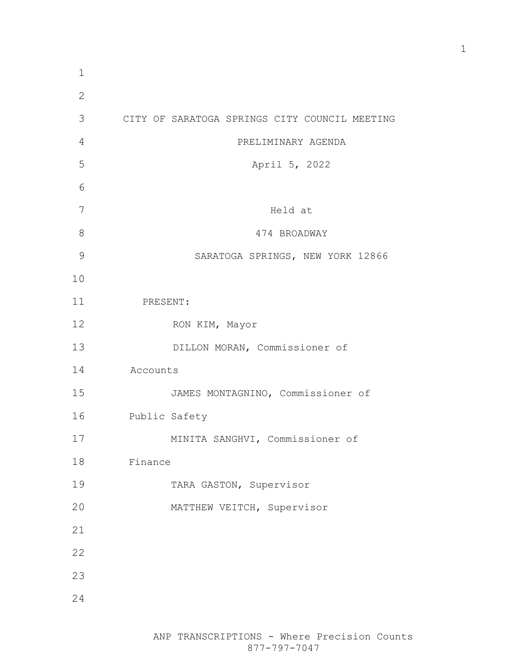| $\mathbf 1$  |                                               |
|--------------|-----------------------------------------------|
| $\mathbf{2}$ |                                               |
| 3            | CITY OF SARATOGA SPRINGS CITY COUNCIL MEETING |
| 4            | PRELIMINARY AGENDA                            |
| 5            | April 5, 2022                                 |
| 6            |                                               |
| 7            | Held at                                       |
| 8            | 474 BROADWAY                                  |
| 9            | SARATOGA SPRINGS, NEW YORK 12866              |
| 10           |                                               |
| 11           | PRESENT:                                      |
| 12           | RON KIM, Mayor                                |
| 13           | DILLON MORAN, Commissioner of                 |
| 14           | Accounts                                      |
| 15           | JAMES MONTAGNINO, Commissioner of             |
| 16           | Public Safety                                 |
| 17           | MINITA SANGHVI, Commissioner of               |
| 18           | Finance                                       |
| 19           | TARA GASTON, Supervisor                       |
| 20           | MATTHEW VEITCH, Supervisor                    |
| 21           |                                               |
| 22           |                                               |
| 23           |                                               |
| 24           |                                               |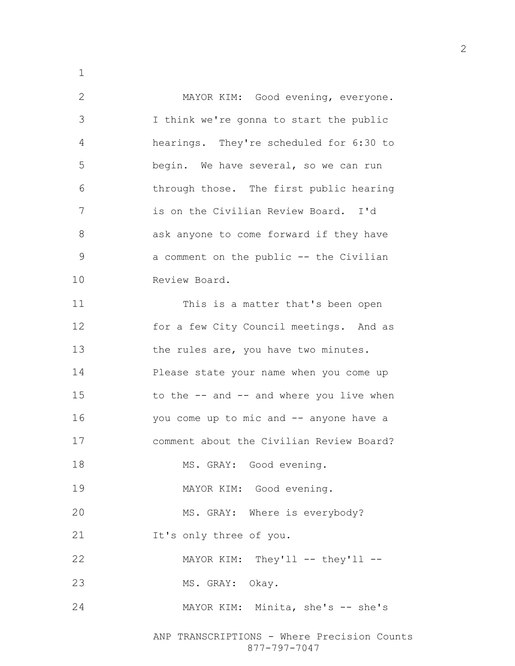MAYOR KIM: Good evening, everyone. I think we're gonna to start the public hearings. They're scheduled for 6:30 to begin. We have several, so we can run through those. The first public hearing is on the Civilian Review Board. I'd ask anyone to come forward if they have a comment on the public -- the Civilian Review Board. This is a matter that's been open for a few City Council meetings. And as 13 the rules are, you have two minutes. Please state your name when you come up 15 to the -- and -- and where you live when you come up to mic and -- anyone have a comment about the Civilian Review Board? 18 MS. GRAY: Good evening. MAYOR KIM: Good evening. 20 MS. GRAY: Where is everybody? It's only three of you. 22 MAYOR KIM: They'll -- they'll --23 MS. GRAY: Okay. MAYOR KIM: Minita, she's -- she's

ANP TRANSCRIPTIONS - Where Precision Counts 877-797-7047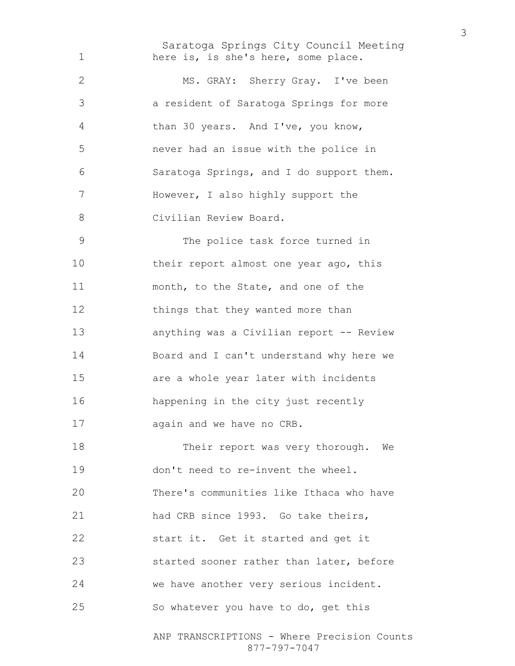Saratoga Springs City Council Meeting here is, is she's here, some place. MS. GRAY: Sherry Gray. I've been a resident of Saratoga Springs for more than 30 years. And I've, you know, never had an issue with the police in Saratoga Springs, and I do support them. However, I also highly support the Civilian Review Board. The police task force turned in 10 their report almost one year ago, this month, to the State, and one of the things that they wanted more than anything was a Civilian report -- Review Board and I can't understand why here we

are a whole year later with incidents happening in the city just recently again and we have no CRB.

18 Their report was very thorough. We don't need to re-invent the wheel. There's communities like Ithaca who have had CRB since 1993. Go take theirs, start it. Get it started and get it started sooner rather than later, before we have another very serious incident. So whatever you have to do, get this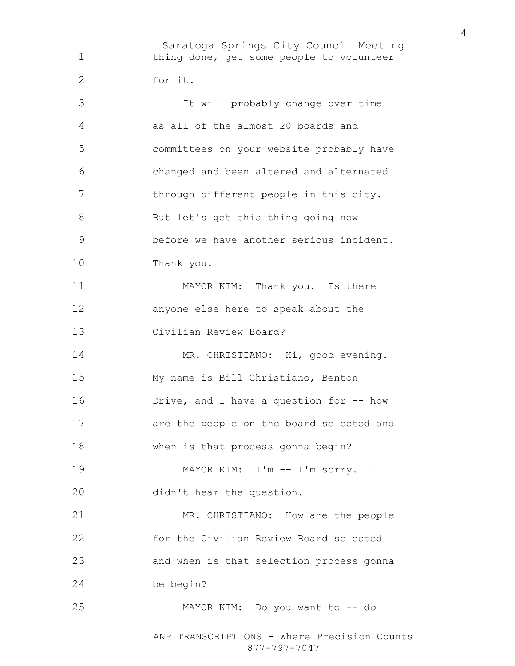Saratoga Springs City Council Meeting thing done, get some people to volunteer for it. It will probably change over time as all of the almost 20 boards and committees on your website probably have changed and been altered and alternated 7 through different people in this city. 8 But let's get this thing going now before we have another serious incident. Thank you. 11 MAYOR KIM: Thank you. Is there anyone else here to speak about the Civilian Review Board? 14 MR. CHRISTIANO: Hi, good evening. My name is Bill Christiano, Benton 16 Drive, and I have a question for -- how are the people on the board selected and when is that process gonna begin? MAYOR KIM: I'm -- I'm sorry. I didn't hear the question. MR. CHRISTIANO: How are the people for the Civilian Review Board selected and when is that selection process gonna be begin? MAYOR KIM: Do you want to -- do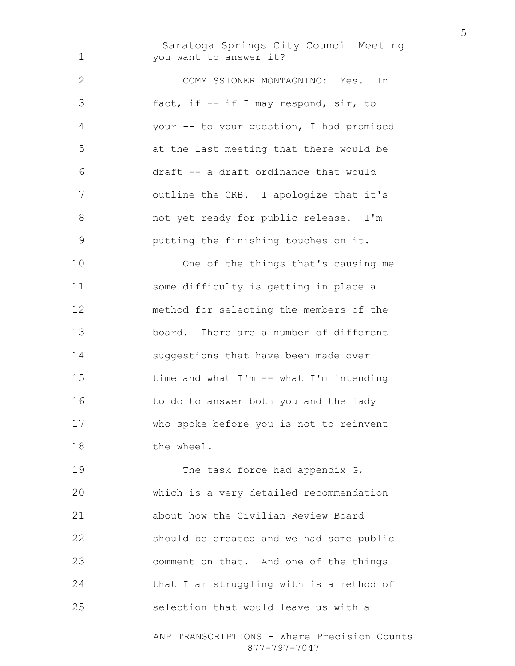Saratoga Springs City Council Meeting you want to answer it?

COMMISSIONER MONTAGNINO: Yes. In fact, if -- if I may respond, sir, to your -- to your question, I had promised at the last meeting that there would be draft -- a draft ordinance that would outline the CRB. I apologize that it's not yet ready for public release. I'm putting the finishing touches on it.

One of the things that's causing me some difficulty is getting in place a method for selecting the members of the board. There are a number of different suggestions that have been made over time and what I'm -- what I'm intending to do to answer both you and the lady who spoke before you is not to reinvent the wheel.

19 The task force had appendix G, which is a very detailed recommendation about how the Civilian Review Board should be created and we had some public comment on that. And one of the things that I am struggling with is a method of selection that would leave us with a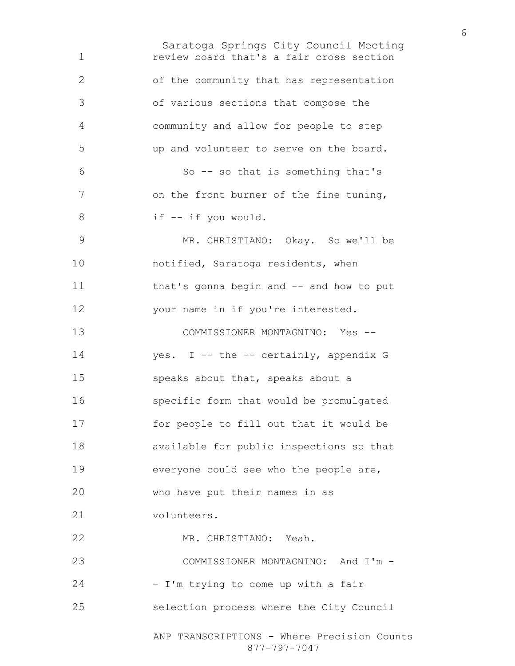Saratoga Springs City Council Meeting ANP TRANSCRIPTIONS - Where Precision Counts 877-797-7047 review board that's a fair cross section of the community that has representation of various sections that compose the community and allow for people to step up and volunteer to serve on the board. So -- so that is something that's on the front burner of the fine tuning, if -- if you would. MR. CHRISTIANO: Okay. So we'll be notified, Saratoga residents, when that's gonna begin and -- and how to put your name in if you're interested. COMMISSIONER MONTAGNINO: Yes -- 14 yes. I -- the -- certainly, appendix G speaks about that, speaks about a specific form that would be promulgated for people to fill out that it would be available for public inspections so that everyone could see who the people are, who have put their names in as volunteers. MR. CHRISTIANO: Yeah. COMMISSIONER MONTAGNINO: And I'm - 24 - I'm trying to come up with a fair selection process where the City Council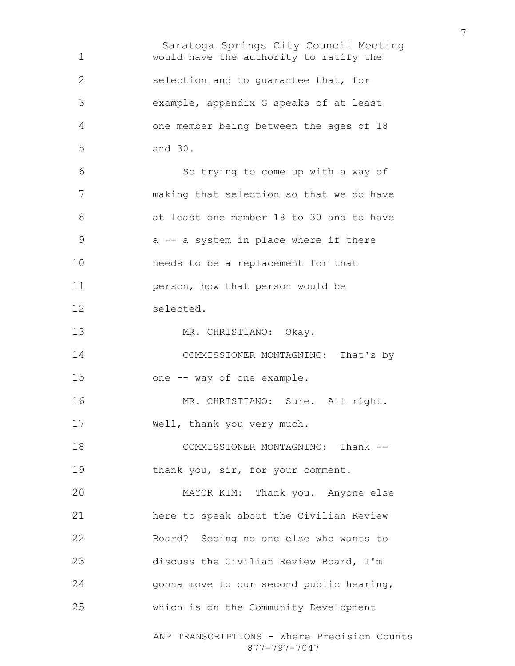Saratoga Springs City Council Meeting would have the authority to ratify the selection and to guarantee that, for example, appendix G speaks of at least one member being between the ages of 18 and 30. So trying to come up with a way of making that selection so that we do have at least one member 18 to 30 and to have 9 a -- a system in place where if there needs to be a replacement for that person, how that person would be selected. 13 MR. CHRISTIANO: Okay. COMMISSIONER MONTAGNINO: That's by one -- way of one example. 16 MR. CHRISTIANO: Sure. All right. Well, thank you very much. COMMISSIONER MONTAGNINO: Thank -- 19 thank you, sir, for your comment. MAYOR KIM: Thank you. Anyone else here to speak about the Civilian Review Board? Seeing no one else who wants to discuss the Civilian Review Board, I'm gonna move to our second public hearing, which is on the Community Development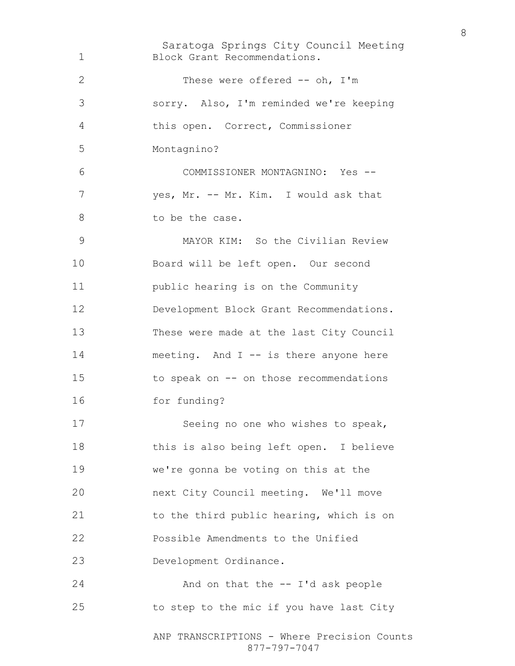Saratoga Springs City Council Meeting ANP TRANSCRIPTIONS - Where Precision Counts 877-797-7047 Block Grant Recommendations. These were offered -- oh, I'm sorry. Also, I'm reminded we're keeping this open. Correct, Commissioner Montagnino? COMMISSIONER MONTAGNINO: Yes -- yes, Mr. -- Mr. Kim. I would ask that 8 to be the case. MAYOR KIM: So the Civilian Review Board will be left open. Our second public hearing is on the Community Development Block Grant Recommendations. These were made at the last City Council 14 meeting. And I -- is there anyone here to speak on -- on those recommendations for funding? 17 Seeing no one who wishes to speak, 18 this is also being left open. I believe we're gonna be voting on this at the next City Council meeting. We'll move 21 to the third public hearing, which is on Possible Amendments to the Unified Development Ordinance. And on that the -- I'd ask people to step to the mic if you have last City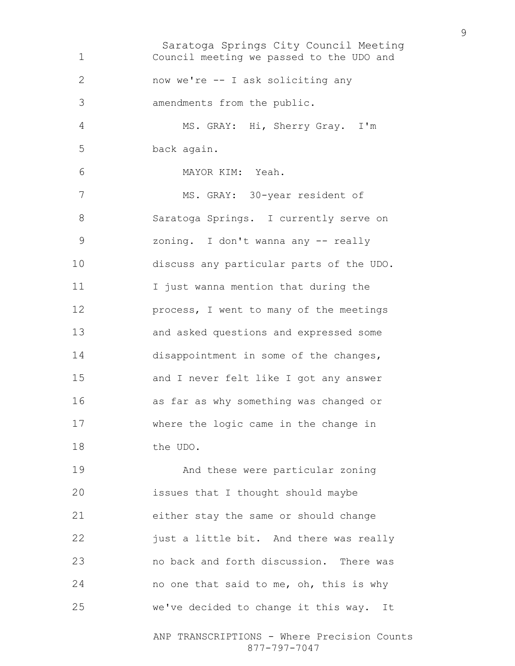Saratoga Springs City Council Meeting Council meeting we passed to the UDO and now we're -- I ask soliciting any amendments from the public. MS. GRAY: Hi, Sherry Gray. I'm back again. MAYOR KIM: Yeah. 7 MS. GRAY: 30-year resident of Saratoga Springs. I currently serve on zoning. I don't wanna any -- really discuss any particular parts of the UDO. I just wanna mention that during the process, I went to many of the meetings and asked questions and expressed some 14 disappointment in some of the changes, and I never felt like I got any answer as far as why something was changed or where the logic came in the change in the UDO. And these were particular zoning issues that I thought should maybe either stay the same or should change **just a little bit.** And there was really no back and forth discussion. There was 24 no one that said to me, oh, this is why we've decided to change it this way. It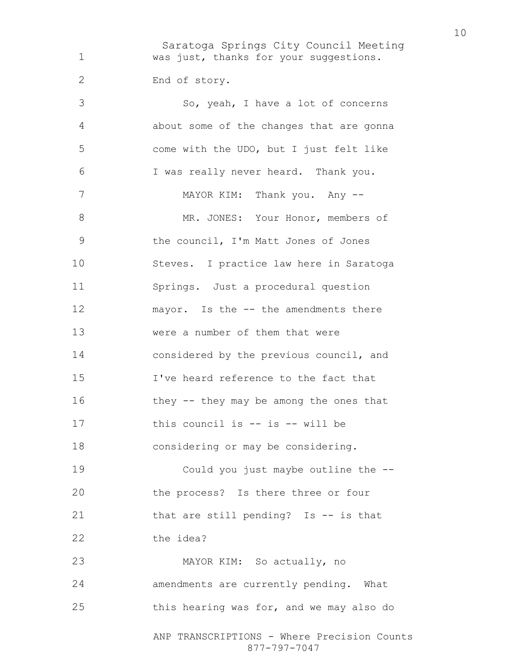Saratoga Springs City Council Meeting ANP TRANSCRIPTIONS - Where Precision Counts was just, thanks for your suggestions. End of story. So, yeah, I have a lot of concerns about some of the changes that are gonna come with the UDO, but I just felt like I was really never heard. Thank you. 7 MAYOR KIM: Thank you. Any --8 MR. JONES: Your Honor, members of the council, I'm Matt Jones of Jones Steves. I practice law here in Saratoga Springs. Just a procedural question 12 mayor. Is the -- the amendments there were a number of them that were considered by the previous council, and I've heard reference to the fact that 16 they -- they may be among the ones that 17 this council is -- is -- will be considering or may be considering. Could you just maybe outline the -- the process? Is there three or four that are still pending? Is -- is that 22 the idea? MAYOR KIM: So actually, no amendments are currently pending. What this hearing was for, and we may also do

877-797-7047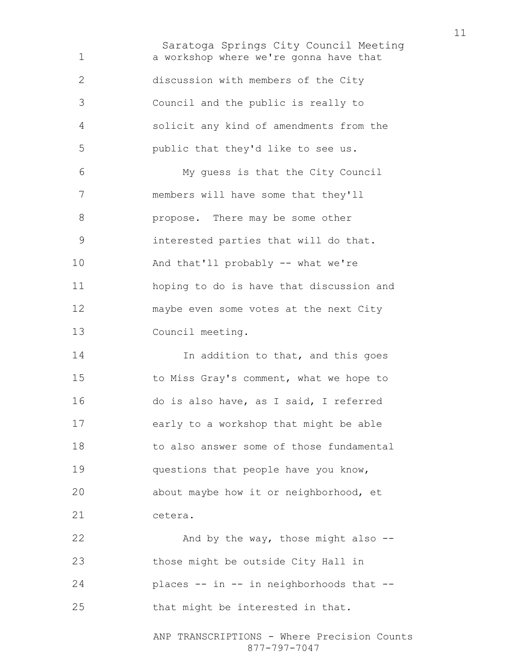Saratoga Springs City Council Meeting a workshop where we're gonna have that discussion with members of the City Council and the public is really to solicit any kind of amendments from the public that they'd like to see us. My guess is that the City Council members will have some that they'll propose. There may be some other interested parties that will do that. And that'll probably -- what we're hoping to do is have that discussion and maybe even some votes at the next City Council meeting.

**In addition to that, and this goes** to Miss Gray's comment, what we hope to do is also have, as I said, I referred early to a workshop that might be able 18 to also answer some of those fundamental questions that people have you know, about maybe how it or neighborhood, et cetera.

22 And by the way, those might also --those might be outside City Hall in places -- in -- in neighborhoods that -- that might be interested in that.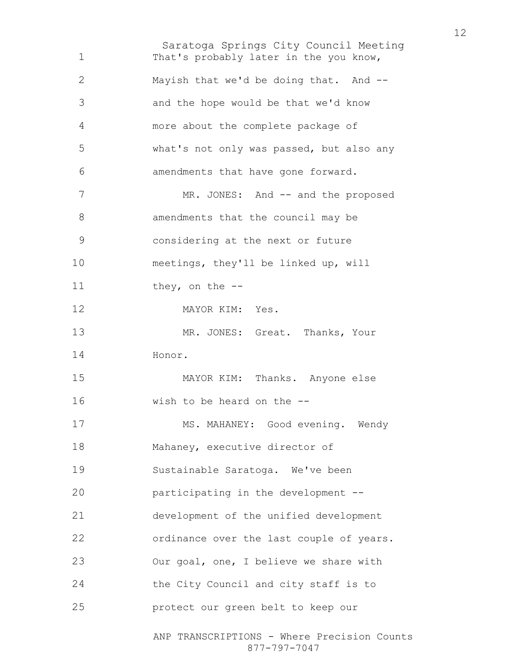Saratoga Springs City Council Meeting ANP TRANSCRIPTIONS - Where Precision Counts That's probably later in the you know, Mayish that we'd be doing that. And -- and the hope would be that we'd know more about the complete package of what's not only was passed, but also any amendments that have gone forward. 7 MR. JONES: And -- and the proposed 8 amendments that the council may be considering at the next or future meetings, they'll be linked up, will 11 they, on the --MAYOR KIM: Yes. 13 MR. JONES: Great. Thanks, Your Honor. MAYOR KIM: Thanks. Anyone else wish to be heard on the -- 17 MS. MAHANEY: Good evening. Wendy Mahaney, executive director of Sustainable Saratoga. We've been participating in the development -- development of the unified development ordinance over the last couple of years. Our goal, one, I believe we share with the City Council and city staff is to protect our green belt to keep our

877-797-7047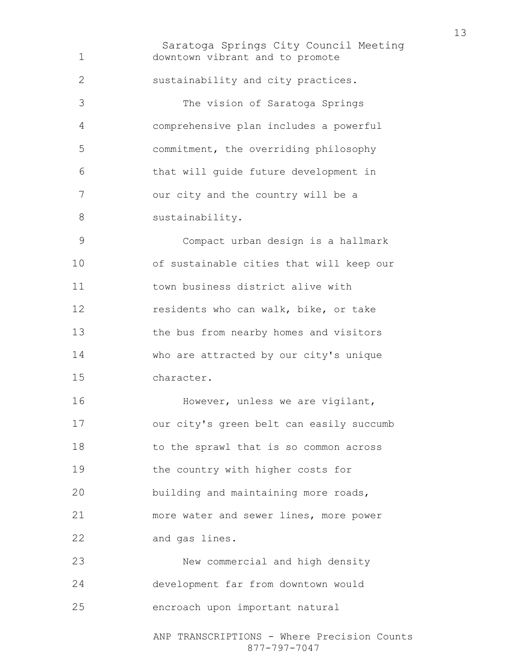Saratoga Springs City Council Meeting ANP TRANSCRIPTIONS - Where Precision Counts downtown vibrant and to promote sustainability and city practices. The vision of Saratoga Springs comprehensive plan includes a powerful commitment, the overriding philosophy that will guide future development in our city and the country will be a 8 sustainability. Compact urban design is a hallmark of sustainable cities that will keep our town business district alive with residents who can walk, bike, or take the bus from nearby homes and visitors who are attracted by our city's unique character. 16 However, unless we are vigilant, our city's green belt can easily succumb to the sprawl that is so common across the country with higher costs for building and maintaining more roads, more water and sewer lines, more power and gas lines. New commercial and high density development far from downtown would encroach upon important natural

877-797-7047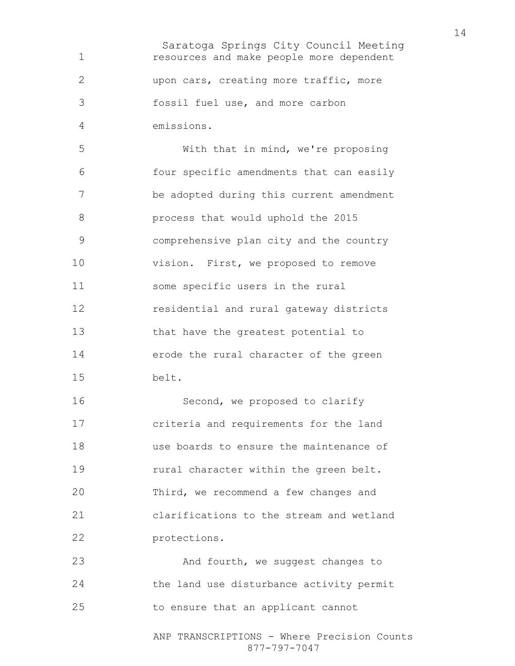Saratoga Springs City Council Meeting resources and make people more dependent upon cars, creating more traffic, more fossil fuel use, and more carbon emissions. With that in mind, we're proposing four specific amendments that can easily be adopted during this current amendment process that would uphold the 2015 comprehensive plan city and the country vision. First, we proposed to remove some specific users in the rural residential and rural gateway districts that have the greatest potential to erode the rural character of the green belt. 16 Second, we proposed to clarify criteria and requirements for the land use boards to ensure the maintenance of 19 rural character within the green belt. Third, we recommend a few changes and clarifications to the stream and wetland protections. 23 And fourth, we suggest changes to the land use disturbance activity permit to ensure that an applicant cannot

> ANP TRANSCRIPTIONS - Where Precision Counts 877-797-7047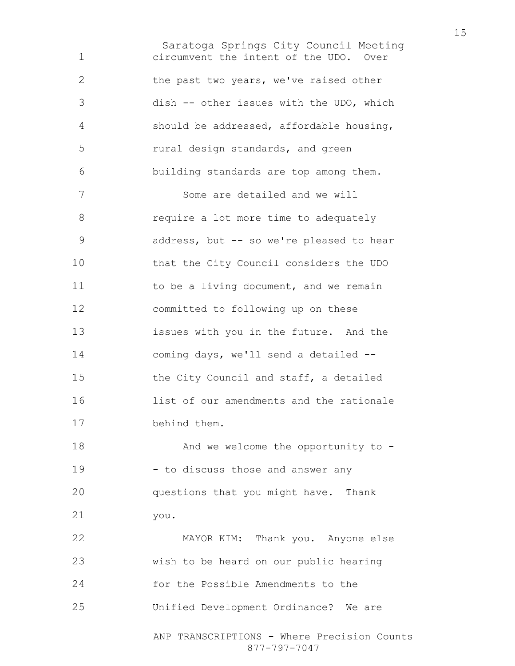Saratoga Springs City Council Meeting circumvent the intent of the UDO. Over the past two years, we've raised other dish -- other issues with the UDO, which should be addressed, affordable housing, rural design standards, and green building standards are top among them. Some are detailed and we will require a lot more time to adequately address, but -- so we're pleased to hear that the City Council considers the UDO 11 to be a living document, and we remain committed to following up on these issues with you in the future. And the coming days, we'll send a detailed -- the City Council and staff, a detailed list of our amendments and the rationale behind them. And we welcome the opportunity to - 19 - to discuss those and answer any questions that you might have. Thank you. MAYOR KIM: Thank you. Anyone else wish to be heard on our public hearing for the Possible Amendments to the Unified Development Ordinance? We are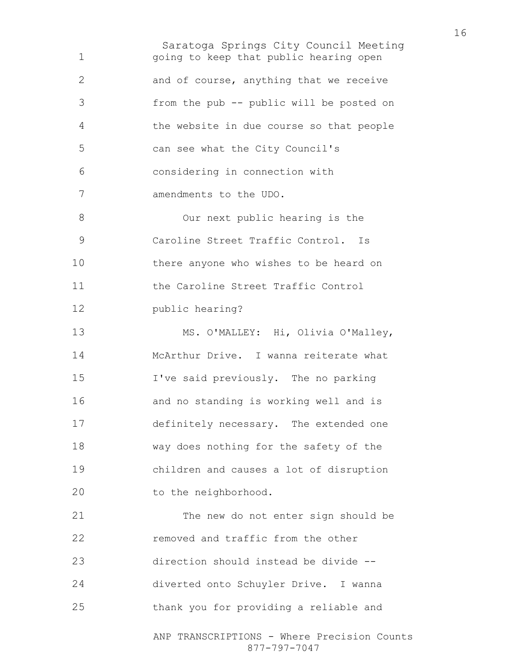Saratoga Springs City Council Meeting going to keep that public hearing open and of course, anything that we receive from the pub -- public will be posted on the website in due course so that people can see what the City Council's considering in connection with amendments to the UDO. Our next public hearing is the Caroline Street Traffic Control. Is there anyone who wishes to be heard on 11 the Caroline Street Traffic Control public hearing? 13 MS. O'MALLEY: Hi, Olivia O'Malley, McArthur Drive. I wanna reiterate what I've said previously. The no parking and no standing is working well and is definitely necessary. The extended one way does nothing for the safety of the children and causes a lot of disruption 20 to the neighborhood. The new do not enter sign should be **removed and traffic from the other** direction should instead be divide -- diverted onto Schuyler Drive. I wanna thank you for providing a reliable and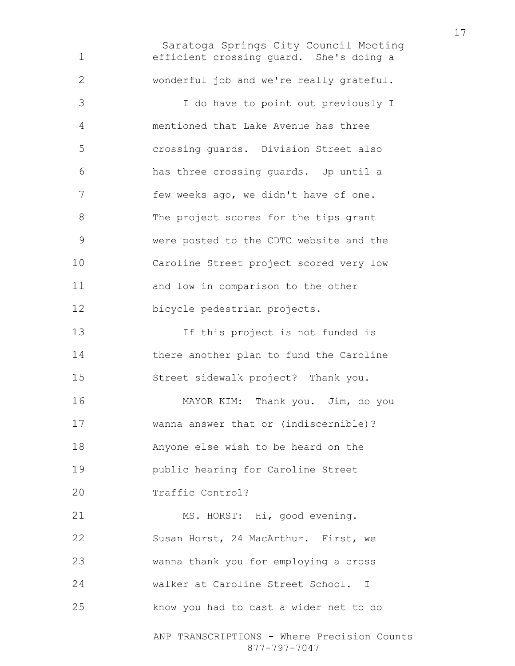Saratoga Springs City Council Meeting ANP TRANSCRIPTIONS - Where Precision Counts efficient crossing guard. She's doing a wonderful job and we're really grateful. I do have to point out previously I mentioned that Lake Avenue has three crossing guards. Division Street also has three crossing guards. Up until a few weeks ago, we didn't have of one. 8 The project scores for the tips grant were posted to the CDTC website and the Caroline Street project scored very low and low in comparison to the other bicycle pedestrian projects. If this project is not funded is there another plan to fund the Caroline Street sidewalk project? Thank you. MAYOR KIM: Thank you. Jim, do you wanna answer that or (indiscernible)? Anyone else wish to be heard on the public hearing for Caroline Street Traffic Control? 21 MS. HORST: Hi, good evening. Susan Horst, 24 MacArthur. First, we wanna thank you for employing a cross walker at Caroline Street School. I know you had to cast a wider net to do

877-797-7047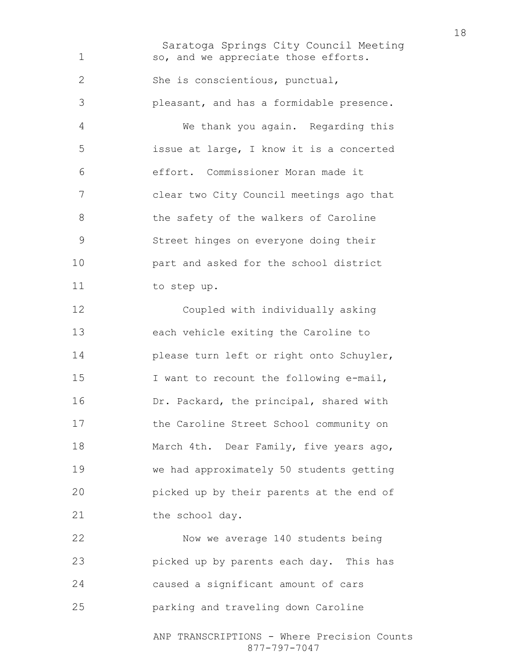Saratoga Springs City Council Meeting ANP TRANSCRIPTIONS - Where Precision Counts so, and we appreciate those efforts. She is conscientious, punctual, pleasant, and has a formidable presence. We thank you again. Regarding this issue at large, I know it is a concerted effort. Commissioner Moran made it clear two City Council meetings ago that 8 the safety of the walkers of Caroline Street hinges on everyone doing their part and asked for the school district to step up. Coupled with individually asking each vehicle exiting the Caroline to **please turn left or right onto Schuyler**, I want to recount the following e-mail, Dr. Packard, the principal, shared with the Caroline Street School community on March 4th. Dear Family, five years ago, we had approximately 50 students getting picked up by their parents at the end of 21 the school day. Now we average 140 students being picked up by parents each day. This has caused a significant amount of cars parking and traveling down Caroline

877-797-7047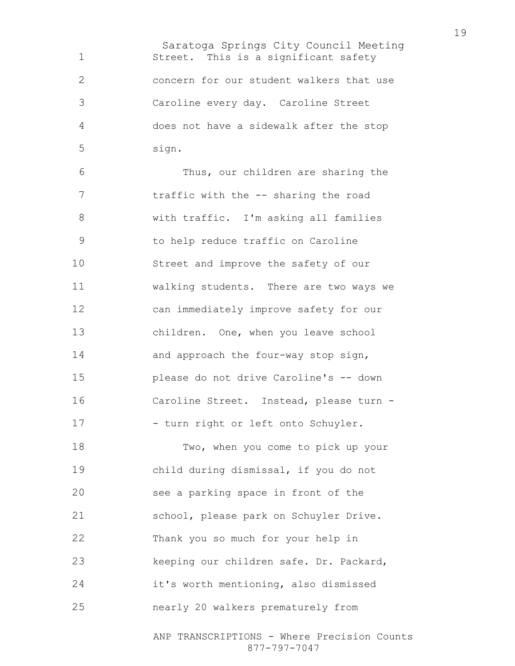Saratoga Springs City Council Meeting Street. This is a significant safety concern for our student walkers that use Caroline every day. Caroline Street does not have a sidewalk after the stop sign.

Thus, our children are sharing the 7 traffic with the -- sharing the road with traffic. I'm asking all families to help reduce traffic on Caroline Street and improve the safety of our walking students. There are two ways we can immediately improve safety for our children. One, when you leave school 14 and approach the four-way stop sign, please do not drive Caroline's -- down Caroline Street. Instead, please turn - 17 - turn right or left onto Schuyler.

Two, when you come to pick up your child during dismissal, if you do not see a parking space in front of the school, please park on Schuyler Drive. Thank you so much for your help in keeping our children safe. Dr. Packard, it's worth mentioning, also dismissed nearly 20 walkers prematurely from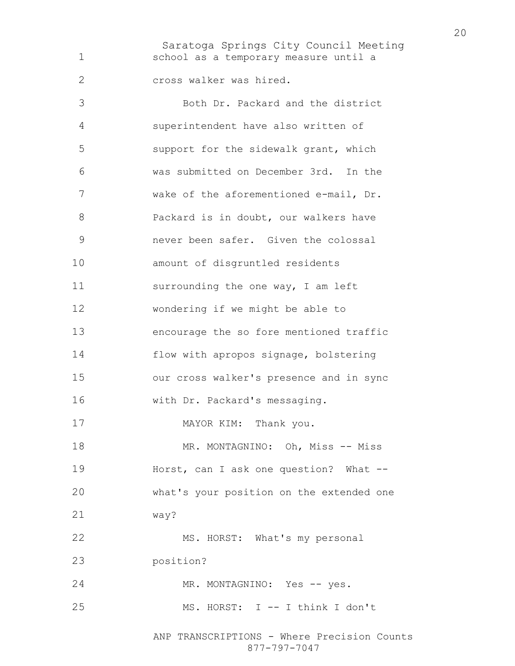Saratoga Springs City Council Meeting school as a temporary measure until a cross walker was hired. Both Dr. Packard and the district superintendent have also written of support for the sidewalk grant, which was submitted on December 3rd. In the wake of the aforementioned e-mail, Dr. **Packard is in doubt, our walkers have** never been safer. Given the colossal amount of disgruntled residents 11 surrounding the one way, I am left wondering if we might be able to encourage the so fore mentioned traffic flow with apropos signage, bolstering our cross walker's presence and in sync with Dr. Packard's messaging. 17 MAYOR KIM: Thank you. 18 MR. MONTAGNINO: Oh, Miss -- Miss Horst, can I ask one question? What -- what's your position on the extended one way? 22 MS. HORST: What's my personal position? MR. MONTAGNINO: Yes -- yes. MS. HORST: I -- I think I don't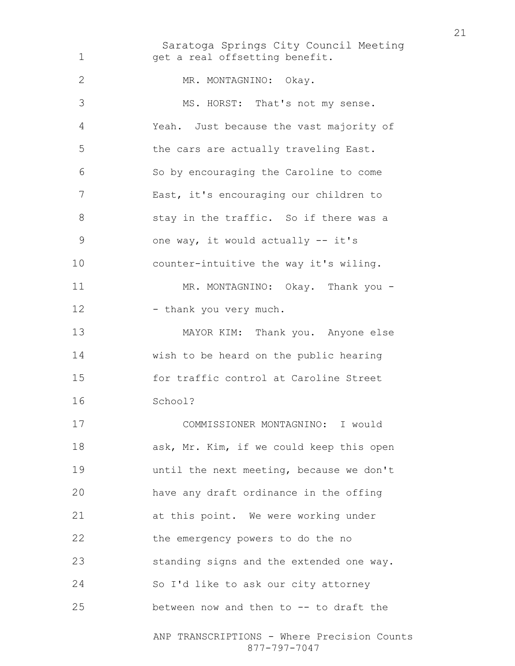Saratoga Springs City Council Meeting ANP TRANSCRIPTIONS - Where Precision Counts 1 get a real offsetting benefit. 2 MR. MONTAGNINO: Okay. MS. HORST: That's not my sense. Yeah. Just because the vast majority of the cars are actually traveling East. So by encouraging the Caroline to come East, it's encouraging our children to 8 stay in the traffic. So if there was a one way, it would actually -- it's counter-intuitive the way it's wiling. 11 MR. MONTAGNINO: Okay. Thank you -12 - thank you very much. MAYOR KIM: Thank you. Anyone else wish to be heard on the public hearing for traffic control at Caroline Street School? COMMISSIONER MONTAGNINO: I would 18 ask, Mr. Kim, if we could keep this open until the next meeting, because we don't have any draft ordinance in the offing at this point. We were working under the emergency powers to do the no standing signs and the extended one way. So I'd like to ask our city attorney between now and then to -- to draft the

877-797-7047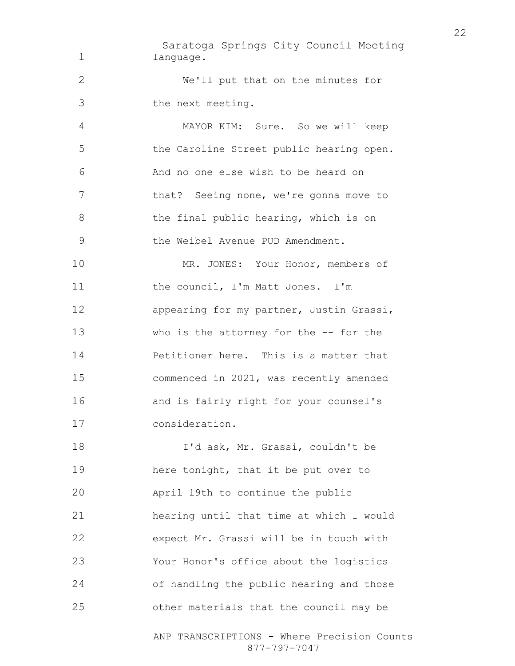Saratoga Springs City Council Meeting 1 language. We'll put that on the minutes for the next meeting. MAYOR KIM: Sure. So we will keep the Caroline Street public hearing open. And no one else wish to be heard on 7 that? Seeing none, we're gonna move to 8 the final public hearing, which is on the Weibel Avenue PUD Amendment. 10 MR. JONES: Your Honor, members of 11 the council, I'm Matt Jones. I'm appearing for my partner, Justin Grassi, who is the attorney for the -- for the Petitioner here. This is a matter that commenced in 2021, was recently amended and is fairly right for your counsel's consideration. I'd ask, Mr. Grassi, couldn't be here tonight, that it be put over to April 19th to continue the public hearing until that time at which I would expect Mr. Grassi will be in touch with Your Honor's office about the logistics of handling the public hearing and those

ANP TRANSCRIPTIONS - Where Precision Counts

other materials that the council may be

877-797-7047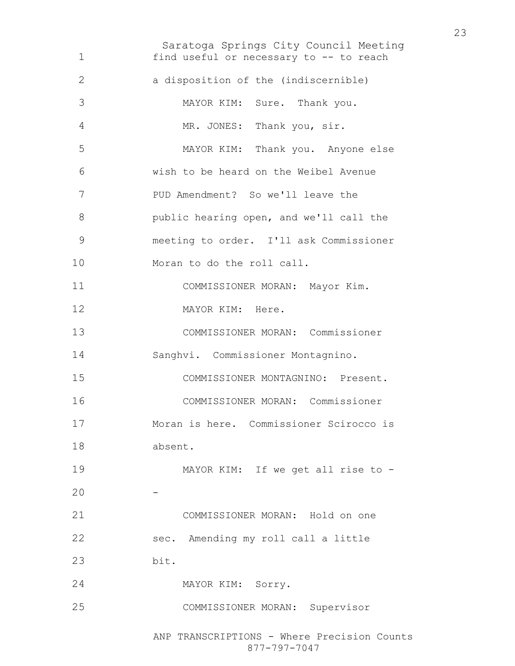Saratoga Springs City Council Meeting ANP TRANSCRIPTIONS - Where Precision Counts find useful or necessary to -- to reach a disposition of the (indiscernible) MAYOR KIM: Sure. Thank you. MR. JONES: Thank you, sir. MAYOR KIM: Thank you. Anyone else wish to be heard on the Weibel Avenue PUD Amendment? So we'll leave the public hearing open, and we'll call the meeting to order. I'll ask Commissioner 10 Moran to do the roll call. COMMISSIONER MORAN: Mayor Kim. 12 MAYOR KIM: Here. COMMISSIONER MORAN: Commissioner Sanghvi. Commissioner Montagnino. COMMISSIONER MONTAGNINO: Present. COMMISSIONER MORAN: Commissioner Moran is here. Commissioner Scirocco is absent. MAYOR KIM: If we get all rise to - -COMMISSIONER MORAN: Hold on one sec. Amending my roll call a little bit. MAYOR KIM: Sorry. COMMISSIONER MORAN: Supervisor

877-797-7047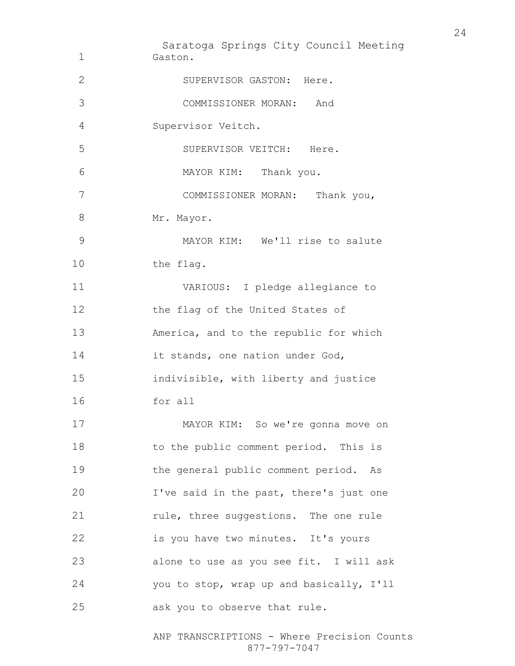Saratoga Springs City Council Meeting Gaston. 2 SUPERVISOR GASTON: Here. COMMISSIONER MORAN: And Supervisor Veitch. SUPERVISOR VEITCH: Here. MAYOR KIM: Thank you. COMMISSIONER MORAN: Thank you, 8 Mr. Mayor. MAYOR KIM: We'll rise to salute 10 the flag. VARIOUS: I pledge allegiance to 12 the flag of the United States of America, and to the republic for which 14 it stands, one nation under God, indivisible, with liberty and justice for all MAYOR KIM: So we're gonna move on 18 to the public comment period. This is the general public comment period. As I've said in the past, there's just one 21 rule, three suggestions. The one rule is you have two minutes. It's yours alone to use as you see fit. I will ask you to stop, wrap up and basically, I'll ask you to observe that rule.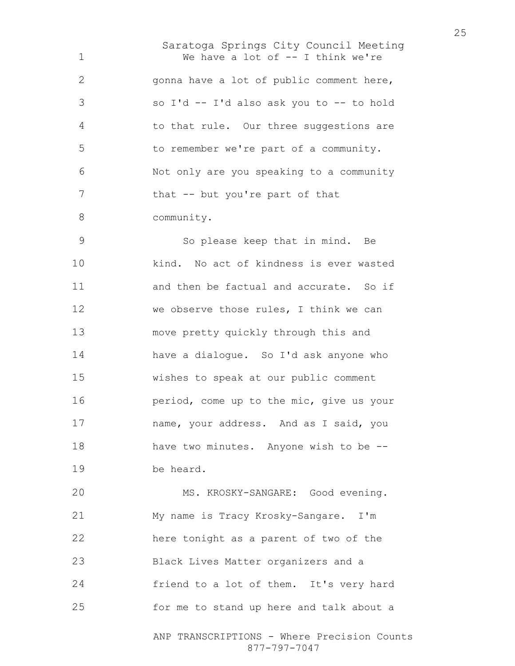Saratoga Springs City Council Meeting We have a lot of -- I think we're gonna have a lot of public comment here, so I'd -- I'd also ask you to -- to hold to that rule. Our three suggestions are to remember we're part of a community. Not only are you speaking to a community 7 that -- but you're part of that community.

So please keep that in mind. Be kind. No act of kindness is ever wasted and then be factual and accurate. So if we observe those rules, I think we can move pretty quickly through this and have a dialogue. So I'd ask anyone who wishes to speak at our public comment period, come up to the mic, give us your name, your address. And as I said, you 18 have two minutes. Anyone wish to be --be heard.

MS. KROSKY-SANGARE: Good evening. My name is Tracy Krosky-Sangare. I'm here tonight as a parent of two of the Black Lives Matter organizers and a friend to a lot of them. It's very hard for me to stand up here and talk about a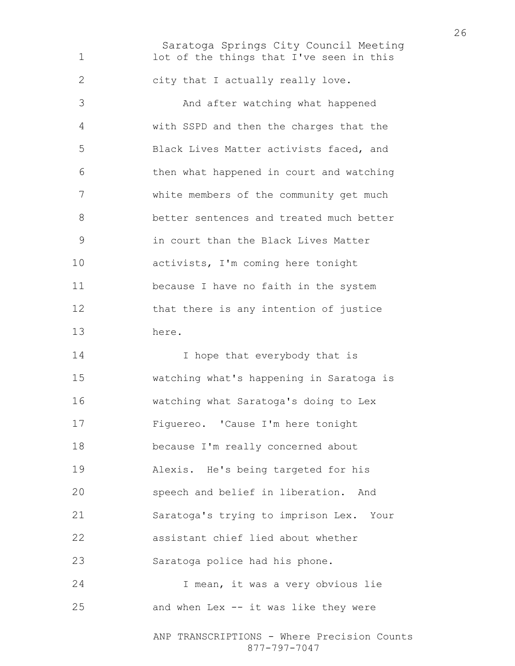Saratoga Springs City Council Meeting 1 lot of the things that I've seen in this city that I actually really love. And after watching what happened with SSPD and then the charges that the Black Lives Matter activists faced, and then what happened in court and watching white members of the community get much better sentences and treated much better in court than the Black Lives Matter activists, I'm coming here tonight because I have no faith in the system that there is any intention of justice here. 14 I hope that everybody that is watching what's happening in Saratoga is watching what Saratoga's doing to Lex Figuereo. 'Cause I'm here tonight because I'm really concerned about Alexis. He's being targeted for his speech and belief in liberation. And Saratoga's trying to imprison Lex. Your assistant chief lied about whether Saratoga police had his phone. I mean, it was a very obvious lie and when Lex -- it was like they were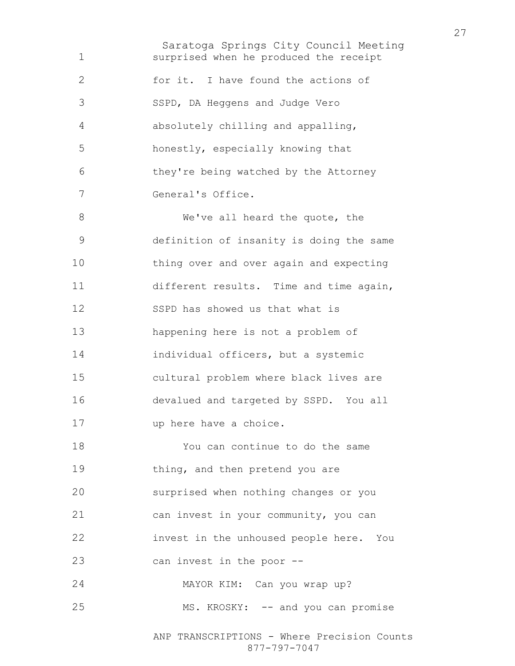Saratoga Springs City Council Meeting surprised when he produced the receipt 2 for it. I have found the actions of SSPD, DA Heggens and Judge Vero absolutely chilling and appalling, honestly, especially knowing that they're being watched by the Attorney General's Office. 8 We've all heard the quote, the definition of insanity is doing the same thing over and over again and expecting different results. Time and time again, SSPD has showed us that what is happening here is not a problem of individual officers, but a systemic cultural problem where black lives are devalued and targeted by SSPD. You all up here have a choice. You can continue to do the same 19 thing, and then pretend you are surprised when nothing changes or you can invest in your community, you can invest in the unhoused people here. You can invest in the poor -- MAYOR KIM: Can you wrap up? 25 MS. KROSKY: -- and you can promise

ANP TRANSCRIPTIONS - Where Precision Counts 877-797-7047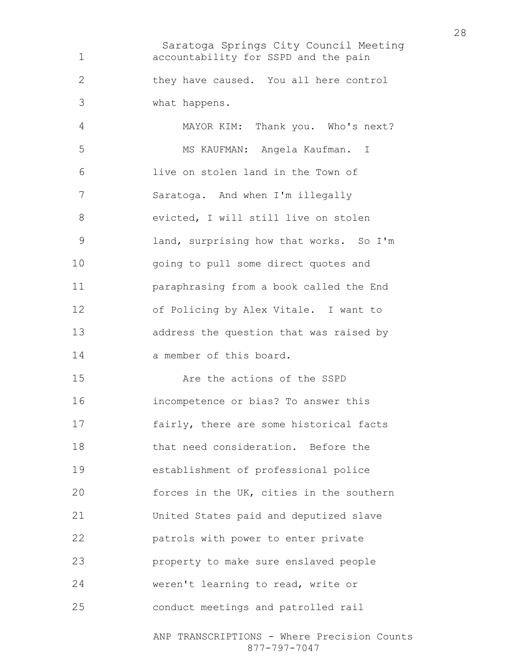Saratoga Springs City Council Meeting ANP TRANSCRIPTIONS - Where Precision Counts accountability for SSPD and the pain they have caused. You all here control what happens. MAYOR KIM: Thank you. Who's next? MS KAUFMAN: Angela Kaufman. I live on stolen land in the Town of Saratoga. And when I'm illegally evicted, I will still live on stolen land, surprising how that works. So I'm going to pull some direct quotes and paraphrasing from a book called the End of Policing by Alex Vitale. I want to address the question that was raised by a member of this board. Are the actions of the SSPD incompetence or bias? To answer this fairly, there are some historical facts that need consideration. Before the establishment of professional police forces in the UK, cities in the southern United States paid and deputized slave patrols with power to enter private property to make sure enslaved people weren't learning to read, write or conduct meetings and patrolled rail

877-797-7047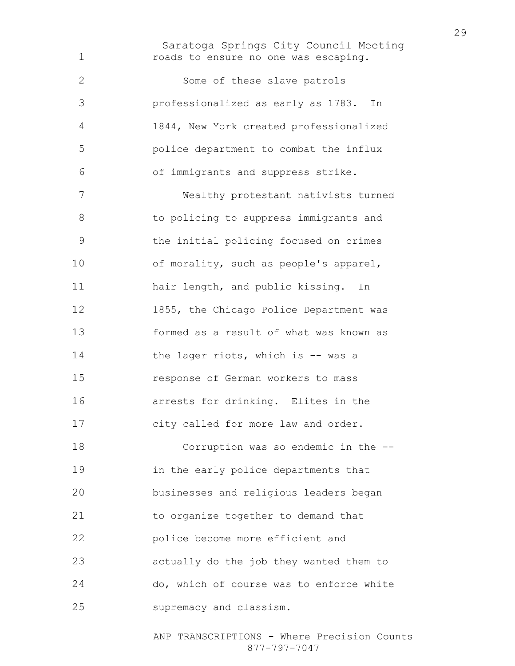Saratoga Springs City Council Meeting roads to ensure no one was escaping.

Some of these slave patrols professionalized as early as 1783. In 1844, New York created professionalized police department to combat the influx of immigrants and suppress strike. Wealthy protestant nativists turned to policing to suppress immigrants and the initial policing focused on crimes of morality, such as people's apparel, 11 hair length, and public kissing. In 1855, the Chicago Police Department was formed as a result of what was known as 14 the lager riots, which is -- was a response of German workers to mass arrests for drinking. Elites in the city called for more law and order. Corruption was so endemic in the --

in the early police departments that businesses and religious leaders began to organize together to demand that police become more efficient and actually do the job they wanted them to do, which of course was to enforce white supremacy and classism.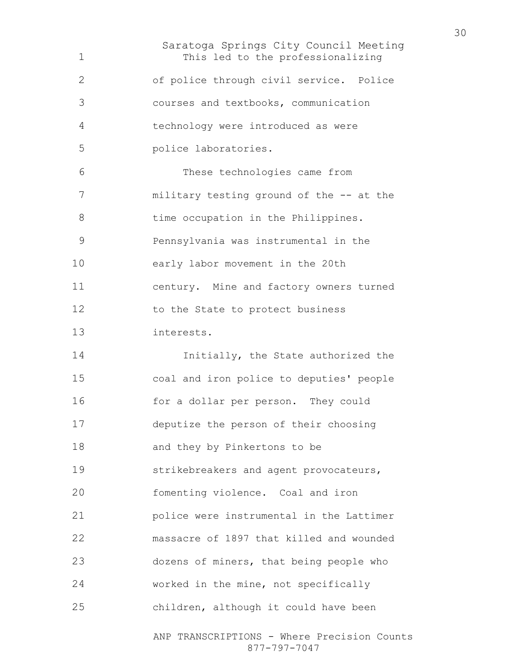Saratoga Springs City Council Meeting This led to the professionalizing of police through civil service. Police courses and textbooks, communication technology were introduced as were police laboratories. These technologies came from military testing ground of the -- at the 8 time occupation in the Philippines. Pennsylvania was instrumental in the early labor movement in the 20th century. Mine and factory owners turned 12 to the State to protect business interests. **Initially**, the State authorized the coal and iron police to deputies' people for a dollar per person. They could deputize the person of their choosing and they by Pinkertons to be strikebreakers and agent provocateurs, fomenting violence. Coal and iron police were instrumental in the Lattimer massacre of 1897 that killed and wounded dozens of miners, that being people who worked in the mine, not specifically children, although it could have been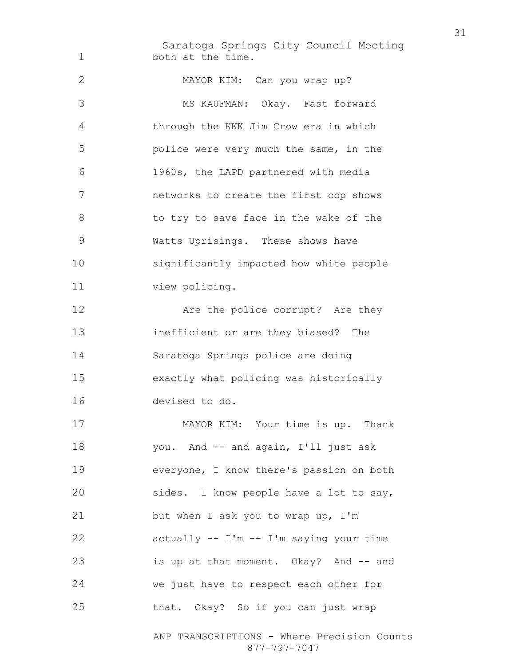Saratoga Springs City Council Meeting 1 both at the time. MAYOR KIM: Can you wrap up? MS KAUFMAN: Okay. Fast forward through the KKK Jim Crow era in which police were very much the same, in the 1960s, the LAPD partnered with media networks to create the first cop shows 8 to try to save face in the wake of the Watts Uprisings. These shows have significantly impacted how white people view policing. 12 Are the police corrupt? Are they inefficient or are they biased? The Saratoga Springs police are doing exactly what policing was historically devised to do.

MAYOR KIM: Your time is up. Thank you. And -- and again, I'll just ask everyone, I know there's passion on both sides. I know people have a lot to say, but when I ask you to wrap up, I'm actually -- I'm -- I'm saying your time is up at that moment. Okay? And -- and we just have to respect each other for that. Okay? So if you can just wrap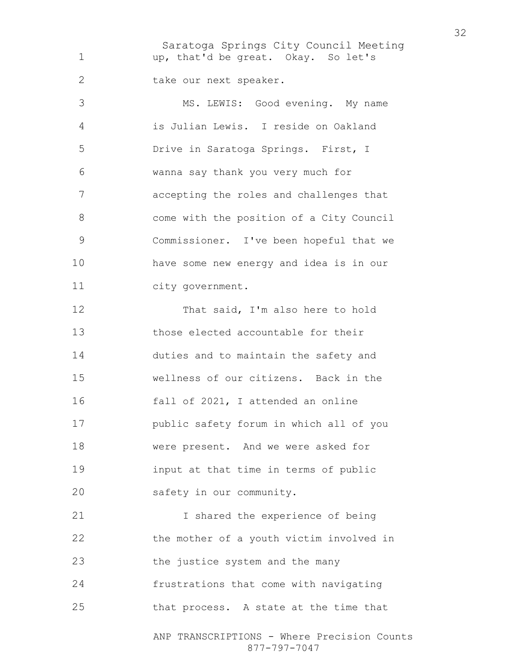Saratoga Springs City Council Meeting up, that'd be great. Okay. So let's 2 take our next speaker. MS. LEWIS: Good evening. My name is Julian Lewis. I reside on Oakland Drive in Saratoga Springs. First, I wanna say thank you very much for accepting the roles and challenges that come with the position of a City Council Commissioner. I've been hopeful that we have some new energy and idea is in our city government. 12 That said, I'm also here to hold those elected accountable for their duties and to maintain the safety and wellness of our citizens. Back in the fall of 2021, I attended an online public safety forum in which all of you were present. And we were asked for input at that time in terms of public safety in our community. I shared the experience of being the mother of a youth victim involved in the justice system and the many frustrations that come with navigating that process. A state at the time that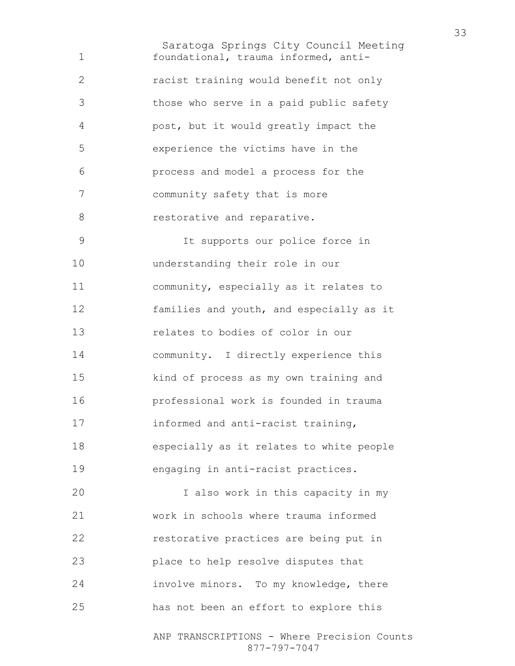Saratoga Springs City Council Meeting foundational, trauma informed, anti-racist training would benefit not only those who serve in a paid public safety post, but it would greatly impact the experience the victims have in the process and model a process for the community safety that is more 8 restorative and reparative. It supports our police force in understanding their role in our community, especially as it relates to families and youth, and especially as it relates to bodies of color in our community. I directly experience this kind of process as my own training and professional work is founded in trauma informed and anti-racist training, especially as it relates to white people engaging in anti-racist practices. I also work in this capacity in my work in schools where trauma informed restorative practices are being put in place to help resolve disputes that involve minors. To my knowledge, there

has not been an effort to explore this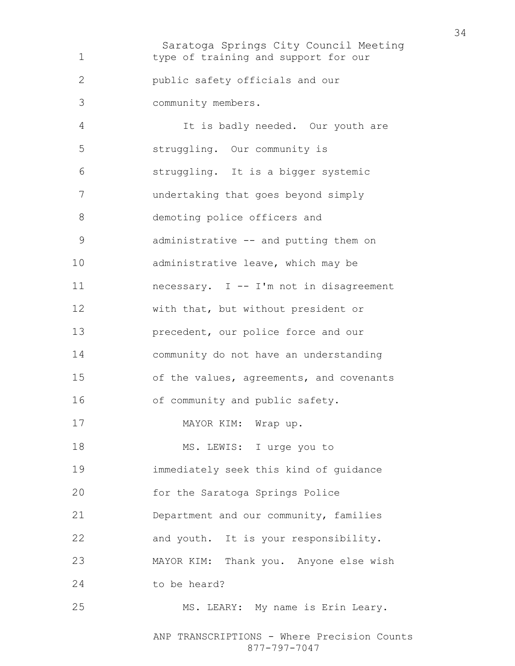Saratoga Springs City Council Meeting type of training and support for our public safety officials and our community members. It is badly needed. Our youth are struggling. Our community is struggling. It is a bigger systemic undertaking that goes beyond simply demoting police officers and administrative -- and putting them on 10 administrative leave, which may be 11 necessary. I -- I'm not in disagreement with that, but without president or **precedent**, our police force and our community do not have an understanding of the values, agreements, and covenants of community and public safety. 17 MAYOR KIM: Wrap up. 18 MS. LEWIS: I urge you to immediately seek this kind of guidance for the Saratoga Springs Police Department and our community, families and youth. It is your responsibility. MAYOR KIM: Thank you. Anyone else wish to be heard? MS. LEARY: My name is Erin Leary.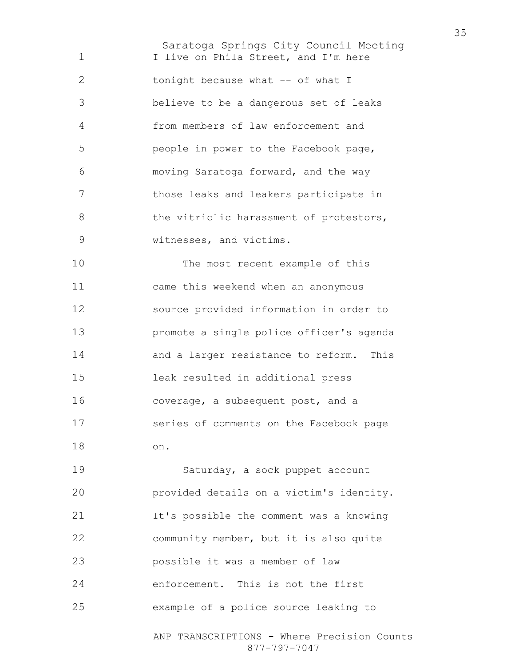Saratoga Springs City Council Meeting 1 I live on Phila Street, and I'm here 2 tonight because what -- of what I believe to be a dangerous set of leaks from members of law enforcement and people in power to the Facebook page, moving Saratoga forward, and the way those leaks and leakers participate in 8 the vitriolic harassment of protestors, witnesses, and victims. The most recent example of this came this weekend when an anonymous source provided information in order to promote a single police officer's agenda and a larger resistance to reform. This leak resulted in additional press coverage, a subsequent post, and a series of comments on the Facebook page

on.

ANP TRANSCRIPTIONS - Where Precision Counts Saturday, a sock puppet account provided details on a victim's identity. It's possible the comment was a knowing community member, but it is also quite possible it was a member of law enforcement. This is not the first example of a police source leaking to

877-797-7047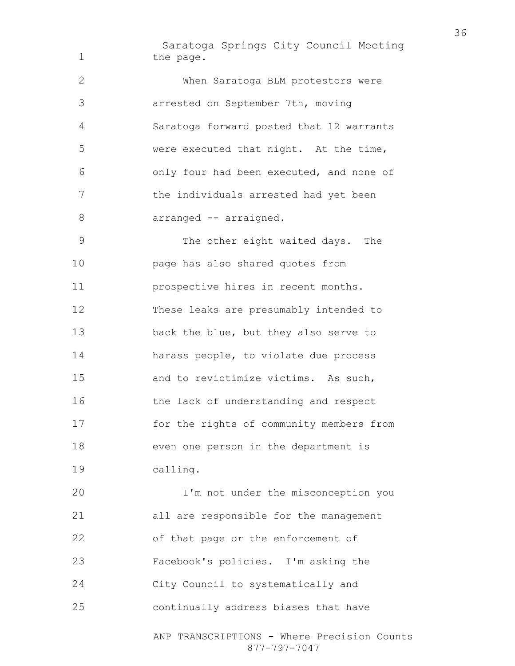Saratoga Springs City Council Meeting 1 the page. When Saratoga BLM protestors were arrested on September 7th, moving Saratoga forward posted that 12 warrants were executed that night. At the time, only four had been executed, and none of the individuals arrested had yet been 8 arranged -- arraigned. The other eight waited days. The page has also shared quotes from **prospective hires in recent months.** These leaks are presumably intended to back the blue, but they also serve to harass people, to violate due process and to revictimize victims. As such, 16 the lack of understanding and respect for the rights of community members from even one person in the department is calling. I'm not under the misconception you all are responsible for the management

ANP TRANSCRIPTIONS - Where Precision Counts 877-797-7047 of that page or the enforcement of Facebook's policies. I'm asking the City Council to systematically and continually address biases that have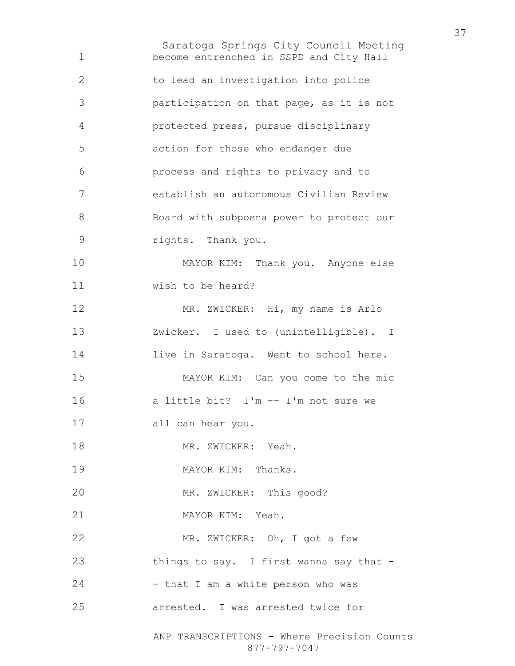Saratoga Springs City Council Meeting ANP TRANSCRIPTIONS - Where Precision Counts become entrenched in SSPD and City Hall to lead an investigation into police participation on that page, as it is not protected press, pursue disciplinary action for those who endanger due process and rights to privacy and to establish an autonomous Civilian Review Board with subpoena power to protect our rights. Thank you. MAYOR KIM: Thank you. Anyone else wish to be heard? MR. ZWICKER: Hi, my name is Arlo Zwicker. I used to (unintelligible). I 14 live in Saratoga. Went to school here. MAYOR KIM: Can you come to the mic a little bit? I'm -- I'm not sure we all can hear you. 18 MR. ZWICKER: Yeah. 19 MAYOR KIM: Thanks. 20 MR. ZWICKER: This good? MAYOR KIM: Yeah. MR. ZWICKER: Oh, I got a few 23 things to say. I first wanna say that -24 - that I am a white person who was arrested. I was arrested twice for

877-797-7047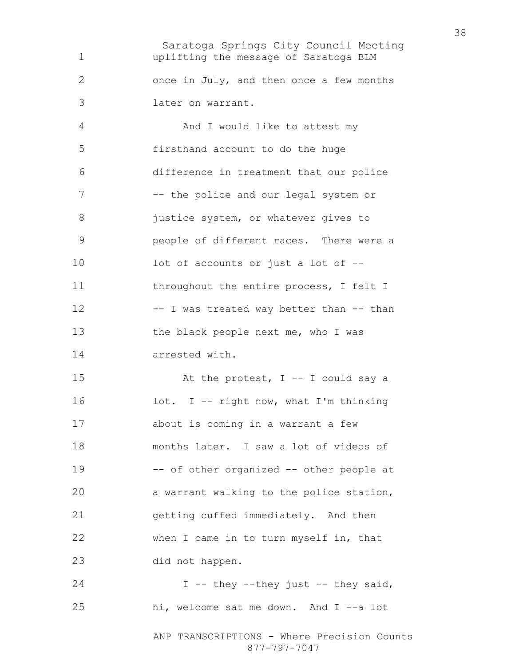Saratoga Springs City Council Meeting uplifting the message of Saratoga BLM once in July, and then once a few months later on warrant. And I would like to attest my firsthand account to do the huge difference in treatment that our police 7 -- the police and our legal system or 8 justice system, or whatever gives to people of different races. There were a lot of accounts or just a lot of -- 11 throughout the entire process, I felt I 12 -- I was treated way better than -- than the black people next me, who I was arrested with. 15 At the protest, I -- I could say a lot. I -- right now, what I'm thinking about is coming in a warrant a few months later. I saw a lot of videos of -- of other organized -- other people at a warrant walking to the police station, getting cuffed immediately. And then when I came in to turn myself in, that did not happen. 24 I -- they --they just -- they said,

hi, welcome sat me down. And I --a lot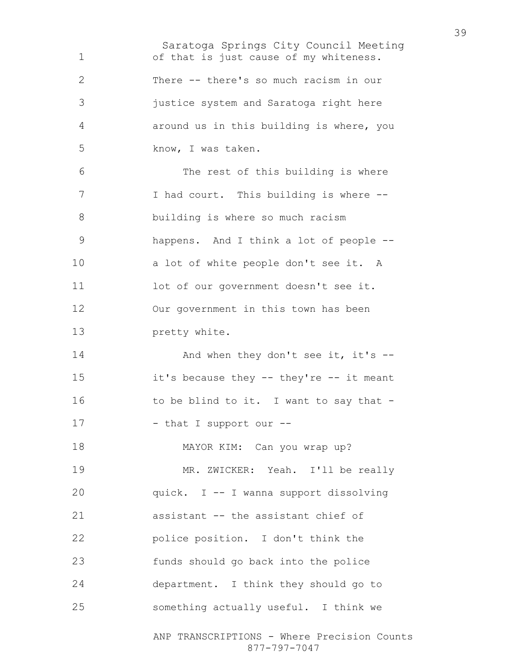Saratoga Springs City Council Meeting ANP TRANSCRIPTIONS - Where Precision Counts of that is just cause of my whiteness. There -- there's so much racism in our justice system and Saratoga right here around us in this building is where, you know, I was taken. The rest of this building is where 7 I had court. This building is where --building is where so much racism happens. And I think a lot of people -- a lot of white people don't see it. A 11 lot of our government doesn't see it. Our government in this town has been pretty white. 14 And when they don't see it, it's --it's because they -- they're -- it meant 16 to be blind to it. I want to say that -17 - that I support our --MAYOR KIM: Can you wrap up? MR. ZWICKER: Yeah. I'll be really quick. I -- I wanna support dissolving assistant -- the assistant chief of police position. I don't think the funds should go back into the police department. I think they should go to something actually useful. I think we

877-797-7047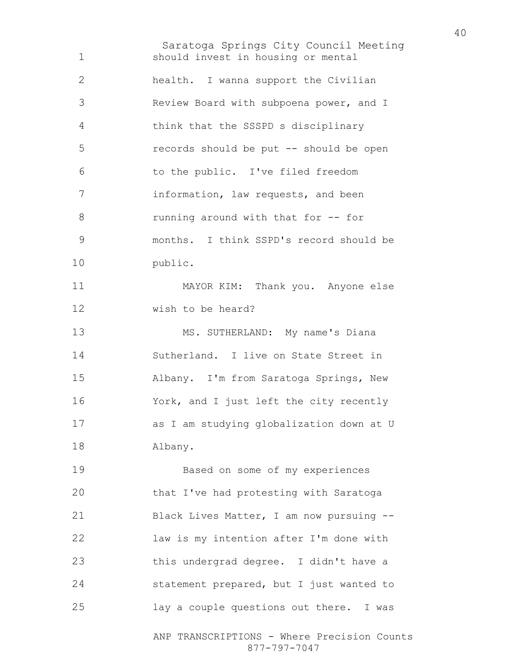Saratoga Springs City Council Meeting should invest in housing or mental health. I wanna support the Civilian Review Board with subpoena power, and I think that the SSSPD s disciplinary records should be put -- should be open to the public. I've filed freedom information, law requests, and been running around with that for -- for months. I think SSPD's record should be public. MAYOR KIM: Thank you. Anyone else wish to be heard? MS. SUTHERLAND: My name's Diana Sutherland. I live on State Street in Albany. I'm from Saratoga Springs, New York, and I just left the city recently as I am studying globalization down at U Albany. Based on some of my experiences that I've had protesting with Saratoga Black Lives Matter, I am now pursuing -- law is my intention after I'm done with this undergrad degree. I didn't have a statement prepared, but I just wanted to lay a couple questions out there. I was

ANP TRANSCRIPTIONS - Where Precision Counts 877-797-7047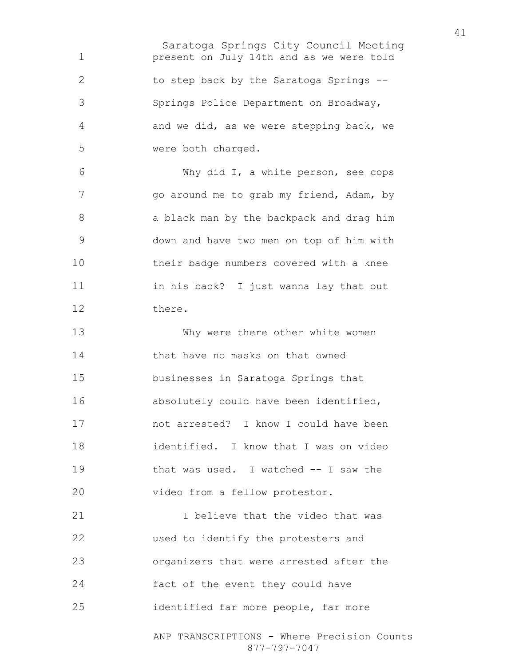Saratoga Springs City Council Meeting present on July 14th and as we were told to step back by the Saratoga Springs -- Springs Police Department on Broadway, and we did, as we were stepping back, we were both charged.

Why did I, a white person, see cops 7 go around me to grab my friend, Adam, by a black man by the backpack and drag him down and have two men on top of him with their badge numbers covered with a knee in his back? I just wanna lay that out there.

Why were there other white women that have no masks on that owned businesses in Saratoga Springs that absolutely could have been identified, not arrested? I know I could have been identified. I know that I was on video that was used. I watched -- I saw the video from a fellow protestor.

21 Thelieve that the video that was used to identify the protesters and organizers that were arrested after the fact of the event they could have identified far more people, far more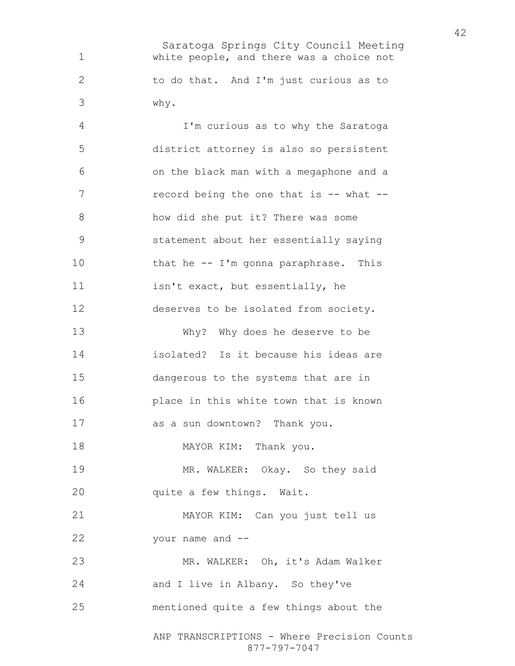Saratoga Springs City Council Meeting white people, and there was a choice not to do that. And I'm just curious as to why.

ANP TRANSCRIPTIONS - Where Precision Counts 877-797-7047 I'm curious as to why the Saratoga district attorney is also so persistent on the black man with a megaphone and a 7 record being the one that is -- what --how did she put it? There was some statement about her essentially saying that he -- I'm gonna paraphrase. This isn't exact, but essentially, he deserves to be isolated from society. Why? Why does he deserve to be isolated? Is it because his ideas are dangerous to the systems that are in place in this white town that is known as a sun downtown? Thank you. 18 MAYOR KIM: Thank you. MR. WALKER: Okay. So they said quite a few things. Wait. MAYOR KIM: Can you just tell us your name and -- MR. WALKER: Oh, it's Adam Walker 24 and I live in Albany. So they've mentioned quite a few things about the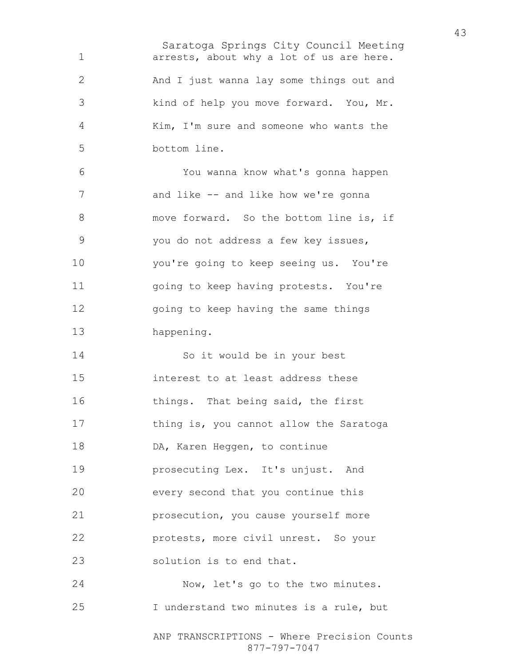Saratoga Springs City Council Meeting arrests, about why a lot of us are here. And I just wanna lay some things out and kind of help you move forward. You, Mr. Kim, I'm sure and someone who wants the bottom line. You wanna know what's gonna happen 7 and like -- and like how we're gonna 8 move forward. So the bottom line is, if you do not address a few key issues, you're going to keep seeing us. You're going to keep having protests. You're going to keep having the same things happening. So it would be in your best interest to at least address these things. That being said, the first thing is, you cannot allow the Saratoga 18 DA, Karen Heggen, to continue prosecuting Lex. It's unjust. And every second that you continue this prosecution, you cause yourself more protests, more civil unrest. So your solution is to end that. Now, let's go to the two minutes.

I understand two minutes is a rule, but

ANP TRANSCRIPTIONS - Where Precision Counts 877-797-7047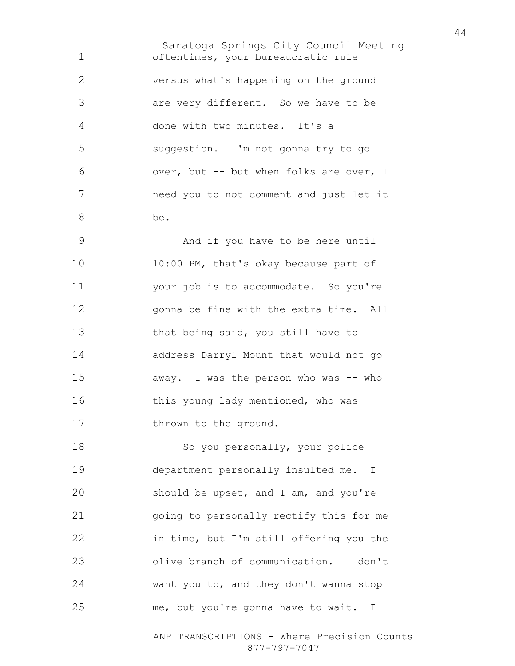Saratoga Springs City Council Meeting oftentimes, your bureaucratic rule versus what's happening on the ground are very different. So we have to be done with two minutes. It's a suggestion. I'm not gonna try to go over, but -- but when folks are over, I need you to not comment and just let it be.

And if you have to be here until 10:00 PM, that's okay because part of your job is to accommodate. So you're gonna be fine with the extra time. All that being said, you still have to address Darryl Mount that would not go away. I was the person who was -- who 16 this young lady mentioned, who was 17 thrown to the ground.

18 So you personally, your police department personally insulted me. I should be upset, and I am, and you're going to personally rectify this for me in time, but I'm still offering you the olive branch of communication. I don't want you to, and they don't wanna stop me, but you're gonna have to wait. I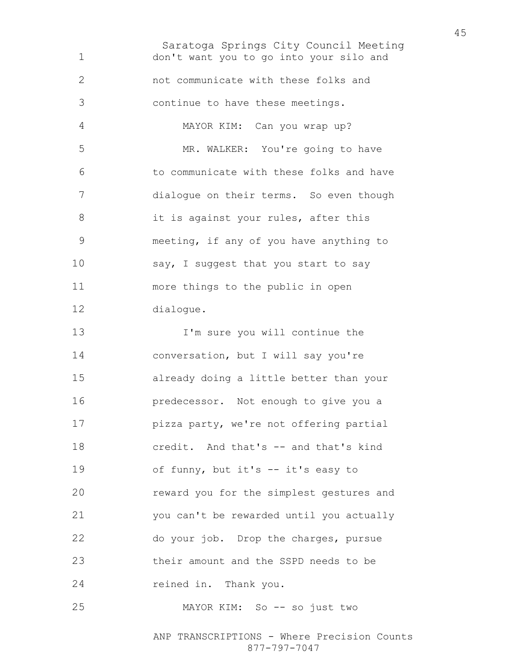Saratoga Springs City Council Meeting don't want you to go into your silo and not communicate with these folks and continue to have these meetings. MAYOR KIM: Can you wrap up? MR. WALKER: You're going to have to communicate with these folks and have dialogue on their terms. So even though 8 it is against your rules, after this meeting, if any of you have anything to 10 say, I suggest that you start to say more things to the public in open dialogue. I'm sure you will continue the conversation, but I will say you're already doing a little better than your predecessor. Not enough to give you a pizza party, we're not offering partial credit. And that's -- and that's kind 19 of funny, but it's -- it's easy to reward you for the simplest gestures and you can't be rewarded until you actually do your job. Drop the charges, pursue their amount and the SSPD needs to be reined in. Thank you. MAYOR KIM: So -- so just two

> ANP TRANSCRIPTIONS - Where Precision Counts 877-797-7047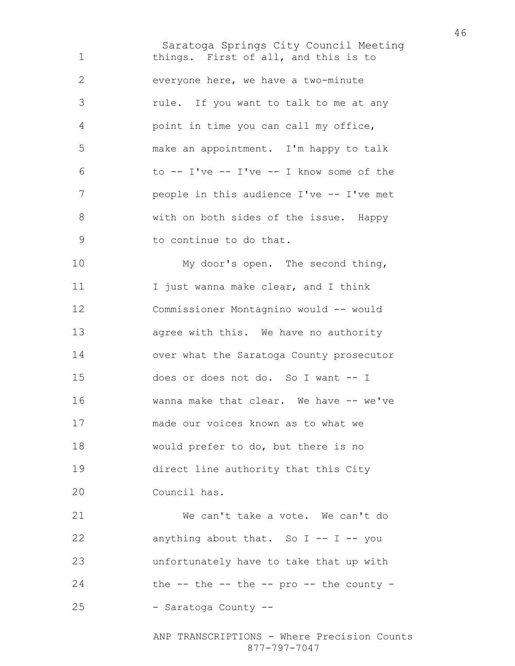Saratoga Springs City Council Meeting things. First of all, and this is to everyone here, we have a two-minute rule. If you want to talk to me at any point in time you can call my office, make an appointment. I'm happy to talk to -- I've -- I've -- I know some of the 7 people in this audience I've -- I've met with on both sides of the issue. Happy to continue to do that. My door's open. The second thing, 11 I just wanna make clear, and I think Commissioner Montagnino would -- would agree with this. We have no authority over what the Saratoga County prosecutor does or does not do. So I want -- I wanna make that clear. We have -- we've made our voices known as to what we would prefer to do, but there is no direct line authority that this City Council has. We can't take a vote. We can't do anything about that. So I -- I -- you unfortunately have to take that up with

the  $-$  the  $-$  the  $-$  pro  $-$  the county  $-$ 

- Saratoga County --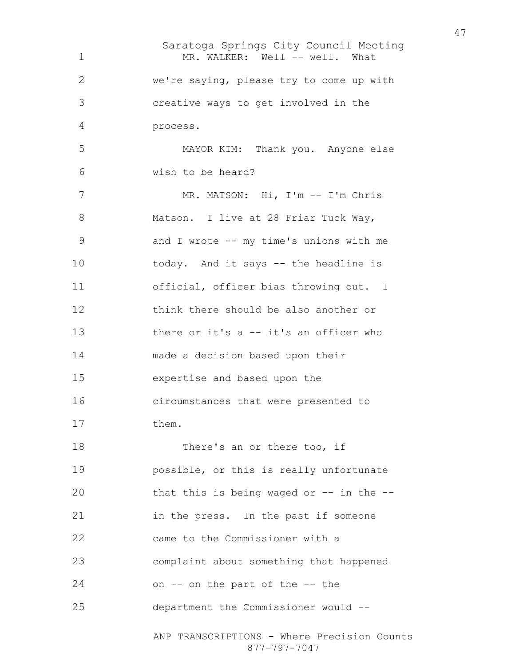Saratoga Springs City Council Meeting ANP TRANSCRIPTIONS - Where Precision Counts 877-797-7047 1 MR. WALKER: Well -- well. What we're saying, please try to come up with creative ways to get involved in the process. MAYOR KIM: Thank you. Anyone else wish to be heard? MR. MATSON: Hi, I'm -- I'm Chris 8 Matson. I live at 28 Friar Tuck Way, and I wrote -- my time's unions with me today. And it says -- the headline is official, officer bias throwing out. I think there should be also another or there or it's a -- it's an officer who made a decision based upon their expertise and based upon the circumstances that were presented to 17 them. 18 There's an or there too, if possible, or this is really unfortunate that this is being waged or -- in the -- in the press. In the past if someone came to the Commissioner with a complaint about something that happened on -- on the part of the -- the department the Commissioner would --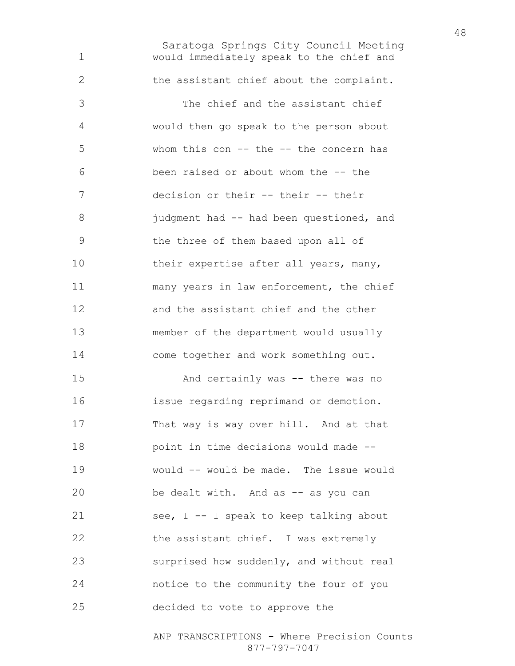Saratoga Springs City Council Meeting would immediately speak to the chief and the assistant chief about the complaint. The chief and the assistant chief would then go speak to the person about 5 whom this con -- the -- the concern has been raised or about whom the -- the decision or their -- their -- their 8 judgment had -- had been questioned, and the three of them based upon all of 10 their expertise after all years, many, many years in law enforcement, the chief and the assistant chief and the other member of the department would usually come together and work something out. And certainly was -- there was no issue regarding reprimand or demotion. That way is way over hill. And at that point in time decisions would made -- would -- would be made. The issue would 20 be dealt with. And as -- as you can 21 see, I -- I speak to keep talking about 22 the assistant chief. I was extremely surprised how suddenly, and without real notice to the community the four of you decided to vote to approve the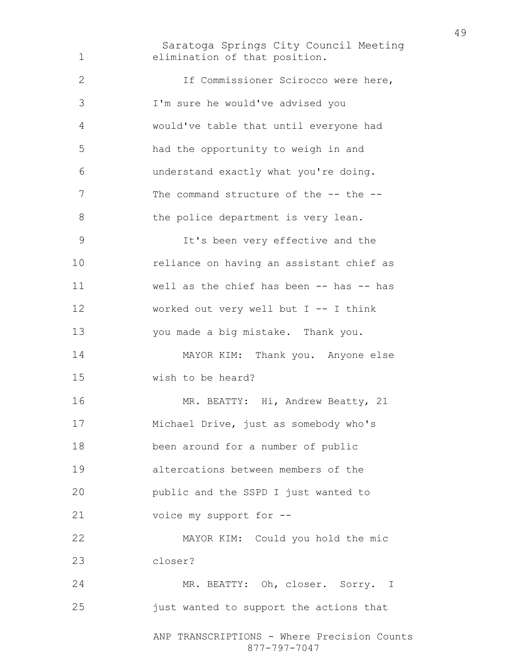Saratoga Springs City Council Meeting ANP TRANSCRIPTIONS - Where Precision Counts elimination of that position. If Commissioner Scirocco were here, I'm sure he would've advised you would've table that until everyone had had the opportunity to weigh in and understand exactly what you're doing. 7 The command structure of the -- the --8 the police department is very lean. It's been very effective and the reliance on having an assistant chief as well as the chief has been -- has -- has worked out very well but I -- I think you made a big mistake. Thank you. MAYOR KIM: Thank you. Anyone else wish to be heard? 16 MR. BEATTY: Hi, Andrew Beatty, 21 Michael Drive, just as somebody who's been around for a number of public altercations between members of the public and the SSPD I just wanted to voice my support for -- MAYOR KIM: Could you hold the mic closer? MR. BEATTY: Oh, closer. Sorry. I just wanted to support the actions that

877-797-7047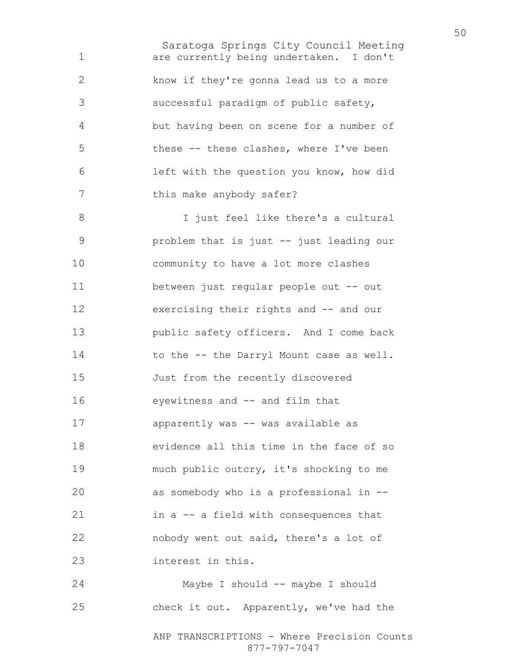Saratoga Springs City Council Meeting are currently being undertaken. I don't know if they're gonna lead us to a more successful paradigm of public safety, but having been on scene for a number of these -- these clashes, where I've been left with the question you know, how did 7 this make anybody safer? 8 I just feel like there's a cultural problem that is just -- just leading our community to have a lot more clashes between just regular people out -- out exercising their rights and -- and our public safety officers. And I come back 14 to the -- the Darryl Mount case as well. Just from the recently discovered eyewitness and -- and film that apparently was -- was available as evidence all this time in the face of so much public outcry, it's shocking to me as somebody who is a professional in -- in a -- a field with consequences that nobody went out said, there's a lot of interest in this.

ANP TRANSCRIPTIONS - Where Precision Counts Maybe I should -- maybe I should check it out. Apparently, we've had the

877-797-7047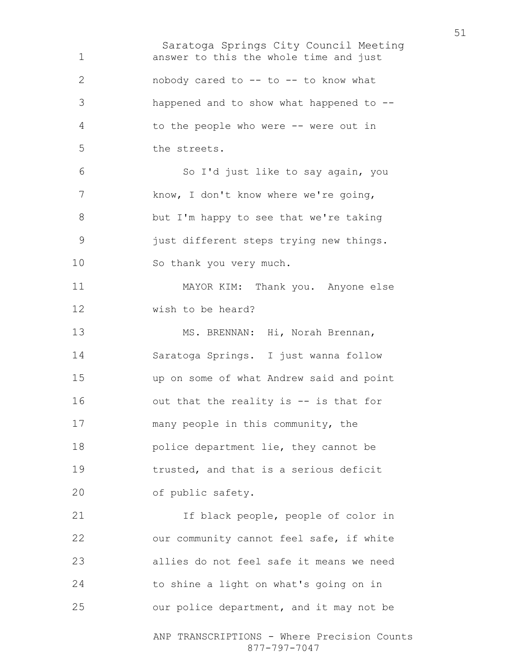Saratoga Springs City Council Meeting answer to this the whole time and just 2 nobody cared to -- to -- to know what happened and to show what happened to -- to the people who were -- were out in the streets. So I'd just like to say again, you 7 know, I don't know where we're going, but I'm happy to see that we're taking just different steps trying new things. So thank you very much. MAYOR KIM: Thank you. Anyone else wish to be heard? 13 MS. BRENNAN: Hi, Norah Brennan, Saratoga Springs. I just wanna follow up on some of what Andrew said and point out that the reality is -- is that for many people in this community, the police department lie, they cannot be trusted, and that is a serious deficit of public safety. 21 15 If black people, people of color in our community cannot feel safe, if white allies do not feel safe it means we need to shine a light on what's going on in our police department, and it may not be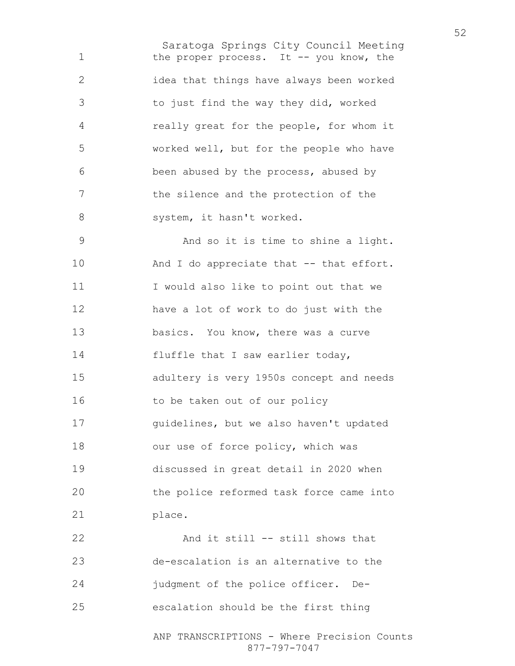Saratoga Springs City Council Meeting 1 the proper process. It -- you know, the idea that things have always been worked to just find the way they did, worked really great for the people, for whom it worked well, but for the people who have been abused by the process, abused by the silence and the protection of the 8 system, it hasn't worked. And so it is time to shine a light. 10 And I do appreciate that -- that effort. 11 I would also like to point out that we have a lot of work to do just with the

basics. You know, there was a curve 14 fluffle that I saw earlier today, adultery is very 1950s concept and needs 16 to be taken out of our policy guidelines, but we also haven't updated 18 our use of force policy, which was discussed in great detail in 2020 when the police reformed task force came into 21 place.

And it still -- still shows that de-escalation is an alternative to the judgment of the police officer. De-escalation should be the first thing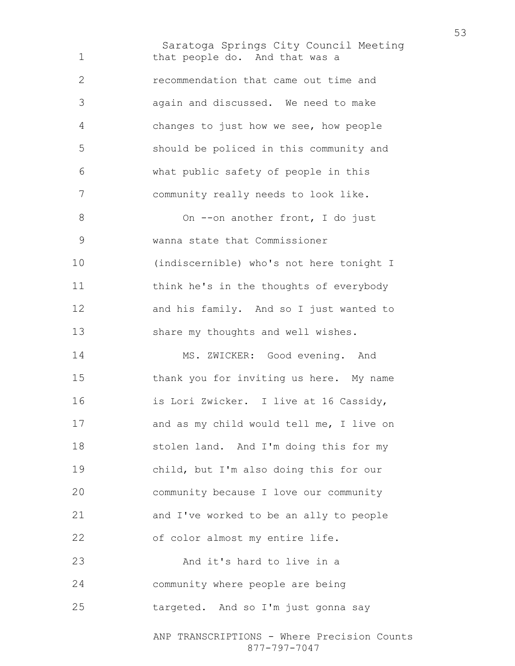Saratoga Springs City Council Meeting that people do. And that was a recommendation that came out time and again and discussed. We need to make changes to just how we see, how people should be policed in this community and what public safety of people in this community really needs to look like. 8 On --on another front, I do just wanna state that Commissioner (indiscernible) who's not here tonight I think he's in the thoughts of everybody and his family. And so I just wanted to 13 share my thoughts and well wishes. 14 MS. ZWICKER: Good evening. And thank you for inviting us here. My name is Lori Zwicker. I live at 16 Cassidy, and as my child would tell me, I live on stolen land. And I'm doing this for my child, but I'm also doing this for our community because I love our community and I've worked to be an ally to people 22 of color almost my entire life. 23 And it's hard to live in a community where people are being targeted. And so I'm just gonna say

ANP TRANSCRIPTIONS - Where Precision Counts 877-797-7047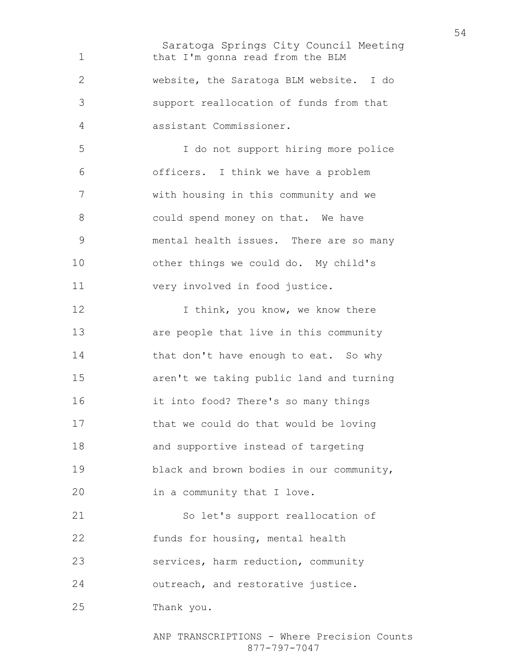Saratoga Springs City Council Meeting 1 that I'm gonna read from the BLM website, the Saratoga BLM website. I do support reallocation of funds from that assistant Commissioner. I do not support hiring more police officers. I think we have a problem with housing in this community and we 8 could spend money on that. We have mental health issues. There are so many other things we could do. My child's very involved in food justice. 12 I think, you know, we know there are people that live in this community 14 that don't have enough to eat. So why aren't we taking public land and turning it into food? There's so many things that we could do that would be loving and supportive instead of targeting black and brown bodies in our community, in a community that I love. So let's support reallocation of funds for housing, mental health services, harm reduction, community 24 outreach, and restorative justice. Thank you.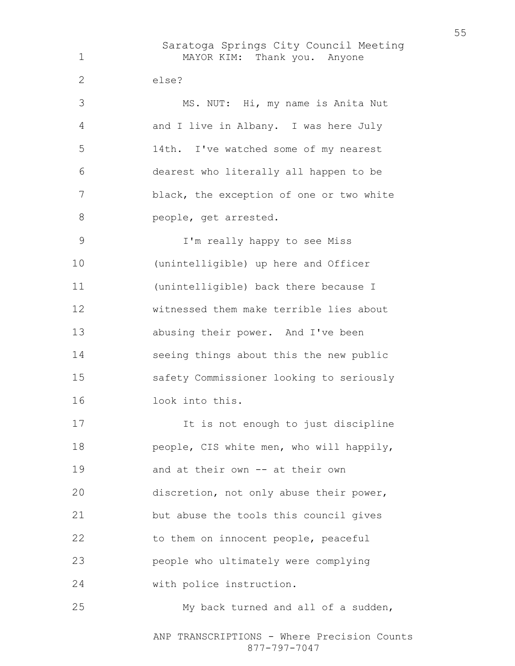Saratoga Springs City Council Meeting MAYOR KIM: Thank you. Anyone else? MS. NUT: Hi, my name is Anita Nut and I live in Albany. I was here July 14th. I've watched some of my nearest dearest who literally all happen to be black, the exception of one or two white **people**, get arrested. I'm really happy to see Miss (unintelligible) up here and Officer (unintelligible) back there because I witnessed them make terrible lies about abusing their power. And I've been seeing things about this the new public safety Commissioner looking to seriously look into this. 17 17 It is not enough to just discipline 18 people, CIS white men, who will happily, and at their own -- at their own discretion, not only abuse their power, but abuse the tools this council gives 22 to them on innocent people, peaceful people who ultimately were complying with police instruction. My back turned and all of a sudden,

ANP TRANSCRIPTIONS - Where Precision Counts 877-797-7047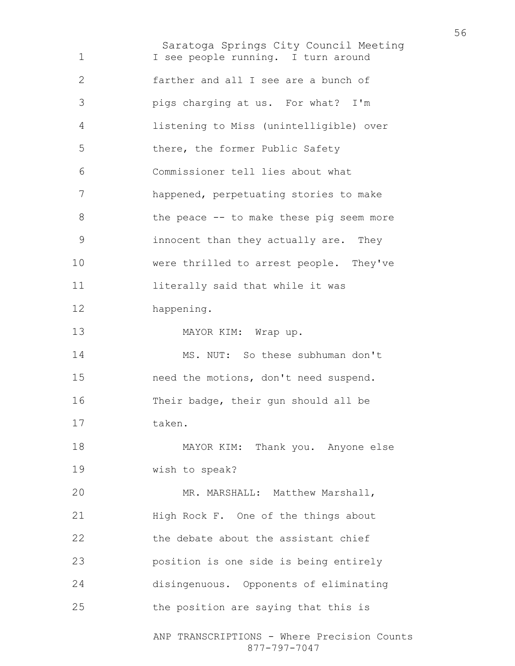Saratoga Springs City Council Meeting ANP TRANSCRIPTIONS - Where Precision Counts 1 I see people running. I turn around farther and all I see are a bunch of pigs charging at us. For what? I'm listening to Miss (unintelligible) over there, the former Public Safety Commissioner tell lies about what happened, perpetuating stories to make 8 the peace -- to make these pig seem more innocent than they actually are. They were thrilled to arrest people. They've 11 literally said that while it was happening. 13 MAYOR KIM: Wrap up. MS. NUT: So these subhuman don't need the motions, don't need suspend. Their badge, their gun should all be taken. MAYOR KIM: Thank you. Anyone else wish to speak? MR. MARSHALL: Matthew Marshall, High Rock F. One of the things about the debate about the assistant chief position is one side is being entirely disingenuous. Opponents of eliminating the position are saying that this is

877-797-7047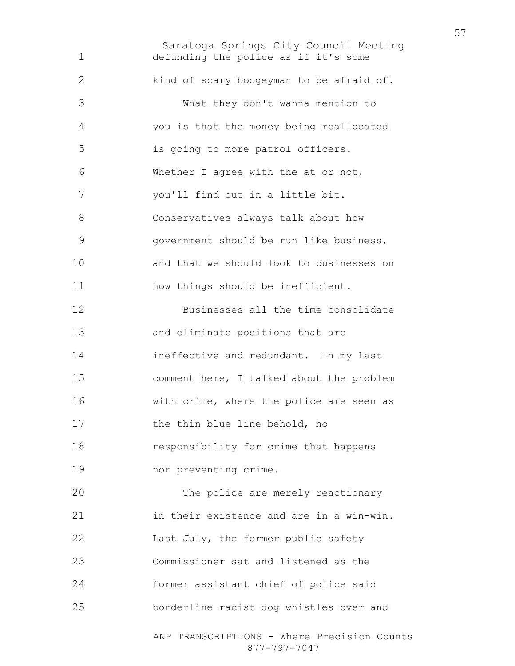Saratoga Springs City Council Meeting ANP TRANSCRIPTIONS - Where Precision Counts defunding the police as if it's some kind of scary boogeyman to be afraid of. What they don't wanna mention to you is that the money being reallocated is going to more patrol officers. Whether I agree with the at or not, you'll find out in a little bit. Conservatives always talk about how government should be run like business, and that we should look to businesses on how things should be inefficient. Businesses all the time consolidate and eliminate positions that are ineffective and redundant. In my last comment here, I talked about the problem with crime, where the police are seen as 17 the thin blue line behold, no responsibility for crime that happens nor preventing crime. The police are merely reactionary in their existence and are in a win-win. 22 Last July, the former public safety Commissioner sat and listened as the former assistant chief of police said borderline racist dog whistles over and

877-797-7047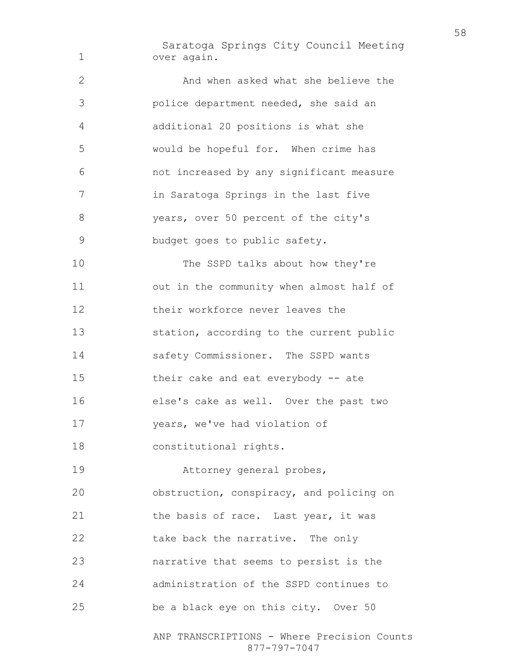Saratoga Springs City Council Meeting over again.

2 And when asked what she believe the police department needed, she said an additional 20 positions is what she would be hopeful for. When crime has not increased by any significant measure in Saratoga Springs in the last five years, over 50 percent of the city's budget goes to public safety. 10 The SSPD talks about how they're out in the community when almost half of their workforce never leaves the station, according to the current public safety Commissioner. The SSPD wants their cake and eat everybody -- ate else's cake as well. Over the past two years, we've had violation of constitutional rights. Attorney general probes, obstruction, conspiracy, and policing on 21 the basis of race. Last year, it was 22 take back the narrative. The only narrative that seems to persist is the

be a black eye on this city. Over 50

administration of the SSPD continues to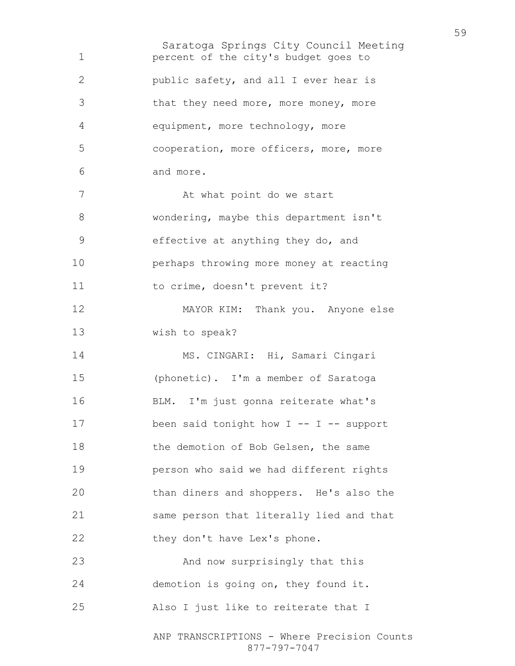Saratoga Springs City Council Meeting ANP TRANSCRIPTIONS - Where Precision Counts percent of the city's budget goes to public safety, and all I ever hear is that they need more, more money, more equipment, more technology, more cooperation, more officers, more, more and more. 7 At what point do we start wondering, maybe this department isn't effective at anything they do, and perhaps throwing more money at reacting 11 to crime, doesn't prevent it? MAYOR KIM: Thank you. Anyone else wish to speak? MS. CINGARI: Hi, Samari Cingari (phonetic). I'm a member of Saratoga BLM. I'm just gonna reiterate what's been said tonight how I -- I -- support 18 the demotion of Bob Gelsen, the same person who said we had different rights than diners and shoppers. He's also the same person that literally lied and that 22 they don't have Lex's phone. And now surprisingly that this demotion is going on, they found it. Also I just like to reiterate that I

877-797-7047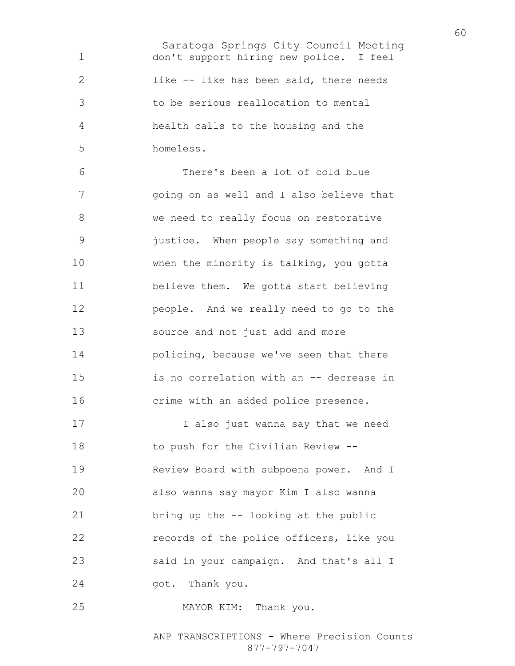Saratoga Springs City Council Meeting don't support hiring new police. I feel like -- like has been said, there needs to be serious reallocation to mental health calls to the housing and the homeless.

There's been a lot of cold blue going on as well and I also believe that we need to really focus on restorative justice. When people say something and 10 when the minority is talking, you gotta believe them. We gotta start believing people. And we really need to go to the source and not just add and more policing, because we've seen that there is no correlation with an -- decrease in crime with an added police presence.

I also just wanna say that we need 18 to push for the Civilian Review --Review Board with subpoena power. And I also wanna say mayor Kim I also wanna bring up the -- looking at the public records of the police officers, like you said in your campaign. And that's all I got. Thank you.

MAYOR KIM: Thank you.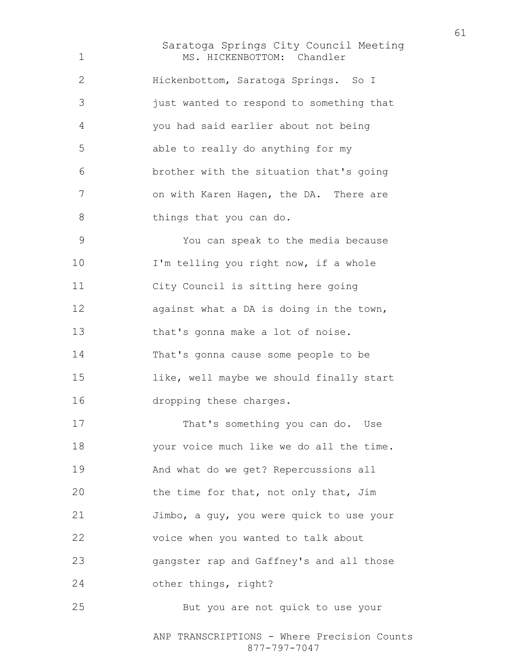Saratoga Springs City Council Meeting 1 MS. HICKENBOTTOM: Chandler Hickenbottom, Saratoga Springs. So I just wanted to respond to something that you had said earlier about not being able to really do anything for my brother with the situation that's going 7 on with Karen Hagen, the DA. There are 8 things that you can do. You can speak to the media because

I'm telling you right now, if a whole City Council is sitting here going 12 against what a DA is doing in the town, that's gonna make a lot of noise. That's gonna cause some people to be like, well maybe we should finally start dropping these charges.

That's something you can do. Use your voice much like we do all the time. And what do we get? Repercussions all the time for that, not only that, Jim Jimbo, a guy, you were quick to use your voice when you wanted to talk about gangster rap and Gaffney's and all those other things, right? But you are not quick to use your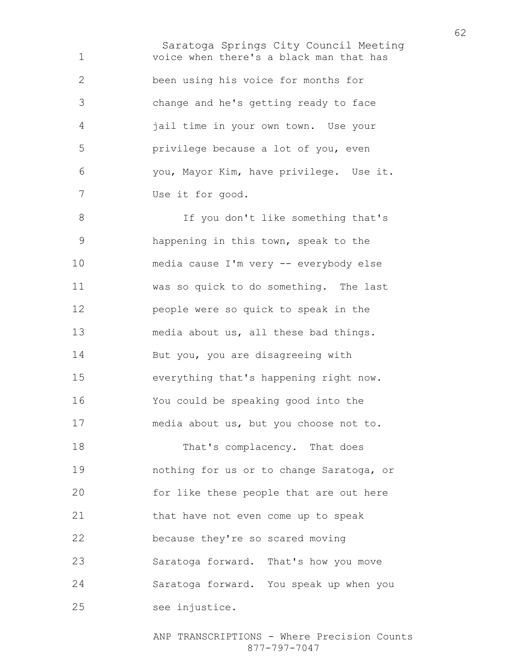Saratoga Springs City Council Meeting voice when there's a black man that has been using his voice for months for change and he's getting ready to face jail time in your own town. Use your privilege because a lot of you, even you, Mayor Kim, have privilege. Use it. Use it for good. If you don't like something that's happening in this town, speak to the media cause I'm very -- everybody else was so quick to do something. The last people were so quick to speak in the media about us, all these bad things. 14 But you, you are disagreeing with everything that's happening right now. You could be speaking good into the

media about us, but you choose not to.

18 That's complacency. That does nothing for us or to change Saratoga, or for like these people that are out here that have not even come up to speak because they're so scared moving Saratoga forward. That's how you move Saratoga forward. You speak up when you see injustice.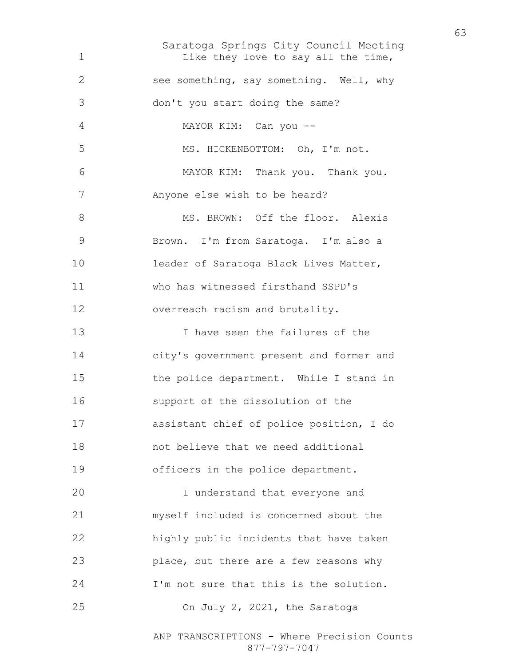Saratoga Springs City Council Meeting 1 Like they love to say all the time, see something, say something. Well, why don't you start doing the same? MAYOR KIM: Can you -- MS. HICKENBOTTOM: Oh, I'm not. MAYOR KIM: Thank you. Thank you. Anyone else wish to be heard? 8 MS. BROWN: Off the floor. Alexis Brown. I'm from Saratoga. I'm also a leader of Saratoga Black Lives Matter, who has witnessed firsthand SSPD's overreach racism and brutality. I have seen the failures of the city's government present and former and the police department. While I stand in support of the dissolution of the assistant chief of police position, I do not believe that we need additional officers in the police department. I understand that everyone and myself included is concerned about the highly public incidents that have taken place, but there are a few reasons why I'm not sure that this is the solution. On July 2, 2021, the Saratoga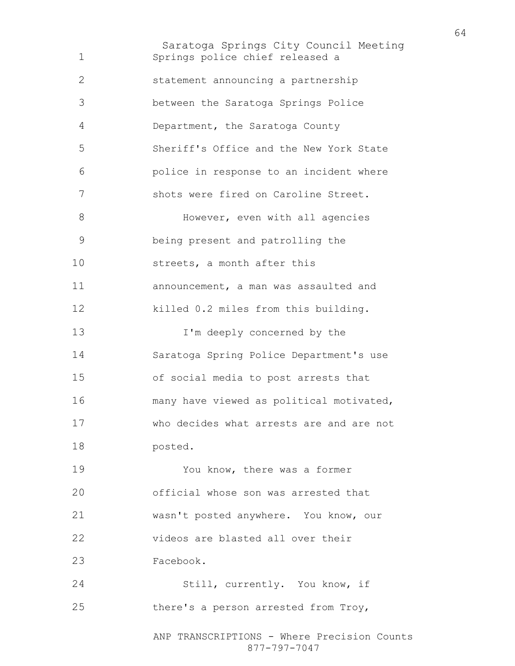Saratoga Springs City Council Meeting Springs police chief released a statement announcing a partnership between the Saratoga Springs Police Department, the Saratoga County Sheriff's Office and the New York State police in response to an incident where shots were fired on Caroline Street. 8 However, even with all agencies being present and patrolling the streets, a month after this announcement, a man was assaulted and killed 0.2 miles from this building. I'm deeply concerned by the Saratoga Spring Police Department's use of social media to post arrests that many have viewed as political motivated, who decides what arrests are and are not posted. You know, there was a former official whose son was arrested that wasn't posted anywhere. You know, our videos are blasted all over their Facebook. Still, currently. You know, if there's a person arrested from Troy,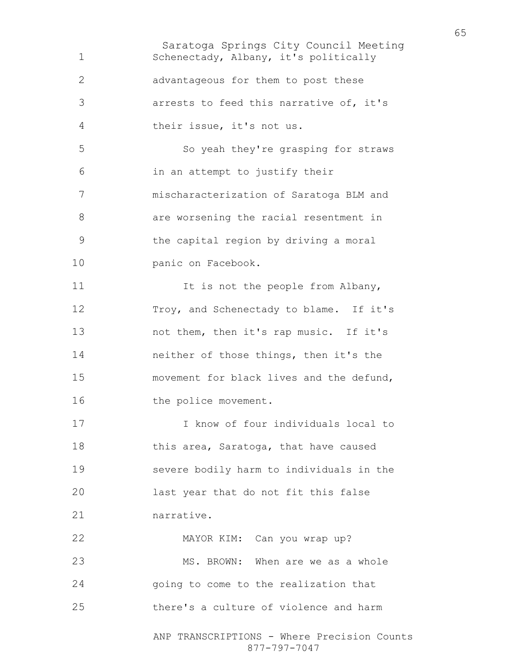Saratoga Springs City Council Meeting ANP TRANSCRIPTIONS - Where Precision Counts Schenectady, Albany, it's politically advantageous for them to post these arrests to feed this narrative of, it's their issue, it's not us. So yeah they're grasping for straws in an attempt to justify their mischaracterization of Saratoga BLM and are worsening the racial resentment in the capital region by driving a moral panic on Facebook. 11 It is not the people from Albany, Troy, and Schenectady to blame. If it's 13 not them, then it's rap music. If it's neither of those things, then it's the movement for black lives and the defund, 16 the police movement. I know of four individuals local to 18 this area, Saratoga, that have caused severe bodily harm to individuals in the last year that do not fit this false narrative. MAYOR KIM: Can you wrap up? MS. BROWN: When are we as a whole going to come to the realization that there's a culture of violence and harm

877-797-7047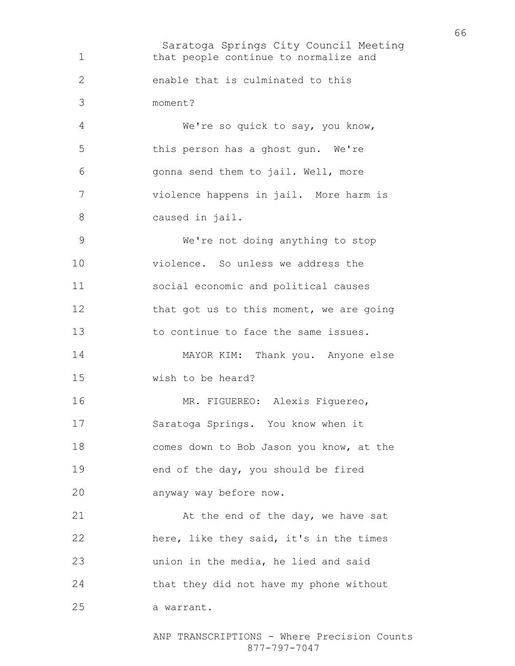Saratoga Springs City Council Meeting that people continue to normalize and enable that is culminated to this moment? We're so quick to say, you know, this person has a ghost gun. We're gonna send them to jail. Well, more violence happens in jail. More harm is caused in jail. We're not doing anything to stop violence. So unless we address the social economic and political causes 12 that got us to this moment, we are going to continue to face the same issues. MAYOR KIM: Thank you. Anyone else wish to be heard? MR. FIGUEREO: Alexis Figuereo, Saratoga Springs. You know when it comes down to Bob Jason you know, at the end of the day, you should be fired anyway way before now. 21 At the end of the day, we have sat here, like they said, it's in the times union in the media, he lied and said that they did not have my phone without a warrant.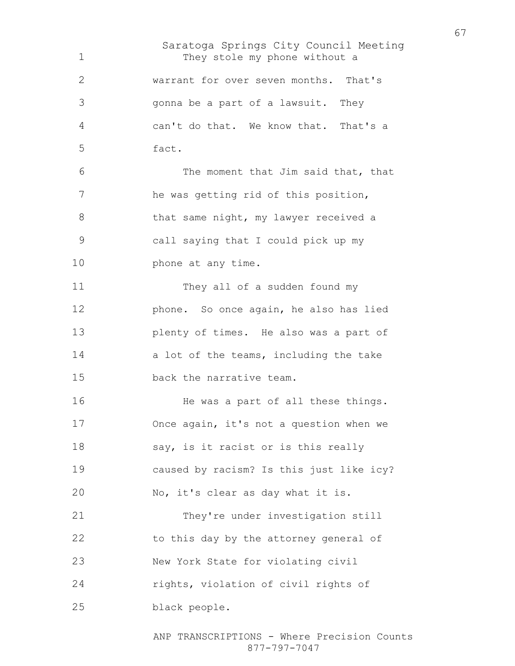Saratoga Springs City Council Meeting They stole my phone without a warrant for over seven months. That's gonna be a part of a lawsuit. They can't do that. We know that. That's a fact. The moment that Jim said that, that he was getting rid of this position, 8 that same night, my lawyer received a call saying that I could pick up my **phone** at any time. 11 They all of a sudden found my phone. So once again, he also has lied plenty of times. He also was a part of 14 a lot of the teams, including the take back the narrative team. 16 He was a part of all these things. Once again, it's not a question when we 18 say, is it racist or is this really caused by racism? Is this just like icy? No, it's clear as day what it is. They're under investigation still to this day by the attorney general of New York State for violating civil rights, violation of civil rights of black people.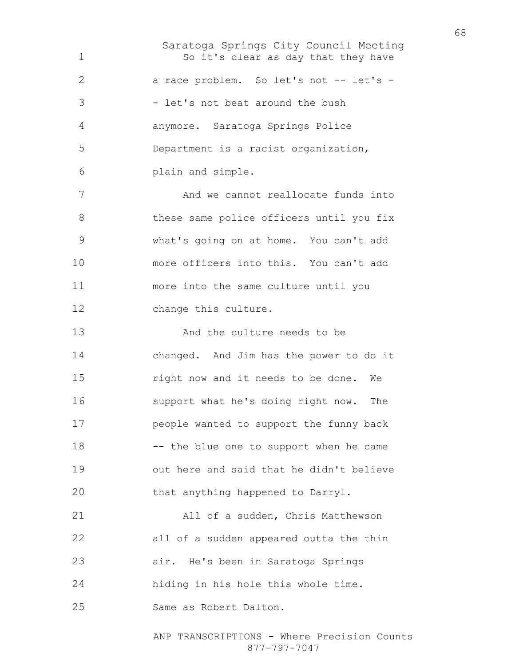Saratoga Springs City Council Meeting 1 So it's clear as day that they have 2 a race problem. So let's not -- let's -3 - let's not beat around the bush anymore. Saratoga Springs Police Department is a racist organization, plain and simple. 7 And we cannot reallocate funds into 8 these same police officers until you fix what's going on at home. You can't add more officers into this. You can't add more into the same culture until you change this culture. 13 And the culture needs to be changed. And Jim has the power to do it right now and it needs to be done. We support what he's doing right now. The people wanted to support the funny back -- the blue one to support when he came out here and said that he didn't believe that anything happened to Darryl. All of a sudden, Chris Matthewson all of a sudden appeared outta the thin air. He's been in Saratoga Springs hiding in his hole this whole time. Same as Robert Dalton.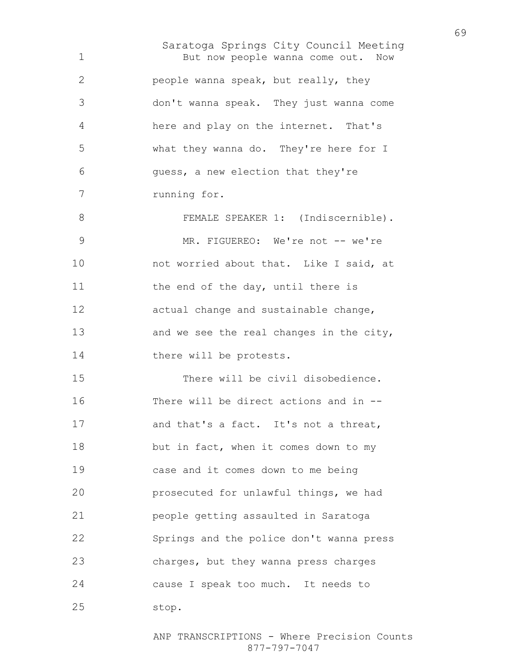Saratoga Springs City Council Meeting But now people wanna come out. Now people wanna speak, but really, they don't wanna speak. They just wanna come here and play on the internet. That's what they wanna do. They're here for I guess, a new election that they're running for. 8 FEMALE SPEAKER 1: (Indiscernible). 9 MR. FIGUEREO: We're not -- we're 10 not worried about that. Like I said, at 11 the end of the day, until there is actual change and sustainable change, 13 and we see the real changes in the city, 14 there will be protests. There will be civil disobedience. There will be direct actions and in -- 17 and that's a fact. It's not a threat, 18 but in fact, when it comes down to my case and it comes down to me being prosecuted for unlawful things, we had people getting assaulted in Saratoga Springs and the police don't wanna press charges, but they wanna press charges cause I speak too much. It needs to stop.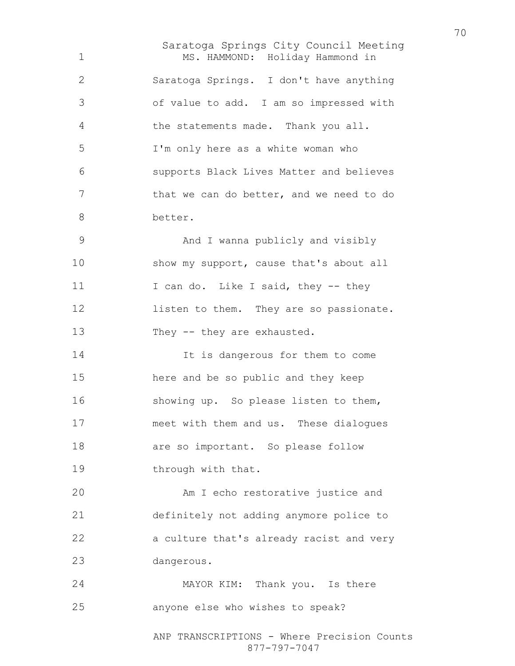Saratoga Springs City Council Meeting MS. HAMMOND: Holiday Hammond in Saratoga Springs. I don't have anything of value to add. I am so impressed with the statements made. Thank you all. I'm only here as a white woman who supports Black Lives Matter and believes 7 that we can do better, and we need to do better. And I wanna publicly and visibly 10 show my support, cause that's about all 11 I can do. Like I said, they -- they **listen to them.** They are so passionate. 13 They -- they are exhausted. 14 It is dangerous for them to come here and be so public and they keep showing up. So please listen to them, meet with them and us. These dialogues 18 are so important. So please follow 19 through with that. Am I echo restorative justice and definitely not adding anymore police to a culture that's already racist and very dangerous. MAYOR KIM: Thank you. Is there anyone else who wishes to speak?

> ANP TRANSCRIPTIONS - Where Precision Counts 877-797-7047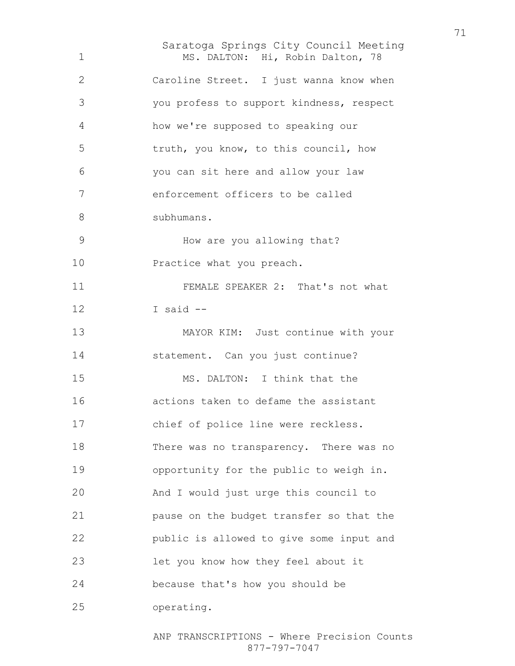Saratoga Springs City Council Meeting MS. DALTON: Hi, Robin Dalton, 78 Caroline Street. I just wanna know when you profess to support kindness, respect how we're supposed to speaking our truth, you know, to this council, how you can sit here and allow your law enforcement officers to be called subhumans. How are you allowing that? 10 Practice what you preach. FEMALE SPEAKER 2: That's not what I said -- MAYOR KIM: Just continue with your 14 statement. Can you just continue? MS. DALTON: I think that the actions taken to defame the assistant chief of police line were reckless. There was no transparency. There was no opportunity for the public to weigh in. And I would just urge this council to pause on the budget transfer so that the public is allowed to give some input and let you know how they feel about it because that's how you should be operating.

> ANP TRANSCRIPTIONS - Where Precision Counts 877-797-7047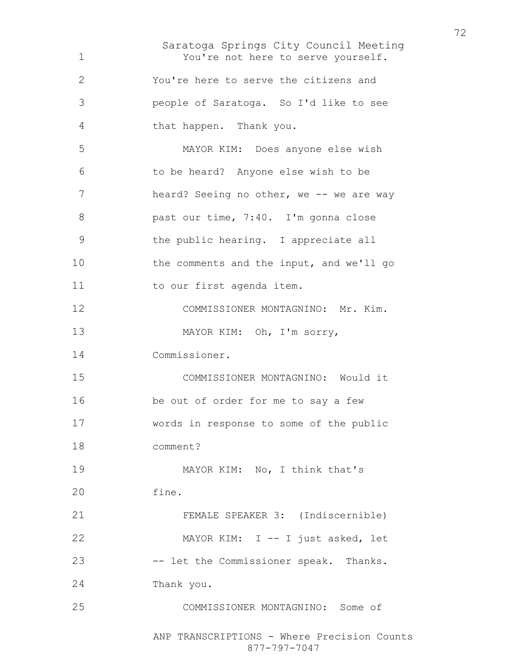Saratoga Springs City Council Meeting You're not here to serve yourself. You're here to serve the citizens and people of Saratoga. So I'd like to see that happen. Thank you. MAYOR KIM: Does anyone else wish to be heard? Anyone else wish to be 7 heard? Seeing no other, we -- we are way past our time, 7:40. I'm gonna close the public hearing. I appreciate all the comments and the input, and we'll go 11 to our first agenda item. COMMISSIONER MONTAGNINO: Mr. Kim. MAYOR KIM: Oh, I'm sorry, Commissioner. COMMISSIONER MONTAGNINO: Would it be out of order for me to say a few words in response to some of the public comment? 19 MAYOR KIM: No, I think that's fine. FEMALE SPEAKER 3: (Indiscernible) MAYOR KIM: I -- I just asked, let -- let the Commissioner speak. Thanks. Thank you. COMMISSIONER MONTAGNINO: Some of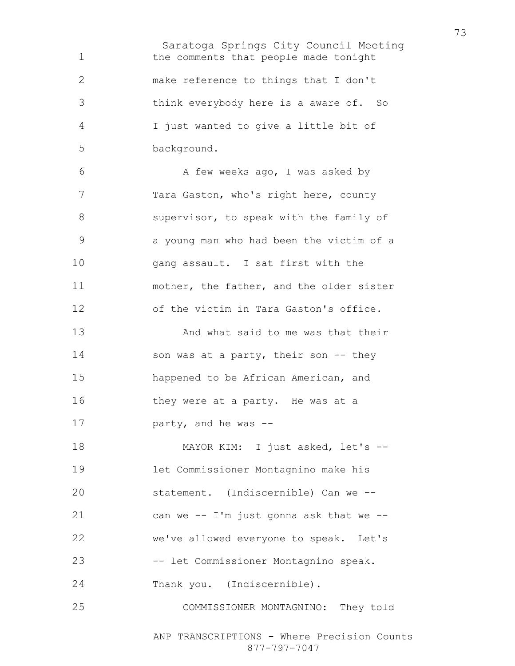Saratoga Springs City Council Meeting the comments that people made tonight make reference to things that I don't think everybody here is a aware of. So I just wanted to give a little bit of background. 6 A few weeks ago, I was asked by Tara Gaston, who's right here, county supervisor, to speak with the family of a young man who had been the victim of a gang assault. I sat first with the mother, the father, and the older sister of the victim in Tara Gaston's office. And what said to me was that their 14 son was at a party, their son -- they happened to be African American, and 16 they were at a party. He was at a party, and he was -- 18 MAYOR KIM: I just asked, let's --let Commissioner Montagnino make his statement. (Indiscernible) Can we -- can we -- I'm just gonna ask that we -- we've allowed everyone to speak. Let's -- let Commissioner Montagnino speak. Thank you. (Indiscernible). COMMISSIONER MONTAGNINO: They told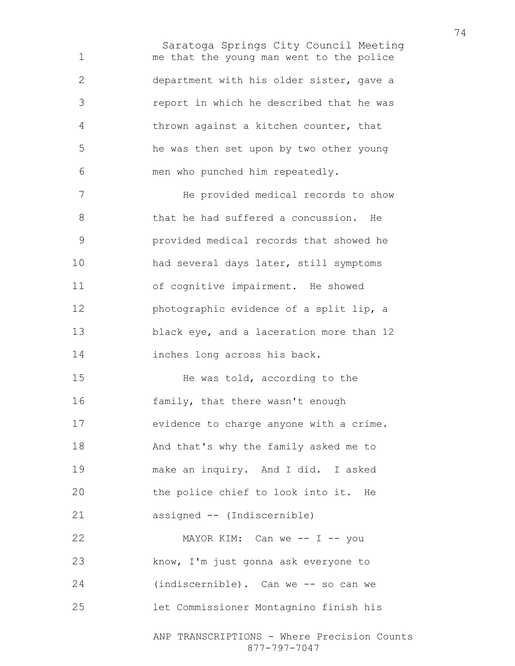Saratoga Springs City Council Meeting me that the young man went to the police department with his older sister, gave a report in which he described that he was thrown against a kitchen counter, that he was then set upon by two other young men who punched him repeatedly.

He provided medical records to show that he had suffered a concussion. He provided medical records that showed he had several days later, still symptoms of cognitive impairment. He showed photographic evidence of a split lip, a 13 black eye, and a laceration more than 12 inches long across his back.

He was told, according to the family, that there wasn't enough evidence to charge anyone with a crime. And that's why the family asked me to make an inquiry. And I did. I asked the police chief to look into it. He assigned -- (Indiscernible)

22 MAYOR KIM: Can we -- I -- you know, I'm just gonna ask everyone to (indiscernible). Can we -- so can we let Commissioner Montagnino finish his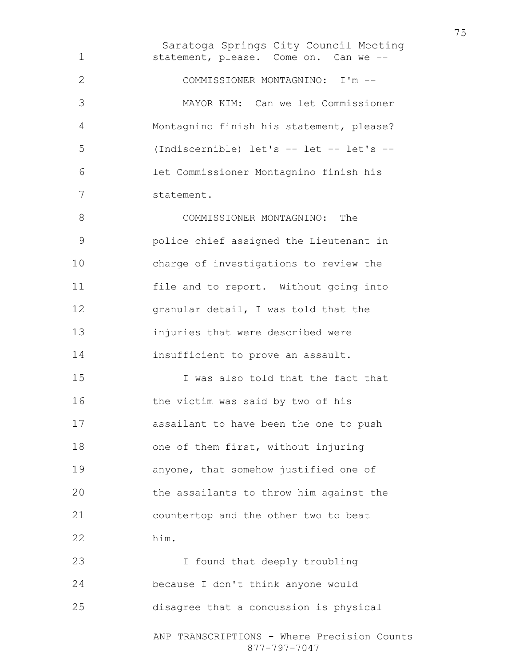Saratoga Springs City Council Meeting statement, please. Come on. Can we -- COMMISSIONER MONTAGNINO: I'm -- MAYOR KIM: Can we let Commissioner Montagnino finish his statement, please? (Indiscernible) let's -- let -- let's -- let Commissioner Montagnino finish his statement. COMMISSIONER MONTAGNINO: The police chief assigned the Lieutenant in charge of investigations to review the file and to report. Without going into granular detail, I was told that the injuries that were described were insufficient to prove an assault. I was also told that the fact that the victim was said by two of his assailant to have been the one to push 18 one of them first, without injuring anyone, that somehow justified one of the assailants to throw him against the countertop and the other two to beat him. I found that deeply troubling because I don't think anyone would disagree that a concussion is physical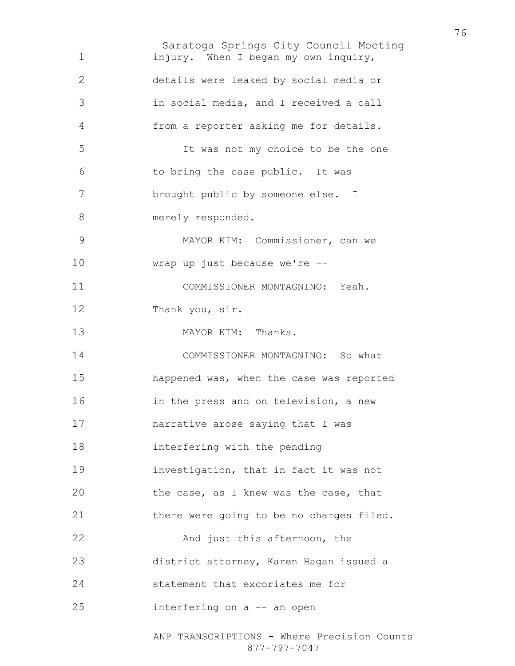Saratoga Springs City Council Meeting injury. When I began my own inquiry, details were leaked by social media or in social media, and I received a call from a reporter asking me for details. It was not my choice to be the one to bring the case public. It was brought public by someone else. I 8 merely responded. MAYOR KIM: Commissioner, can we wrap up just because we're -- COMMISSIONER MONTAGNINO: Yeah. Thank you, sir. 13 MAYOR KIM: Thanks. COMMISSIONER MONTAGNINO: So what happened was, when the case was reported in the press and on television, a new narrative arose saying that I was interfering with the pending investigation, that in fact it was not the case, as I knew was the case, that there were going to be no charges filed. 22 And just this afternoon, the district attorney, Karen Hagan issued a statement that excoriates me for interfering on a -- an open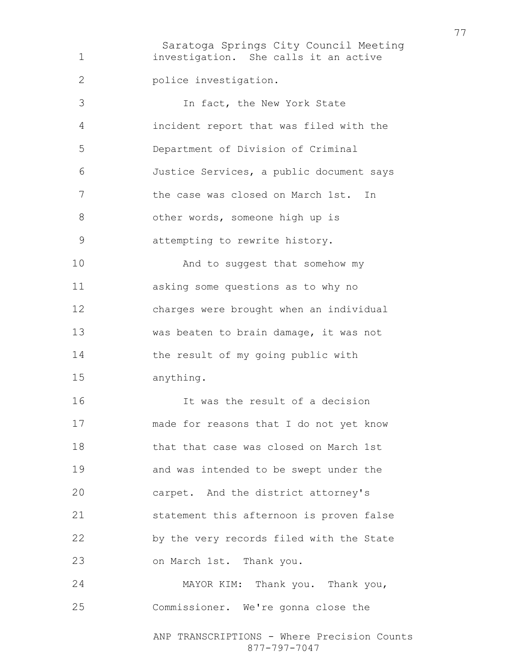Saratoga Springs City Council Meeting ANP TRANSCRIPTIONS - Where Precision Counts 877-797-7047 investigation. She calls it an active police investigation. In fact, the New York State incident report that was filed with the Department of Division of Criminal Justice Services, a public document says the case was closed on March 1st. In 8 other words, someone high up is attempting to rewrite history. 10 And to suggest that somehow my asking some questions as to why no charges were brought when an individual was beaten to brain damage, it was not 14 the result of my going public with anything. It was the result of a decision made for reasons that I do not yet know that that case was closed on March 1st and was intended to be swept under the carpet. And the district attorney's statement this afternoon is proven false by the very records filed with the State on March 1st. Thank you. MAYOR KIM: Thank you. Thank you, Commissioner. We're gonna close the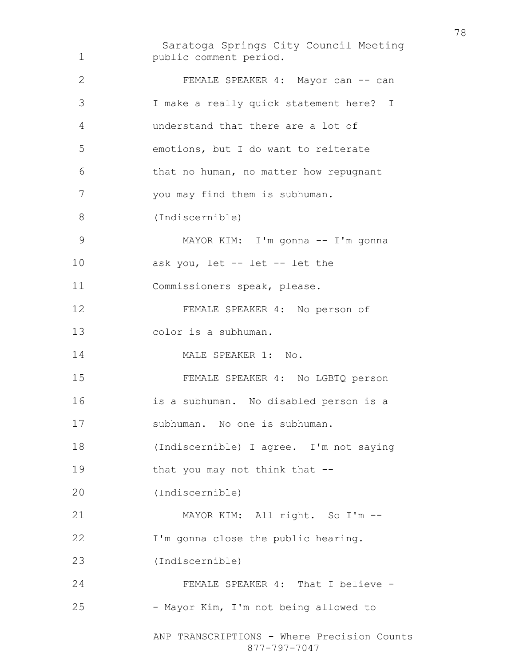Saratoga Springs City Council Meeting ANP TRANSCRIPTIONS - Where Precision Counts 877-797-7047 public comment period. 2 FEMALE SPEAKER 4: Mayor can -- can I make a really quick statement here? I understand that there are a lot of emotions, but I do want to reiterate that no human, no matter how repugnant you may find them is subhuman. (Indiscernible) MAYOR KIM: I'm gonna -- I'm gonna ask you, let -- let -- let the Commissioners speak, please. FEMALE SPEAKER 4: No person of color is a subhuman. 14 MALE SPEAKER 1: No. FEMALE SPEAKER 4: No LGBTQ person is a subhuman. No disabled person is a subhuman. No one is subhuman. (Indiscernible) I agree. I'm not saying that you may not think that -- (Indiscernible) MAYOR KIM: All right. So I'm -- I'm gonna close the public hearing. (Indiscernible) FEMALE SPEAKER 4: That I believe - - Mayor Kim, I'm not being allowed to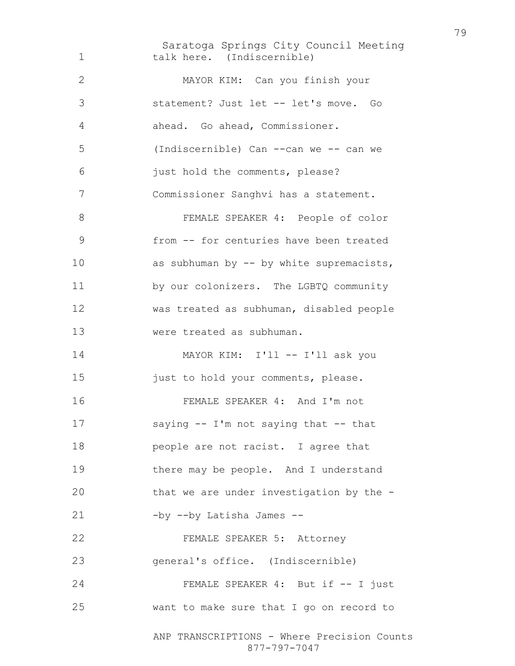Saratoga Springs City Council Meeting ANP TRANSCRIPTIONS - Where Precision Counts talk here. (Indiscernible) MAYOR KIM: Can you finish your statement? Just let -- let's move. Go ahead. Go ahead, Commissioner. (Indiscernible) Can --can we -- can we just hold the comments, please? Commissioner Sanghvi has a statement. FEMALE SPEAKER 4: People of color from -- for centuries have been treated 10 as subhuman by -- by white supremacists, by our colonizers. The LGBTQ community was treated as subhuman, disabled people were treated as subhuman. 14 MAYOR KIM: I'll -- I'll ask you 15 just to hold your comments, please. FEMALE SPEAKER 4: And I'm not saying -- I'm not saying that -- that **people are not racist.** I agree that there may be people. And I understand that we are under investigation by the - 21 -by --by Latisha James --FEMALE SPEAKER 5: Attorney general's office. (Indiscernible) 24 FEMALE SPEAKER 4: But if  $-$  I just want to make sure that I go on record to

877-797-7047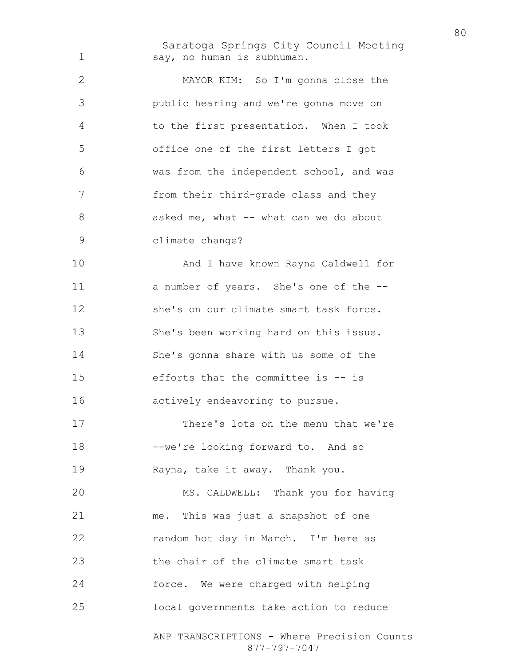Saratoga Springs City Council Meeting say, no human is subhuman.

MAYOR KIM: So I'm gonna close the public hearing and we're gonna move on to the first presentation. When I took office one of the first letters I got was from the independent school, and was from their third-grade class and they 8 asked me, what -- what can we do about climate change? And I have known Rayna Caldwell for a number of years. She's one of the -- she's on our climate smart task force. She's been working hard on this issue.

She's gonna share with us some of the efforts that the committee is -- is actively endeavoring to pursue.

There's lots on the menu that we're --we're looking forward to. And so Rayna, take it away. Thank you.

MS. CALDWELL: Thank you for having me. This was just a snapshot of one random hot day in March. I'm here as 23 the chair of the climate smart task force. We were charged with helping local governments take action to reduce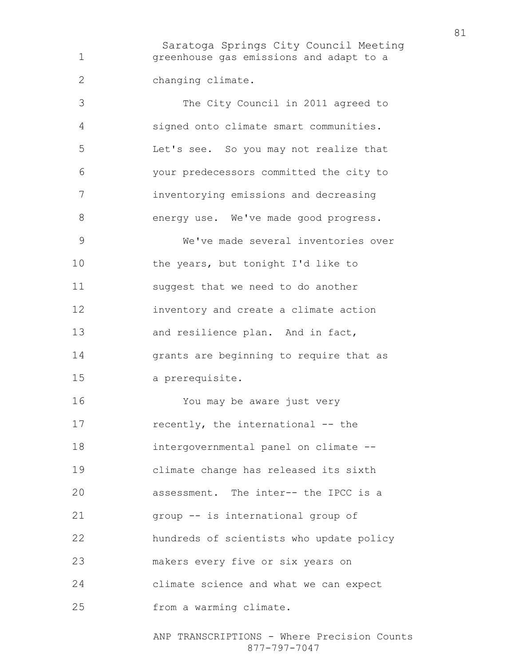Saratoga Springs City Council Meeting greenhouse gas emissions and adapt to a changing climate.

The City Council in 2011 agreed to signed onto climate smart communities. Let's see. So you may not realize that your predecessors committed the city to inventorying emissions and decreasing 8 energy use. We've made good progress. We've made several inventories over 10 the years, but tonight I'd like to suggest that we need to do another inventory and create a climate action 13 and resilience plan. And in fact, grants are beginning to require that as a prerequisite. You may be aware just very 17 recently, the international -- the intergovernmental panel on climate -- climate change has released its sixth assessment. The inter-- the IPCC is a group -- is international group of

hundreds of scientists who update policy

makers every five or six years on

climate science and what we can expect

from a warming climate.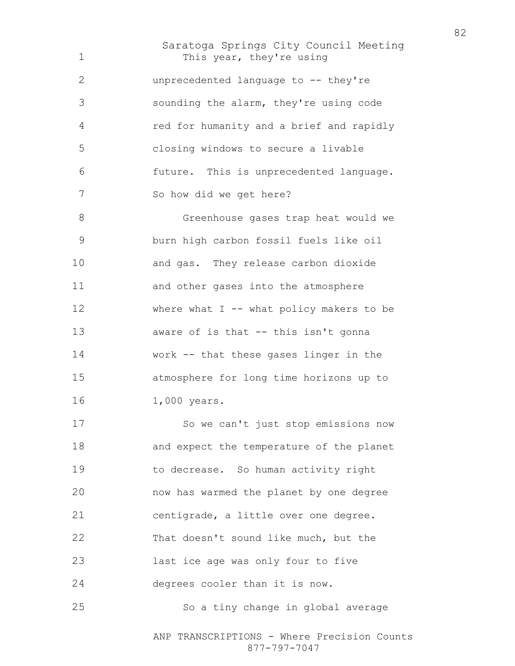Saratoga Springs City Council Meeting 1 This year, they're using unprecedented language to -- they're sounding the alarm, they're using code red for humanity and a brief and rapidly closing windows to secure a livable future. This is unprecedented language. So how did we get here? Greenhouse gases trap heat would we burn high carbon fossil fuels like oil and gas. They release carbon dioxide and other gases into the atmosphere 12 where what I -- what policy makers to be aware of is that -- this isn't gonna work -- that these gases linger in the atmosphere for long time horizons up to 1,000 years. So we can't just stop emissions now and expect the temperature of the planet to decrease. So human activity right now has warmed the planet by one degree centigrade, a little over one degree. That doesn't sound like much, but the last ice age was only four to five degrees cooler than it is now. So a tiny change in global average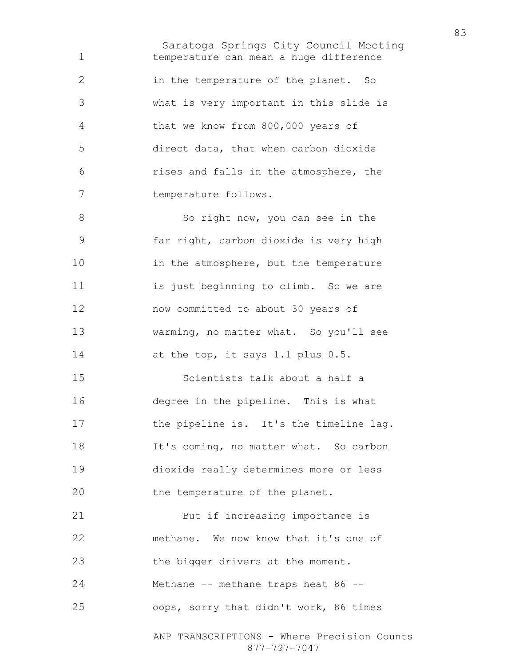Saratoga Springs City Council Meeting temperature can mean a huge difference in the temperature of the planet. So what is very important in this slide is that we know from 800,000 years of direct data, that when carbon dioxide rises and falls in the atmosphere, the temperature follows.

8 So right now, you can see in the far right, carbon dioxide is very high 10 in the atmosphere, but the temperature is just beginning to climb. So we are now committed to about 30 years of warming, no matter what. So you'll see 14 at the top, it says 1.1 plus 0.5.

Scientists talk about a half a degree in the pipeline. This is what 17 the pipeline is. It's the timeline lag. It's coming, no matter what. So carbon dioxide really determines more or less 20 the temperature of the planet.

But if increasing importance is methane. We now know that it's one of 23 the bigger drivers at the moment. Methane -- methane traps heat 86 -- oops, sorry that didn't work, 86 times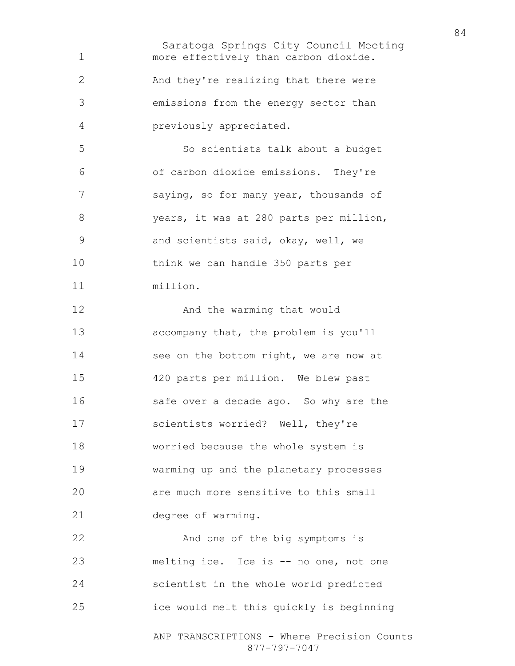Saratoga Springs City Council Meeting ANP TRANSCRIPTIONS - Where Precision Counts more effectively than carbon dioxide. And they're realizing that there were emissions from the energy sector than previously appreciated. So scientists talk about a budget of carbon dioxide emissions. They're saying, so for many year, thousands of years, it was at 280 parts per million, and scientists said, okay, well, we think we can handle 350 parts per million. 12 And the warming that would accompany that, the problem is you'll 14 see on the bottom right, we are now at 420 parts per million. We blew past 16 safe over a decade ago. So why are the scientists worried? Well, they're worried because the whole system is warming up and the planetary processes are much more sensitive to this small degree of warming. And one of the big symptoms is melting ice. Ice is -- no one, not one scientist in the whole world predicted ice would melt this quickly is beginning

877-797-7047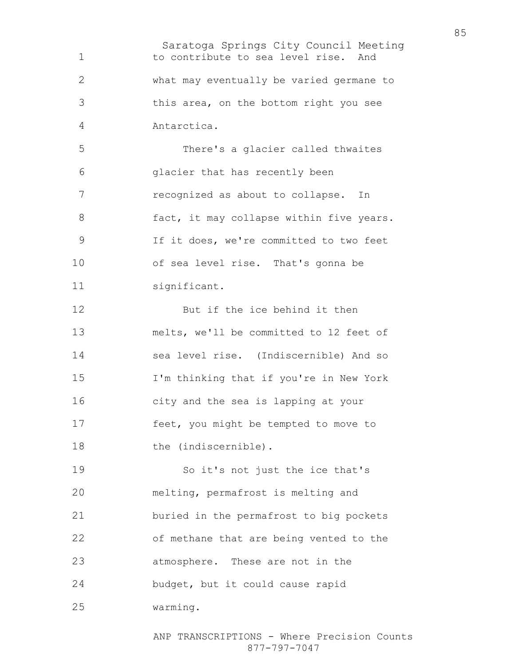Saratoga Springs City Council Meeting 1 to contribute to sea level rise. And what may eventually be varied germane to this area, on the bottom right you see Antarctica. There's a glacier called thwaites glacier that has recently been recognized as about to collapse. In 8 fact, it may collapse within five years. If it does, we're committed to two feet of sea level rise. That's gonna be significant. 12 But if the ice behind it then melts, we'll be committed to 12 feet of sea level rise. (Indiscernible) And so I'm thinking that if you're in New York city and the sea is lapping at your feet, you might be tempted to move to 18 the (indiscernible). So it's not just the ice that's melting, permafrost is melting and buried in the permafrost to big pockets of methane that are being vented to the atmosphere. These are not in the budget, but it could cause rapid warming.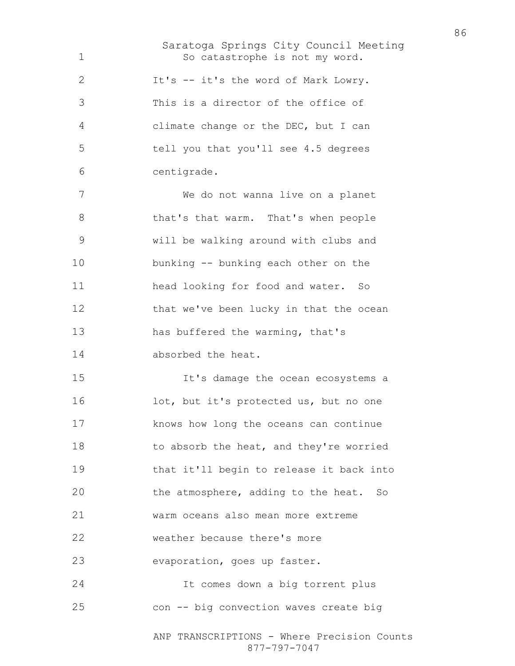Saratoga Springs City Council Meeting 1 So catastrophe is not my word. It's -- it's the word of Mark Lowry. This is a director of the office of climate change or the DEC, but I can tell you that you'll see 4.5 degrees centigrade. We do not wanna live on a planet 8 that's that warm. That's when people will be walking around with clubs and bunking -- bunking each other on the head looking for food and water. So 12 that we've been lucky in that the ocean has buffered the warming, that's absorbed the heat. It's damage the ocean ecosystems a lot, but it's protected us, but no one knows how long the oceans can continue 18 to absorb the heat, and they're worried that it'll begin to release it back into the atmosphere, adding to the heat. So warm oceans also mean more extreme weather because there's more evaporation, goes up faster. It comes down a big torrent plus con -- big convection waves create big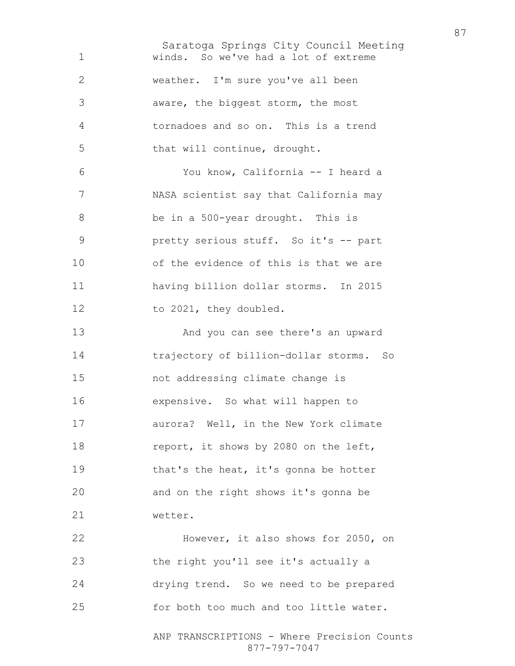Saratoga Springs City Council Meeting ANP TRANSCRIPTIONS - Where Precision Counts winds. So we've had a lot of extreme weather. I'm sure you've all been aware, the biggest storm, the most tornadoes and so on. This is a trend that will continue, drought. You know, California -- I heard a NASA scientist say that California may be in a 500-year drought. This is pretty serious stuff. So it's -- part of the evidence of this is that we are having billion dollar storms. In 2015 12 to 2021, they doubled. And you can see there's an upward trajectory of billion-dollar storms. So not addressing climate change is expensive. So what will happen to aurora? Well, in the New York climate 18 report, it shows by 2080 on the left, 19 that's the heat, it's gonna be hotter and on the right shows it's gonna be wetter. However, it also shows for 2050, on the right you'll see it's actually a drying trend. So we need to be prepared for both too much and too little water.

877-797-7047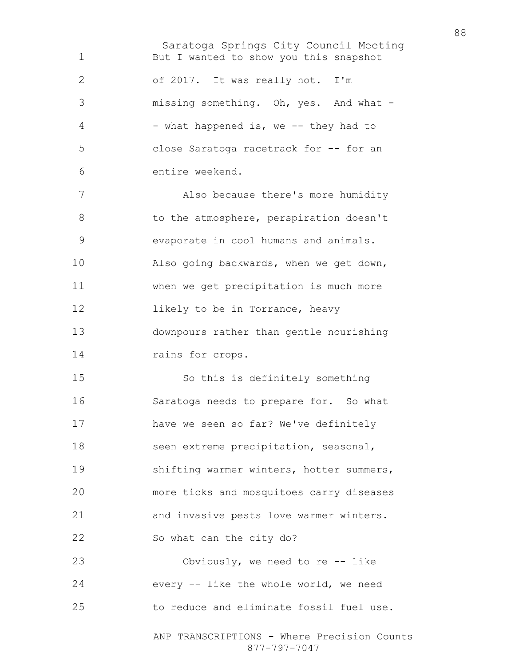Saratoga Springs City Council Meeting But I wanted to show you this snapshot of 2017. It was really hot. I'm missing something. Oh, yes. And what - 4 - what happened is, we -- they had to close Saratoga racetrack for -- for an entire weekend. Also because there's more humidity 8 to the atmosphere, perspiration doesn't evaporate in cool humans and animals. Also going backwards, when we get down, when we get precipitation is much more **likely** to be in Torrance, heavy downpours rather than gentle nourishing 14 rains for crops. So this is definitely something Saratoga needs to prepare for. So what have we seen so far? We've definitely seen extreme precipitation, seasonal, shifting warmer winters, hotter summers, more ticks and mosquitoes carry diseases and invasive pests love warmer winters. So what can the city do? Obviously, we need to re -- like every -- like the whole world, we need to reduce and eliminate fossil fuel use.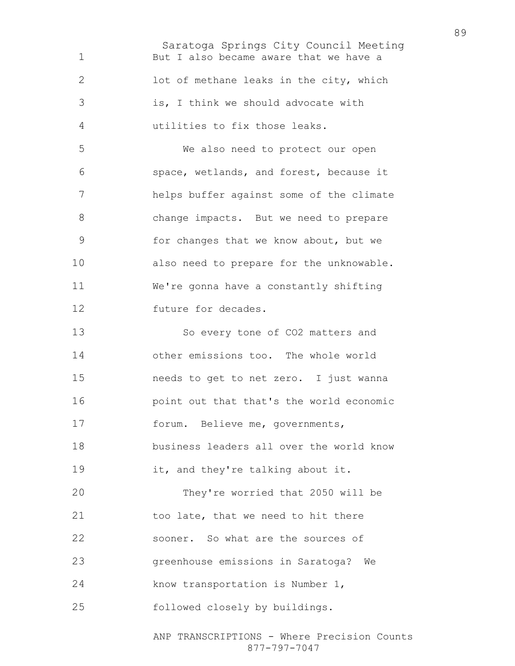Saratoga Springs City Council Meeting But I also became aware that we have a lot of methane leaks in the city, which is, I think we should advocate with utilities to fix those leaks. We also need to protect our open space, wetlands, and forest, because it helps buffer against some of the climate change impacts. But we need to prepare for changes that we know about, but we also need to prepare for the unknowable. We're gonna have a constantly shifting future for decades. So every tone of CO2 matters and other emissions too. The whole world needs to get to net zero. I just wanna point out that that's the world economic forum. Believe me, governments, business leaders all over the world know 19 it, and they're talking about it. They're worried that 2050 will be 21 too late, that we need to hit there sooner. So what are the sources of greenhouse emissions in Saratoga? We 24 know transportation is Number 1, followed closely by buildings.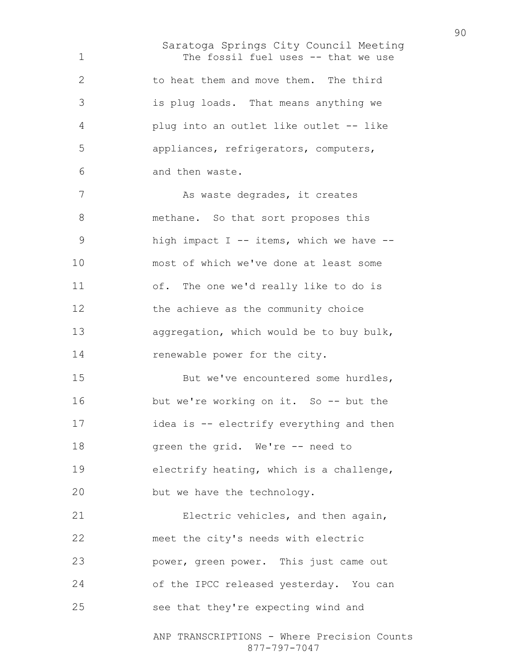Saratoga Springs City Council Meeting The fossil fuel uses -- that we use to heat them and move them. The third is plug loads. That means anything we plug into an outlet like outlet -- like appliances, refrigerators, computers, and then waste. As waste degrades, it creates 8 methane. So that sort proposes this 9 high impact I -- items, which we have --most of which we've done at least some of. The one we'd really like to do is 12 the achieve as the community choice aggregation, which would be to buy bulk, 14 renewable power for the city. 15 But we've encountered some hurdles, 16 but we're working on it. So -- but the 17 idea is -- electrify everything and then 18 green the grid. We're -- need to electrify heating, which is a challenge, but we have the technology. Electric vehicles, and then again, meet the city's needs with electric power, green power. This just came out of the IPCC released yesterday. You can see that they're expecting wind and

ANP TRANSCRIPTIONS - Where Precision Counts 877-797-7047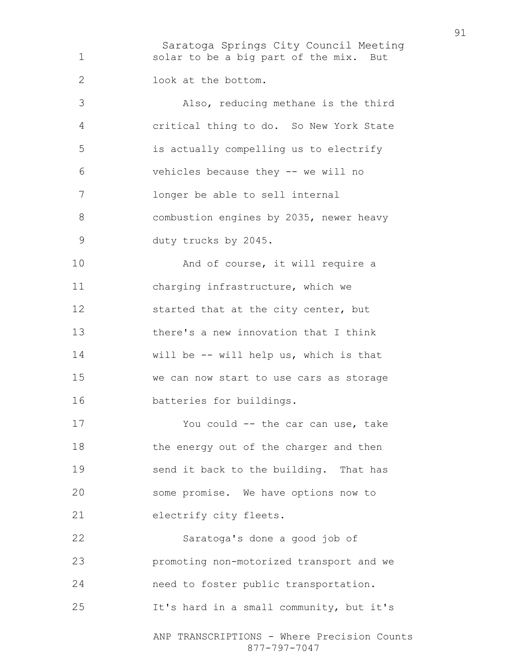Saratoga Springs City Council Meeting solar to be a big part of the mix. But look at the bottom. Also, reducing methane is the third critical thing to do. So New York State is actually compelling us to electrify vehicles because they -- we will no longer be able to sell internal combustion engines by 2035, newer heavy duty trucks by 2045. 10 And of course, it will require a charging infrastructure, which we 12 started that at the city center, but there's a new innovation that I think will be -- will help us, which is that we can now start to use cars as storage batteries for buildings. You could -- the car can use, take 18 the energy out of the charger and then send it back to the building. That has some promise. We have options now to electrify city fleets. Saratoga's done a good job of promoting non-motorized transport and we need to foster public transportation. It's hard in a small community, but it's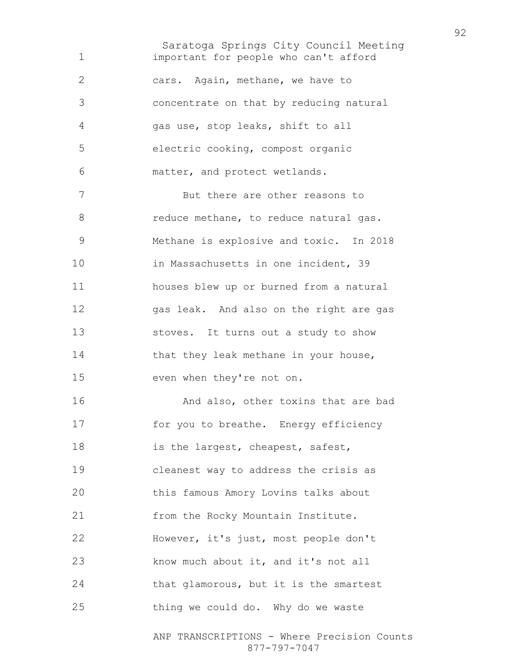Saratoga Springs City Council Meeting important for people who can't afford cars. Again, methane, we have to concentrate on that by reducing natural gas use, stop leaks, shift to all electric cooking, compost organic matter, and protect wetlands. But there are other reasons to 8 reduce methane, to reduce natural gas. Methane is explosive and toxic. In 2018 10 in Massachusetts in one incident, 39 houses blew up or burned from a natural gas leak. And also on the right are gas stoves. It turns out a study to show 14 that they leak methane in your house, even when they're not on. **And also, other toxins that are bad** for you to breathe. Energy efficiency 18 is the largest, cheapest, safest, cleanest way to address the crisis as this famous Amory Lovins talks about 21 from the Rocky Mountain Institute. However, it's just, most people don't know much about it, and it's not all that glamorous, but it is the smartest thing we could do. Why do we waste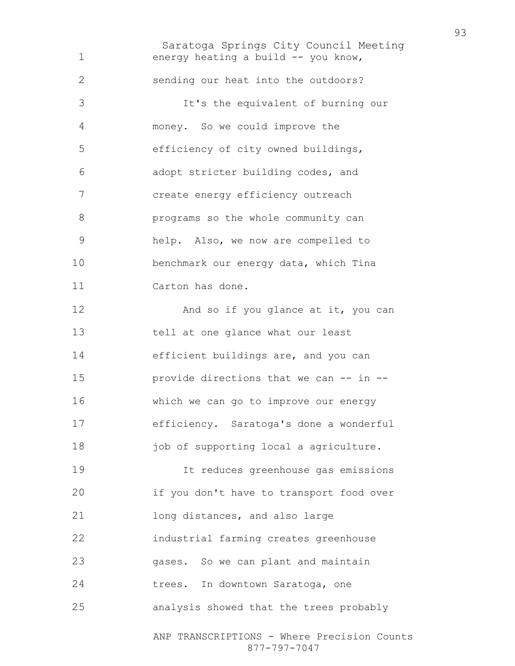Saratoga Springs City Council Meeting ANP TRANSCRIPTIONS - Where Precision Counts 1 energy heating a build -- you know, sending our heat into the outdoors? It's the equivalent of burning our money. So we could improve the efficiency of city owned buildings, adopt stricter building codes, and create energy efficiency outreach programs so the whole community can help. Also, we now are compelled to benchmark our energy data, which Tina Carton has done. 12 And so if you glance at it, you can tell at one glance what our least efficient buildings are, and you can provide directions that we can -- in -- which we can go to improve our energy efficiency. Saratoga's done a wonderful 18 job of supporting local a agriculture. It reduces greenhouse gas emissions if you don't have to transport food over long distances, and also large industrial farming creates greenhouse gases. So we can plant and maintain trees. In downtown Saratoga, one analysis showed that the trees probably

877-797-7047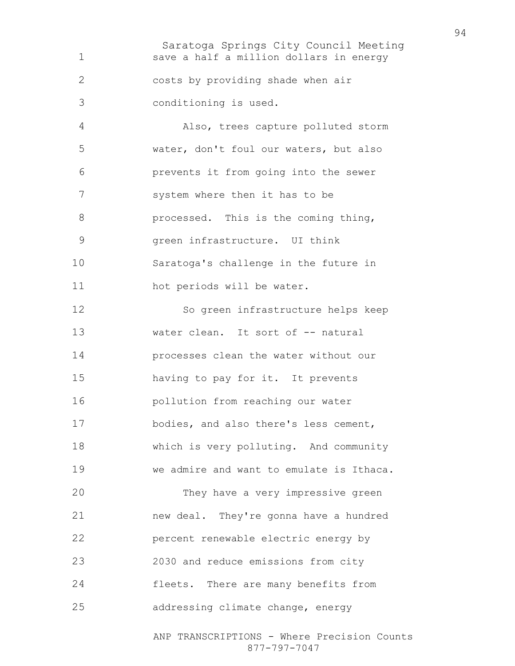Saratoga Springs City Council Meeting ANP TRANSCRIPTIONS - Where Precision Counts save a half a million dollars in energy costs by providing shade when air conditioning is used. Also, trees capture polluted storm water, don't foul our waters, but also prevents it from going into the sewer 7 system where then it has to be **processed.** This is the coming thing, green infrastructure. UI think Saratoga's challenge in the future in 11 hot periods will be water. So green infrastructure helps keep 13 water clean. It sort of -- natural processes clean the water without our having to pay for it. It prevents pollution from reaching our water bodies, and also there's less cement, which is very polluting. And community we admire and want to emulate is Ithaca. They have a very impressive green new deal. They're gonna have a hundred percent renewable electric energy by 2030 and reduce emissions from city fleets. There are many benefits from addressing climate change, energy

877-797-7047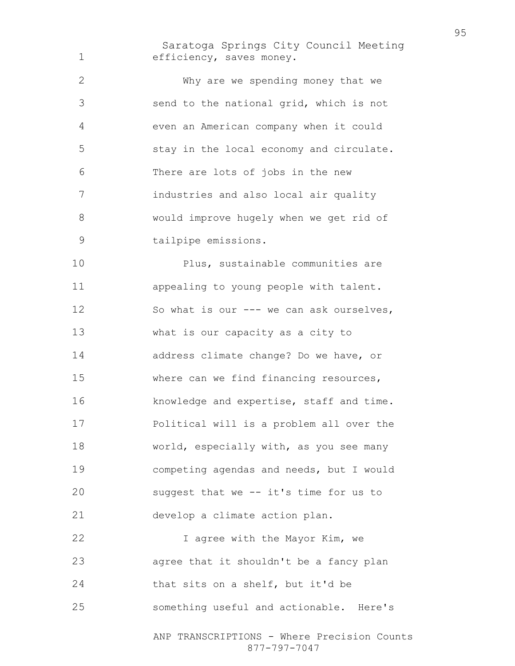Saratoga Springs City Council Meeting efficiency, saves money.

Why are we spending money that we send to the national grid, which is not even an American company when it could stay in the local economy and circulate. There are lots of jobs in the new industries and also local air quality would improve hugely when we get rid of tailpipe emissions.

Plus, sustainable communities are appealing to young people with talent. So what is our --- we can ask ourselves, what is our capacity as a city to address climate change? Do we have, or where can we find financing resources, knowledge and expertise, staff and time. Political will is a problem all over the world, especially with, as you see many competing agendas and needs, but I would suggest that we -- it's time for us to develop a climate action plan. **I** agree with the Mayor Kim, we

agree that it shouldn't be a fancy plan that sits on a shelf, but it'd be something useful and actionable. Here's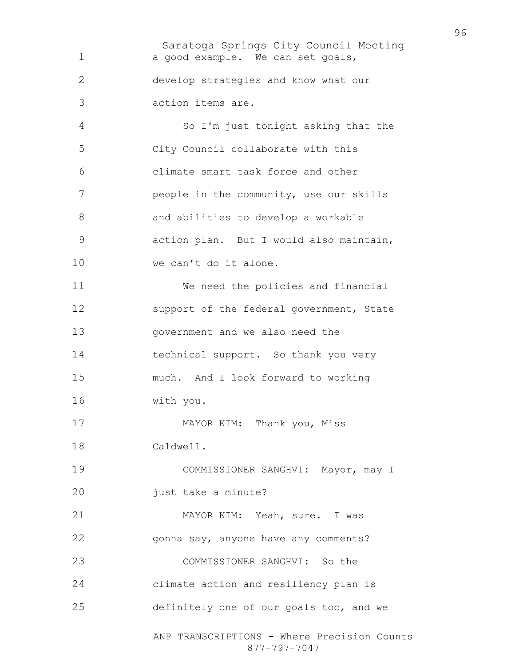Saratoga Springs City Council Meeting ANP TRANSCRIPTIONS - Where Precision Counts 877-797-7047 1 a good example. We can set goals, develop strategies and know what our action items are. So I'm just tonight asking that the City Council collaborate with this climate smart task force and other people in the community, use our skills and abilities to develop a workable action plan. But I would also maintain, 10 we can't do it alone. We need the policies and financial 12 support of the federal government, State government and we also need the technical support. So thank you very much. And I look forward to working with you. 17 MAYOR KIM: Thank you, Miss Caldwell. COMMISSIONER SANGHVI: Mayor, may I just take a minute? MAYOR KIM: Yeah, sure. I was gonna say, anyone have any comments? COMMISSIONER SANGHVI: So the climate action and resiliency plan is definitely one of our goals too, and we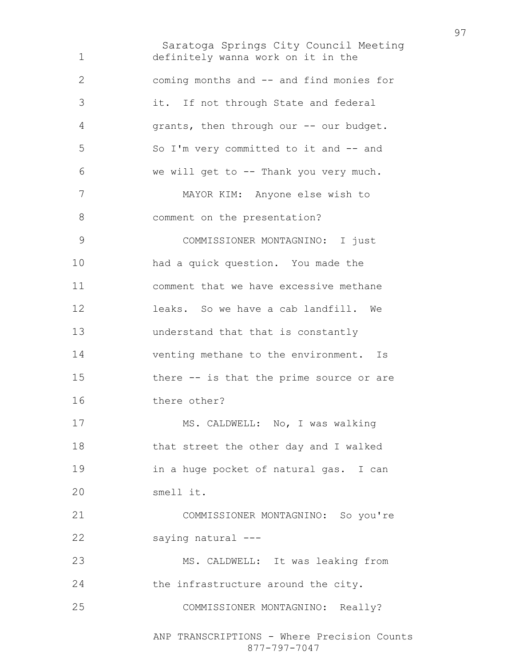Saratoga Springs City Council Meeting ANP TRANSCRIPTIONS - Where Precision Counts definitely wanna work on it in the coming months and -- and find monies for it. If not through State and federal grants, then through our -- our budget. So I'm very committed to it and -- and we will get to -- Thank you very much. MAYOR KIM: Anyone else wish to 8 comment on the presentation? COMMISSIONER MONTAGNINO: I just had a quick question. You made the comment that we have excessive methane leaks. So we have a cab landfill. We understand that that is constantly venting methane to the environment. Is there -- is that the prime source or are there other? MS. CALDWELL: No, I was walking that street the other day and I walked in a huge pocket of natural gas. I can smell it. COMMISSIONER MONTAGNINO: So you're saying natural --- MS. CALDWELL: It was leaking from 24 the infrastructure around the city. COMMISSIONER MONTAGNINO: Really?

877-797-7047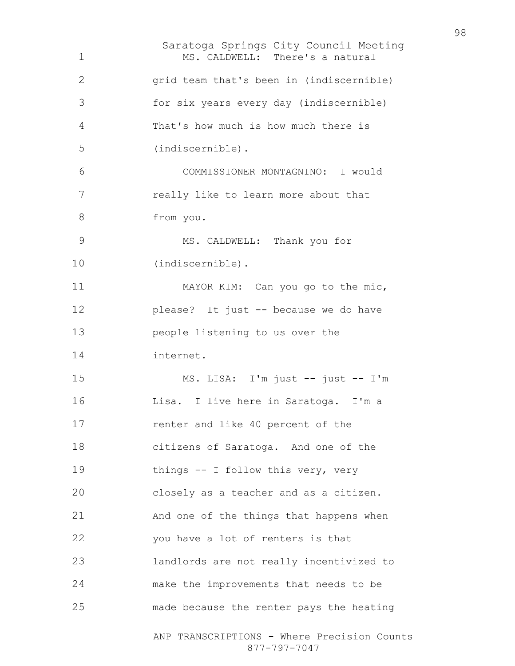Saratoga Springs City Council Meeting ANP TRANSCRIPTIONS - Where Precision Counts 877-797-7047 MS. CALDWELL: There's a natural grid team that's been in (indiscernible) for six years every day (indiscernible) That's how much is how much there is (indiscernible). COMMISSIONER MONTAGNINO: I would really like to learn more about that from you. MS. CALDWELL: Thank you for (indiscernible). MAYOR KIM: Can you go to the mic, please? It just -- because we do have people listening to us over the internet. MS. LISA: I'm just -- just -- I'm Lisa. I live here in Saratoga. I'm a renter and like 40 percent of the citizens of Saratoga. And one of the 19 things -- I follow this very, very closely as a teacher and as a citizen. And one of the things that happens when you have a lot of renters is that landlords are not really incentivized to make the improvements that needs to be made because the renter pays the heating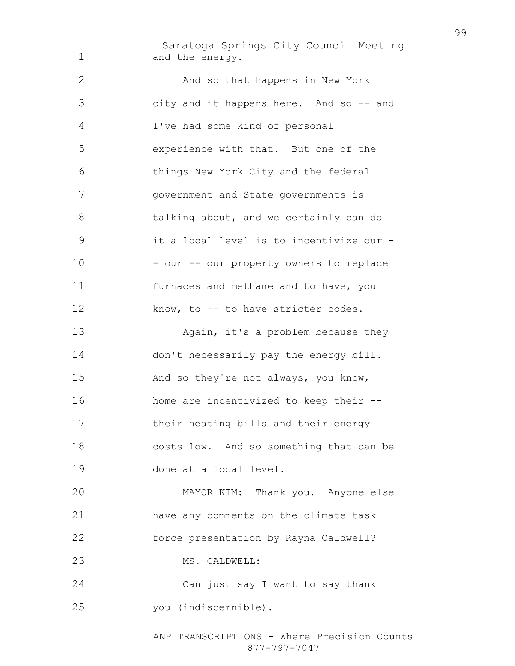Saratoga Springs City Council Meeting 1 and the energy. And so that happens in New York city and it happens here. And so -- and I've had some kind of personal experience with that. But one of the things New York City and the federal government and State governments is 8 talking about, and we certainly can do it a local level is to incentivize our - 10 - our -- our property owners to replace furnaces and methane and to have, you 12 know, to -- to have stricter codes. 13 Again, it's a problem because they don't necessarily pay the energy bill. And so they're not always, you know, home are incentivized to keep their -- their heating bills and their energy costs low. And so something that can be done at a local level. MAYOR KIM: Thank you. Anyone else have any comments on the climate task force presentation by Rayna Caldwell? 23 MS. CALDWELL: Can just say I want to say thank you (indiscernible).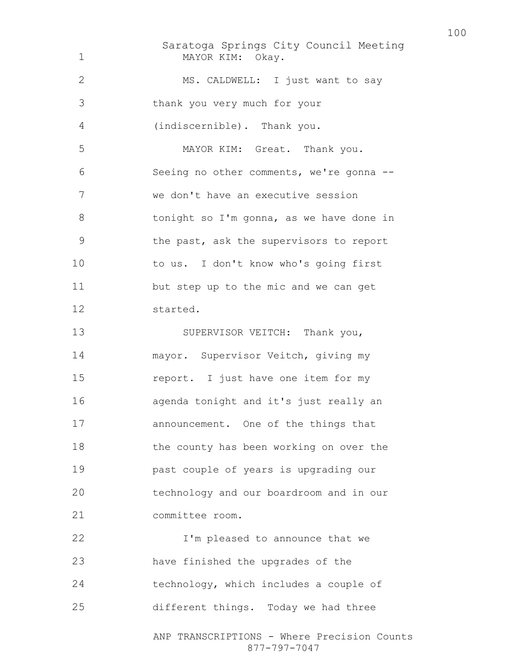Saratoga Springs City Council Meeting ANP TRANSCRIPTIONS - Where Precision Counts 877-797-7047 MAYOR KIM: Okay. 2 MS. CALDWELL: I just want to say thank you very much for your (indiscernible). Thank you. MAYOR KIM: Great. Thank you. Seeing no other comments, we're gonna -- we don't have an executive session 8 tonight so I'm gonna, as we have done in the past, ask the supervisors to report to us. I don't know who's going first but step up to the mic and we can get started. 13 SUPERVISOR VEITCH: Thank you, mayor. Supervisor Veitch, giving my report. I just have one item for my agenda tonight and it's just really an announcement. One of the things that 18 the county has been working on over the past couple of years is upgrading our technology and our boardroom and in our committee room. **I'm pleased to announce that we** have finished the upgrades of the technology, which includes a couple of different things. Today we had three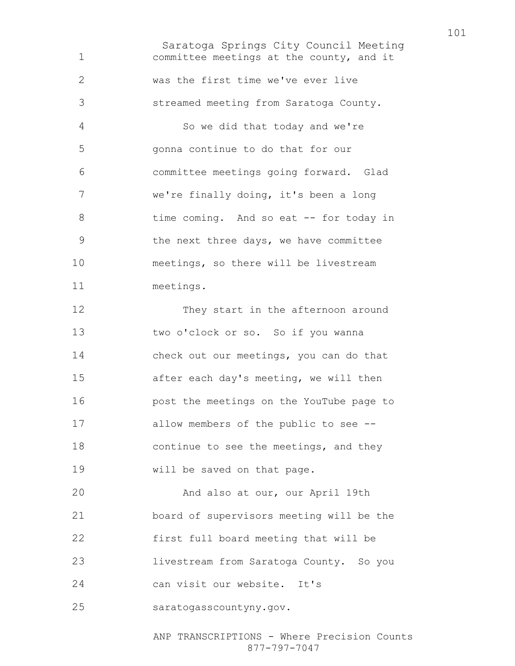Saratoga Springs City Council Meeting committee meetings at the county, and it was the first time we've ever live streamed meeting from Saratoga County. So we did that today and we're gonna continue to do that for our committee meetings going forward. Glad we're finally doing, it's been a long 8 time coming. And so eat -- for today in the next three days, we have committee meetings, so there will be livestream meetings. They start in the afternoon around two o'clock or so. So if you wanna check out our meetings, you can do that after each day's meeting, we will then post the meetings on the YouTube page to allow members of the public to see -- 18 continue to see the meetings, and they will be saved on that page. And also at our, our April 19th board of supervisors meeting will be the first full board meeting that will be livestream from Saratoga County. So you can visit our website. It's saratogasscountyny.gov.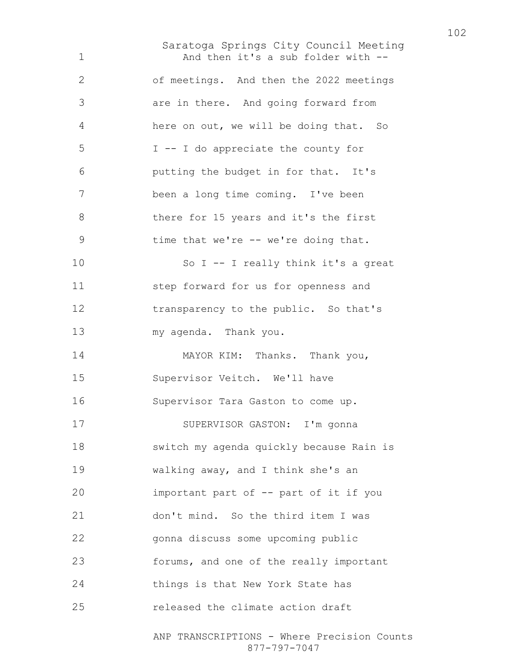Saratoga Springs City Council Meeting ANP TRANSCRIPTIONS - Where Precision Counts 1 And then it's a sub folder with --of meetings. And then the 2022 meetings are in there. And going forward from here on out, we will be doing that. So I -- I do appreciate the county for putting the budget in for that. It's been a long time coming. I've been there for 15 years and it's the first 9 time that we're -- we're doing that. So I -- I really think it's a great step forward for us for openness and transparency to the public. So that's my agenda. Thank you. 14 MAYOR KIM: Thanks. Thank you, Supervisor Veitch. We'll have Supervisor Tara Gaston to come up. SUPERVISOR GASTON: I'm gonna switch my agenda quickly because Rain is walking away, and I think she's an important part of -- part of it if you don't mind. So the third item I was gonna discuss some upcoming public forums, and one of the really important things is that New York State has released the climate action draft

877-797-7047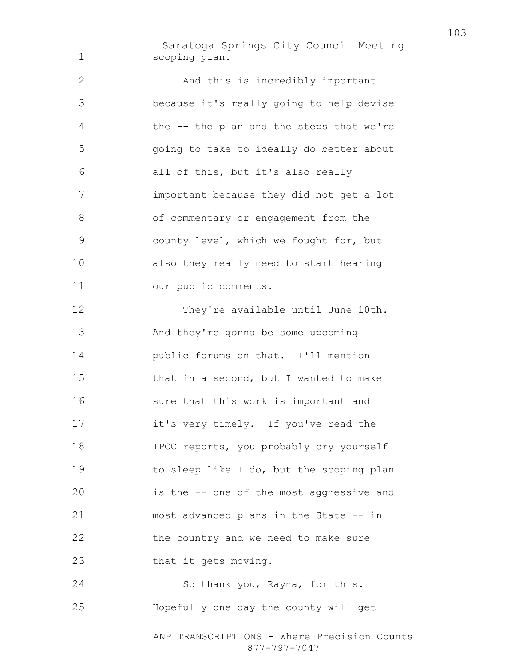Saratoga Springs City Council Meeting scoping plan.

And this is incredibly important because it's really going to help devise the -- the plan and the steps that we're going to take to ideally do better about all of this, but it's also really important because they did not get a lot 8 of commentary or engagement from the county level, which we fought for, but also they really need to start hearing our public comments. 12 They're available until June 10th. And they're gonna be some upcoming public forums on that. I'll mention that in a second, but I wanted to make sure that this work is important and it's very timely. If you've read the IPCC reports, you probably cry yourself to sleep like I do, but the scoping plan

is the -- one of the most aggressive and most advanced plans in the State -- in the country and we need to make sure that it gets moving.

So thank you, Rayna, for this. Hopefully one day the county will get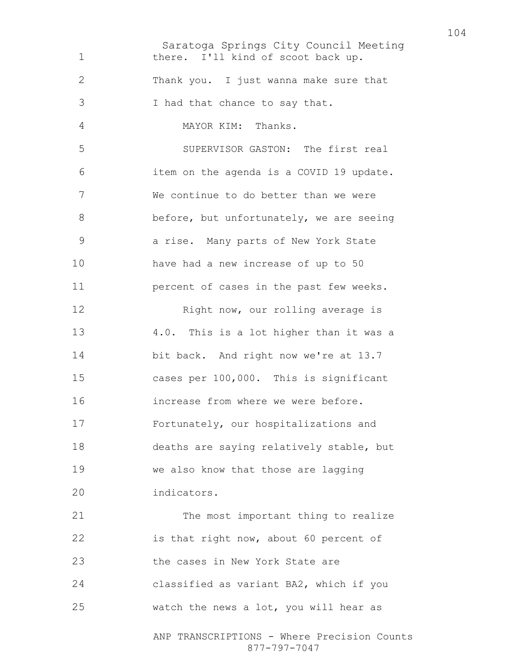Saratoga Springs City Council Meeting ANP TRANSCRIPTIONS - Where Precision Counts 877-797-7047 1 there. I'll kind of scoot back up. Thank you. I just wanna make sure that I had that chance to say that. MAYOR KIM: Thanks. SUPERVISOR GASTON: The first real item on the agenda is a COVID 19 update. We continue to do better than we were 8 before, but unfortunately, we are seeing a rise. Many parts of New York State have had a new increase of up to 50 percent of cases in the past few weeks. 12 Right now, our rolling average is 4.0. This is a lot higher than it was a bit back. And right now we're at 13.7 cases per 100,000. This is significant increase from where we were before. Fortunately, our hospitalizations and deaths are saying relatively stable, but we also know that those are lagging indicators. 21 The most important thing to realize is that right now, about 60 percent of the cases in New York State are classified as variant BA2, which if you watch the news a lot, you will hear as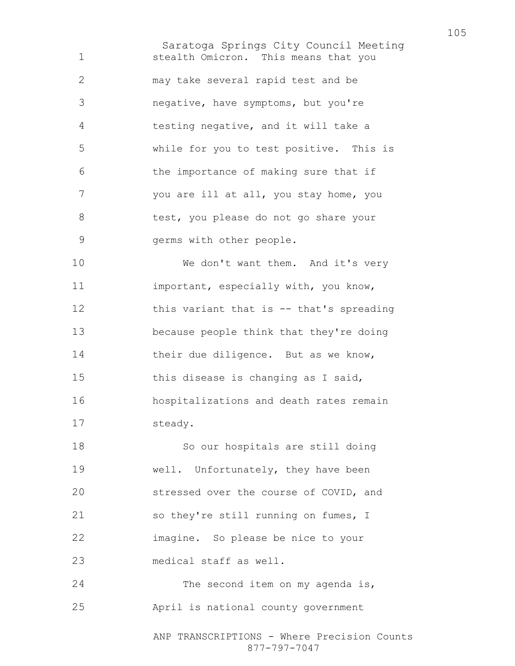Saratoga Springs City Council Meeting stealth Omicron. This means that you may take several rapid test and be negative, have symptoms, but you're testing negative, and it will take a while for you to test positive. This is the importance of making sure that if you are ill at all, you stay home, you test, you please do not go share your germs with other people. 10 We don't want them. And it's very important, especially with, you know, 12 this variant that is -- that's spreading because people think that they're doing 14 their due diligence. But as we know,

this disease is changing as I said, hospitalizations and death rates remain steady.

So our hospitals are still doing well. Unfortunately, they have been stressed over the course of COVID, and 21 so they're still running on fumes, I imagine. So please be nice to your medical staff as well.

24 The second item on my agenda is, April is national county government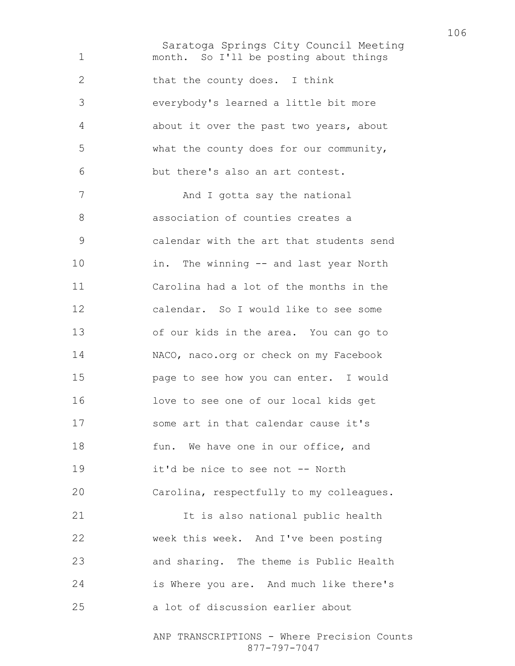Saratoga Springs City Council Meeting month. So I'll be posting about things 2 that the county does. I think everybody's learned a little bit more about it over the past two years, about what the county does for our community, but there's also an art contest. 7 And I gotta say the national association of counties creates a calendar with the art that students send in. The winning -- and last year North Carolina had a lot of the months in the calendar. So I would like to see some of our kids in the area. You can go to NACO, naco.org or check on my Facebook page to see how you can enter. I would love to see one of our local kids get some art in that calendar cause it's 18 fun. We have one in our office, and it'd be nice to see not -- North Carolina, respectfully to my colleagues. It is also national public health week this week. And I've been posting and sharing. The theme is Public Health is Where you are. And much like there's a lot of discussion earlier about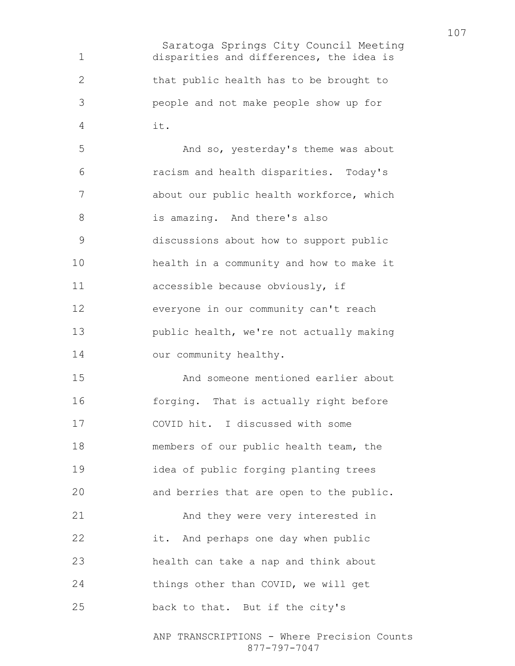Saratoga Springs City Council Meeting disparities and differences, the idea is that public health has to be brought to people and not make people show up for it.

And so, yesterday's theme was about racism and health disparities. Today's about our public health workforce, which is amazing. And there's also discussions about how to support public health in a community and how to make it accessible because obviously, if everyone in our community can't reach public health, we're not actually making 14 our community healthy.

And someone mentioned earlier about 16 forging. That is actually right before COVID hit. I discussed with some members of our public health team, the idea of public forging planting trees and berries that are open to the public. And they were very interested in it. And perhaps one day when public

health can take a nap and think about things other than COVID, we will get back to that. But if the city's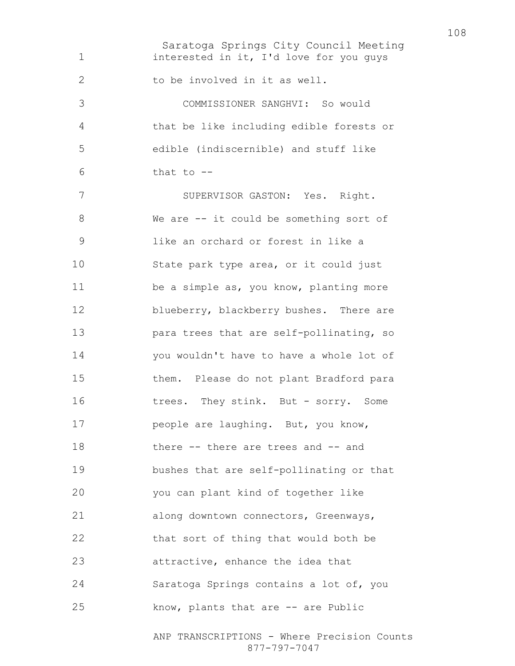Saratoga Springs City Council Meeting 1 interested in it, I'd love for you guys 2 to be involved in it as well. COMMISSIONER SANGHVI: So would that be like including edible forests or edible (indiscernible) and stuff like that to  $-$ SUPERVISOR GASTON: Yes. Right. We are -- it could be something sort of like an orchard or forest in like a State park type area, or it could just be a simple as, you know, planting more 12 blueberry, blackberry bushes. There are para trees that are self-pollinating, so you wouldn't have to have a whole lot of them. Please do not plant Bradford para 16 trees. They stink. But - sorry. Some **people are laughing.** But, you know, there -- there are trees and -- and bushes that are self-pollinating or that you can plant kind of together like along downtown connectors, Greenways, that sort of thing that would both be attractive, enhance the idea that Saratoga Springs contains a lot of, you 25 know, plants that are -- are Public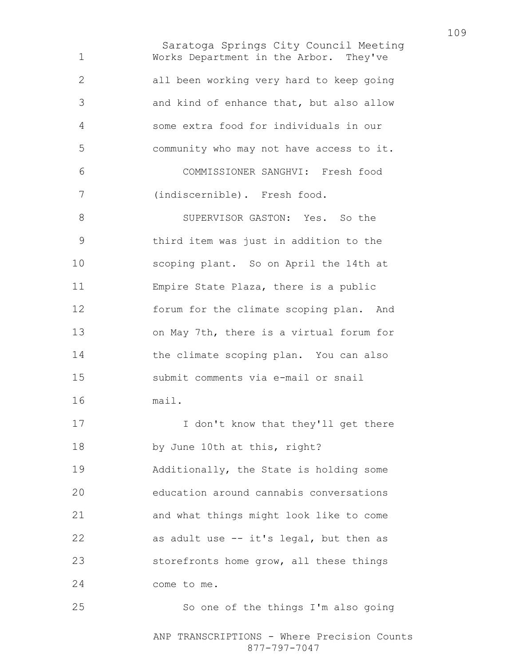Saratoga Springs City Council Meeting Works Department in the Arbor. They've all been working very hard to keep going and kind of enhance that, but also allow some extra food for individuals in our community who may not have access to it. COMMISSIONER SANGHVI: Fresh food (indiscernible). Fresh food. 8 SUPERVISOR GASTON: Yes. So the third item was just in addition to the scoping plant. So on April the 14th at Empire State Plaza, there is a public forum for the climate scoping plan. And on May 7th, there is a virtual forum for the climate scoping plan. You can also submit comments via e-mail or snail mail. 17 I don't know that they'll get there by June 10th at this, right? Additionally, the State is holding some education around cannabis conversations and what things might look like to come as adult use -- it's legal, but then as storefronts home grow, all these things come to me. So one of the things I'm also going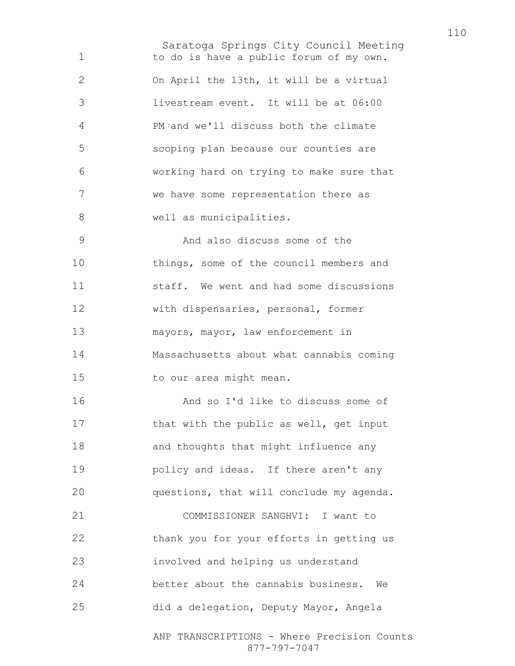Saratoga Springs City Council Meeting to do is have a public forum of my own. On April the 13th, it will be a virtual livestream event. It will be at 06:00 PM and we'll discuss both the climate scoping plan because our counties are working hard on trying to make sure that we have some representation there as 8 well as municipalities. And also discuss some of the things, some of the council members and staff. We went and had some discussions with dispensaries, personal, former mayors, mayor, law enforcement in Massachusetts about what cannabis coming 15 to our area might mean. And so I'd like to discuss some of 17 that with the public as well, get input and thoughts that might influence any policy and ideas. If there aren't any questions, that will conclude my agenda. COMMISSIONER SANGHVI: I want to thank you for your efforts in getting us involved and helping us understand better about the cannabis business. We did a delegation, Deputy Mayor, Angela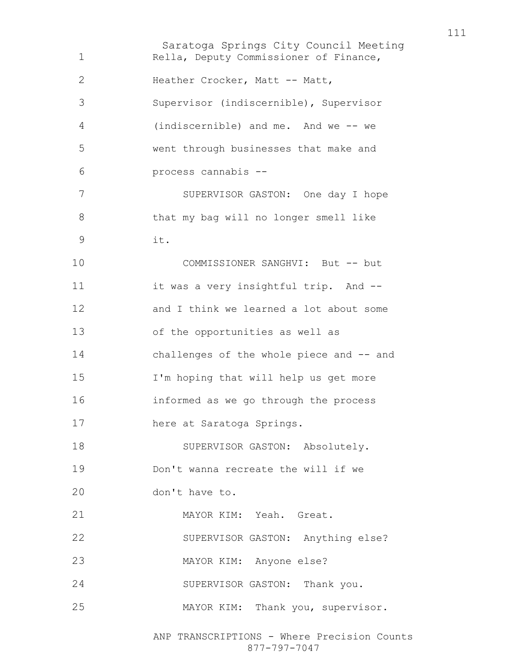Saratoga Springs City Council Meeting Rella, Deputy Commissioner of Finance, Heather Crocker, Matt -- Matt, Supervisor (indiscernible), Supervisor (indiscernible) and me. And we -- we went through businesses that make and process cannabis -- SUPERVISOR GASTON: One day I hope that my bag will no longer smell like it. COMMISSIONER SANGHVI: But -- but it was a very insightful trip. And -- and I think we learned a lot about some of the opportunities as well as challenges of the whole piece and -- and I'm hoping that will help us get more informed as we go through the process here at Saratoga Springs. 18 SUPERVISOR GASTON: Absolutely. Don't wanna recreate the will if we don't have to. MAYOR KIM: Yeah. Great. SUPERVISOR GASTON: Anything else? MAYOR KIM: Anyone else? SUPERVISOR GASTON: Thank you. MAYOR KIM: Thank you, supervisor.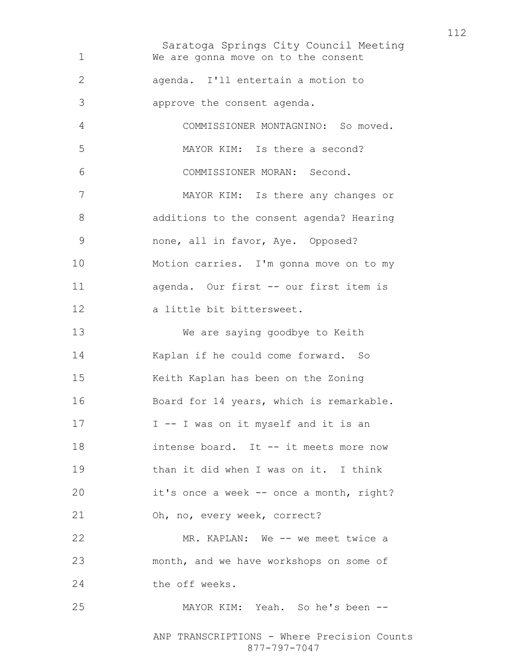Saratoga Springs City Council Meeting We are gonna move on to the consent agenda. I'll entertain a motion to approve the consent agenda. COMMISSIONER MONTAGNINO: So moved. MAYOR KIM: Is there a second? COMMISSIONER MORAN: Second. MAYOR KIM: Is there any changes or additions to the consent agenda? Hearing none, all in favor, Aye. Opposed? Motion carries. I'm gonna move on to my agenda. Our first -- our first item is a little bit bittersweet. We are saying goodbye to Keith Kaplan if he could come forward. So Keith Kaplan has been on the Zoning Board for 14 years, which is remarkable. 17 I -- I was on it myself and it is an intense board. It -- it meets more now than it did when I was on it. I think it's once a week -- once a month, right? Oh, no, every week, correct? MR. KAPLAN: We -- we meet twice a month, and we have workshops on some of 24 the off weeks. MAYOR KIM: Yeah. So he's been --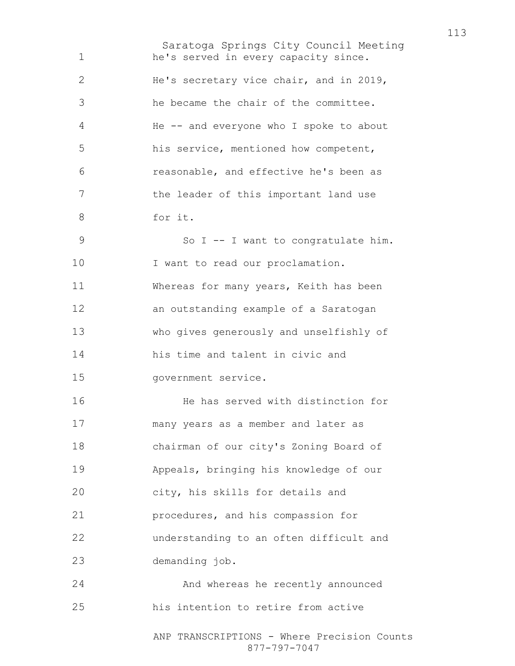Saratoga Springs City Council Meeting ANP TRANSCRIPTIONS - Where Precision Counts he's served in every capacity since. He's secretary vice chair, and in 2019, he became the chair of the committee. He -- and everyone who I spoke to about his service, mentioned how competent, reasonable, and effective he's been as the leader of this important land use for it. 9 So I -- I want to congratulate him. 10 I want to read our proclamation. Whereas for many years, Keith has been an outstanding example of a Saratogan who gives generously and unselfishly of his time and talent in civic and government service. He has served with distinction for many years as a member and later as chairman of our city's Zoning Board of Appeals, bringing his knowledge of our city, his skills for details and procedures, and his compassion for understanding to an often difficult and demanding job. And whereas he recently announced his intention to retire from active

877-797-7047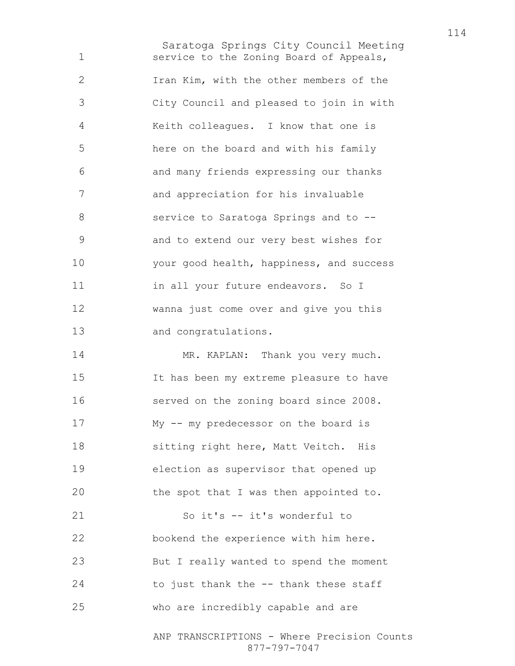Saratoga Springs City Council Meeting service to the Zoning Board of Appeals, Iran Kim, with the other members of the City Council and pleased to join in with Keith colleagues. I know that one is here on the board and with his family and many friends expressing our thanks and appreciation for his invaluable service to Saratoga Springs and to -- and to extend our very best wishes for your good health, happiness, and success 11 in all your future endeavors. So I wanna just come over and give you this and congratulations. 14 MR. KAPLAN: Thank you very much. It has been my extreme pleasure to have served on the zoning board since 2008. My -- my predecessor on the board is sitting right here, Matt Veitch. His election as supervisor that opened up

the spot that I was then appointed to.

So it's -- it's wonderful to bookend the experience with him here. But I really wanted to spend the moment 24 to just thank the -- thank these staff who are incredibly capable and are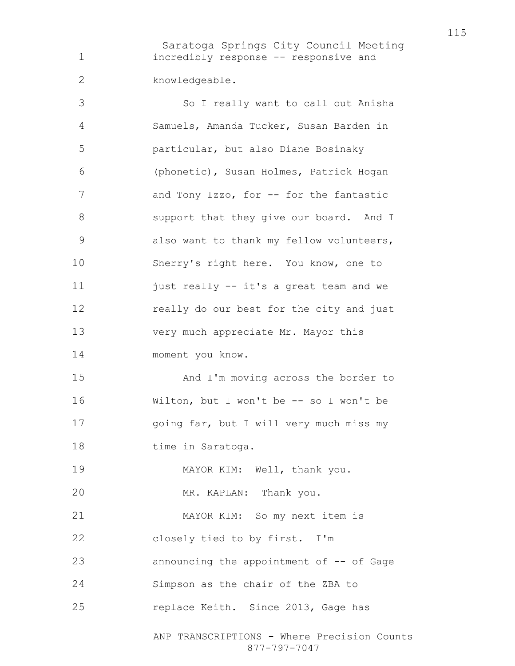Saratoga Springs City Council Meeting incredibly response -- responsive and knowledgeable.

So I really want to call out Anisha Samuels, Amanda Tucker, Susan Barden in particular, but also Diane Bosinaky (phonetic), Susan Holmes, Patrick Hogan 7 and Tony Izzo, for -- for the fantastic 8 support that they give our board. And I also want to thank my fellow volunteers, Sherry's right here. You know, one to 11 just really -- it's a great team and we really do our best for the city and just very much appreciate Mr. Mayor this moment you know. And I'm moving across the border to Wilton, but I won't be -- so I won't be 17 going far, but I will very much miss my 18 time in Saratoga. MAYOR KIM: Well, thank you. MR. KAPLAN: Thank you. MAYOR KIM: So my next item is closely tied to by first. I'm announcing the appointment of -- of Gage Simpson as the chair of the ZBA to 25 replace Keith. Since 2013, Gage has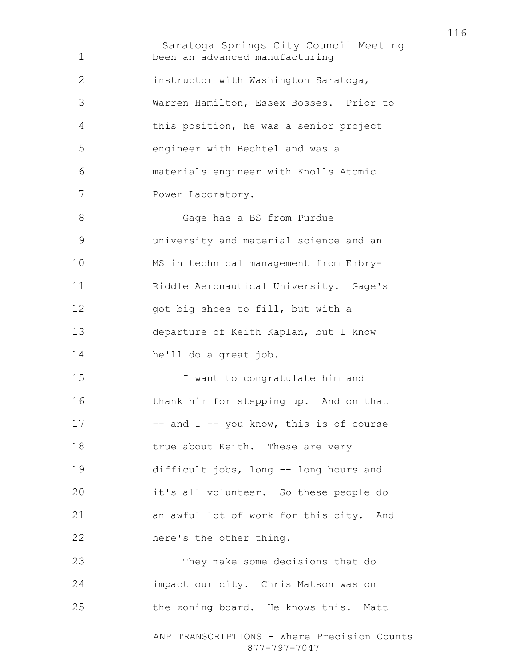Saratoga Springs City Council Meeting ANP TRANSCRIPTIONS - Where Precision Counts been an advanced manufacturing instructor with Washington Saratoga, Warren Hamilton, Essex Bosses. Prior to this position, he was a senior project engineer with Bechtel and was a materials engineer with Knolls Atomic Power Laboratory. Gage has a BS from Purdue university and material science and an MS in technical management from Embry-Riddle Aeronautical University. Gage's got big shoes to fill, but with a departure of Keith Kaplan, but I know he'll do a great job. I want to congratulate him and thank him for stepping up. And on that 17 -- and I -- you know, this is of course 18 true about Keith. These are very difficult jobs, long -- long hours and it's all volunteer. So these people do an awful lot of work for this city. And here's the other thing. They make some decisions that do impact our city. Chris Matson was on the zoning board. He knows this. Matt

877-797-7047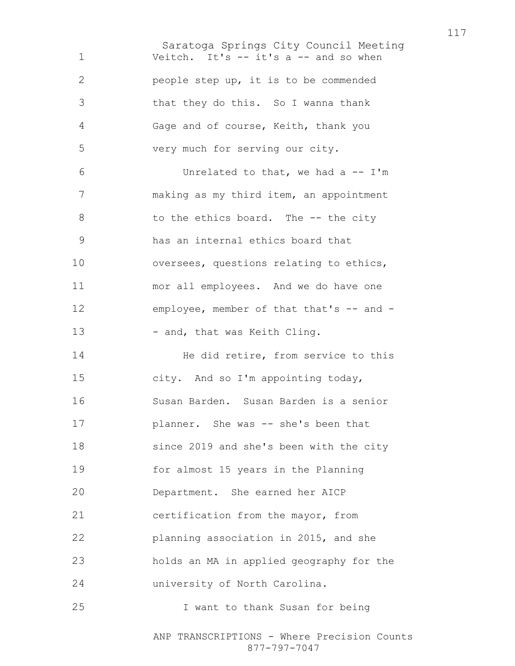Saratoga Springs City Council Meeting Veitch. It's -- it's a -- and so when people step up, it is to be commended that they do this. So I wanna thank Gage and of course, Keith, thank you very much for serving our city. Unrelated to that, we had a -- I'm making as my third item, an appointment 8 to the ethics board. The -- the city has an internal ethics board that oversees, questions relating to ethics, mor all employees. And we do have one 12 employee, member of that that's -- and -13 - and, that was Keith Cling. 14 He did retire, from service to this city. And so I'm appointing today, Susan Barden. Susan Barden is a senior **planner.** She was -- she's been that since 2019 and she's been with the city for almost 15 years in the Planning Department. She earned her AICP 21 certification from the mayor, from planning association in 2015, and she holds an MA in applied geography for the university of North Carolina. I want to thank Susan for being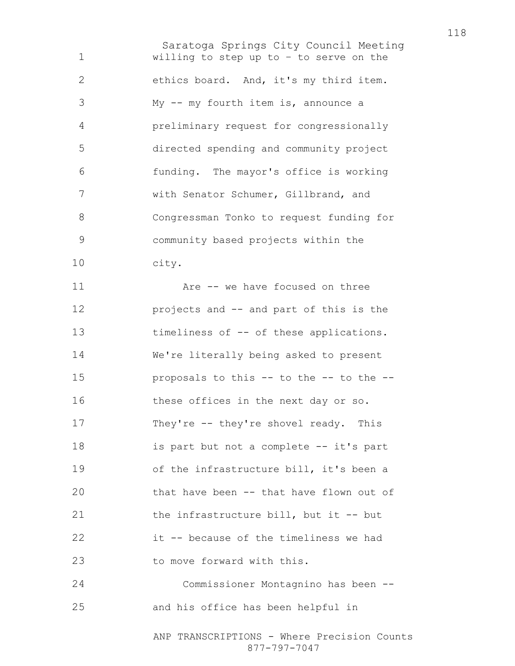Saratoga Springs City Council Meeting willing to step up to – to serve on the ethics board. And, it's my third item. My -- my fourth item is, announce a preliminary request for congressionally directed spending and community project funding. The mayor's office is working with Senator Schumer, Gillbrand, and Congressman Tonko to request funding for community based projects within the city. 11 Are -- we have focused on three projects and -- and part of this is the 13 timeliness of -- of these applications. We're literally being asked to present proposals to this -- to the -- to the -- 16 these offices in the next day or so. 17 They're -- they're shovel ready. This is part but not a complete -- it's part of the infrastructure bill, it's been a that have been -- that have flown out of the infrastructure bill, but it -- but it -- because of the timeliness we had 23 to move forward with this. Commissioner Montagnino has been -- and his office has been helpful in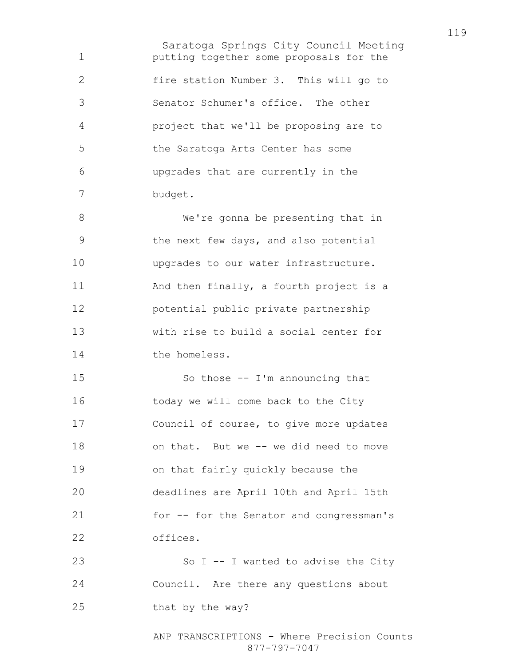Saratoga Springs City Council Meeting putting together some proposals for the fire station Number 3. This will go to Senator Schumer's office. The other project that we'll be proposing are to the Saratoga Arts Center has some upgrades that are currently in the budget. We're gonna be presenting that in the next few days, and also potential upgrades to our water infrastructure. 11 And then finally, a fourth project is a potential public private partnership with rise to build a social center for the homeless. So those -- I'm announcing that today we will come back to the City Council of course, to give more updates 18 on that. But we -- we did need to move on that fairly quickly because the deadlines are April 10th and April 15th for -- for the Senator and congressman's offices. 23 So I -- I wanted to advise the City Council. Are there any questions about 25 that by the way?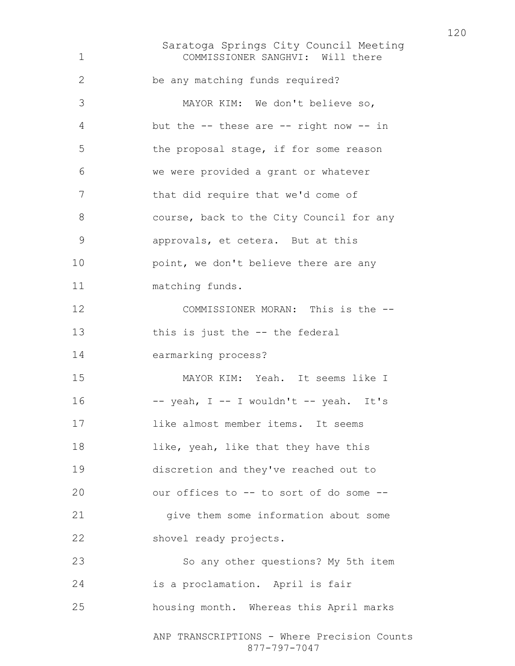Saratoga Springs City Council Meeting ANP TRANSCRIPTIONS - Where Precision Counts COMMISSIONER SANGHVI: Will there be any matching funds required? MAYOR KIM: We don't believe so, but the -- these are -- right now -- in the proposal stage, if for some reason we were provided a grant or whatever that did require that we'd come of course, back to the City Council for any approvals, et cetera. But at this **point, we don't believe there are any** matching funds. COMMISSIONER MORAN: This is the -- this is just the -- the federal earmarking process? MAYOR KIM: Yeah. It seems like I  $-$  yeah, I  $-$  I wouldn't  $-$  yeah. It's like almost member items. It seems 18 like, yeah, like that they have this discretion and they've reached out to our offices to -- to sort of do some -- give them some information about some shovel ready projects. So any other questions? My 5th item is a proclamation. April is fair housing month. Whereas this April marks

877-797-7047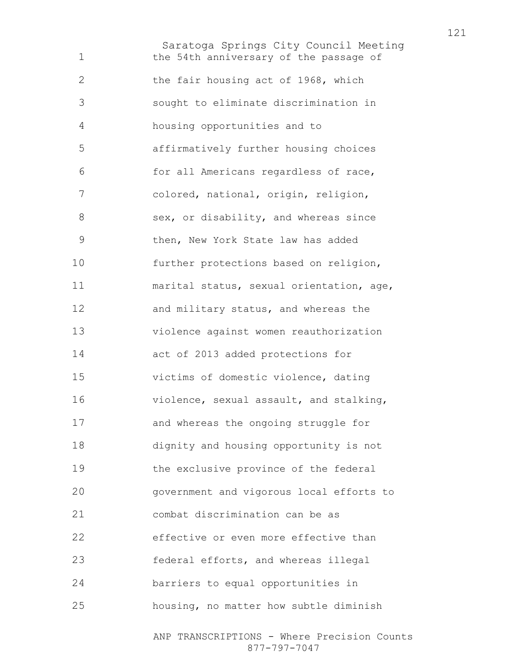Saratoga Springs City Council Meeting the 54th anniversary of the passage of 2 the fair housing act of 1968, which sought to eliminate discrimination in housing opportunities and to affirmatively further housing choices for all Americans regardless of race, colored, national, origin, religion, 8 sex, or disability, and whereas since then, New York State law has added further protections based on religion, marital status, sexual orientation, age, 12 and military status, and whereas the violence against women reauthorization act of 2013 added protections for victims of domestic violence, dating violence, sexual assault, and stalking, and whereas the ongoing struggle for dignity and housing opportunity is not the exclusive province of the federal government and vigorous local efforts to combat discrimination can be as effective or even more effective than federal efforts, and whereas illegal barriers to equal opportunities in housing, no matter how subtle diminish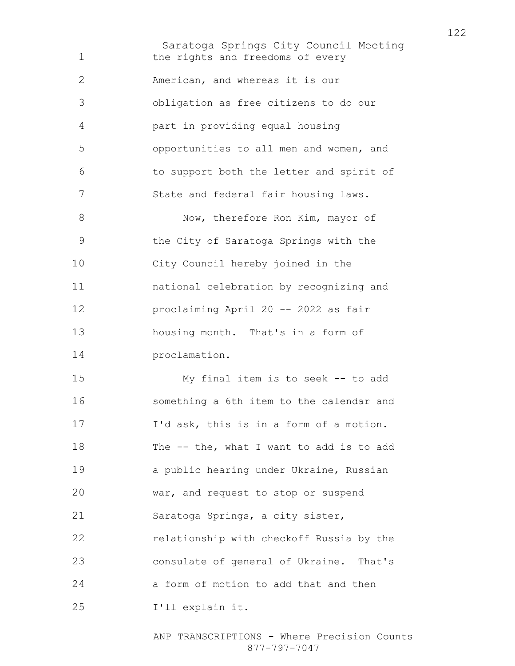Saratoga Springs City Council Meeting 1 the rights and freedoms of every American, and whereas it is our obligation as free citizens to do our part in providing equal housing opportunities to all men and women, and to support both the letter and spirit of State and federal fair housing laws. 8 Now, therefore Ron Kim, mayor of the City of Saratoga Springs with the City Council hereby joined in the national celebration by recognizing and proclaiming April 20 -- 2022 as fair housing month. That's in a form of proclamation. My final item is to seek -- to add something a 6th item to the calendar and I'd ask, this is in a form of a motion. 18 The -- the, what I want to add is to add a public hearing under Ukraine, Russian war, and request to stop or suspend Saratoga Springs, a city sister, relationship with checkoff Russia by the consulate of general of Ukraine. That's a form of motion to add that and then I'll explain it.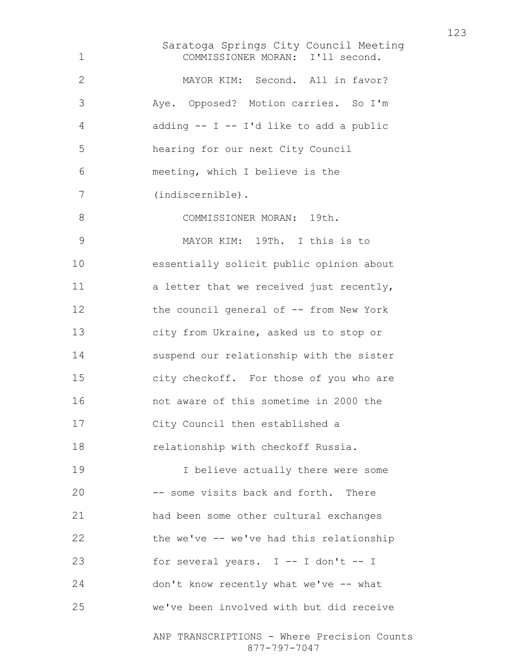Saratoga Springs City Council Meeting ANP TRANSCRIPTIONS - Where Precision Counts COMMISSIONER MORAN: I'll second. MAYOR KIM: Second. All in favor? Aye. Opposed? Motion carries. So I'm adding -- I -- I'd like to add a public hearing for our next City Council meeting, which I believe is the (indiscernible). 8 COMMISSIONER MORAN: 19th. MAYOR KIM: 19Th. I this is to essentially solicit public opinion about 11 a letter that we received just recently, the council general of -- from New York city from Ukraine, asked us to stop or suspend our relationship with the sister city checkoff. For those of you who are not aware of this sometime in 2000 the City Council then established a relationship with checkoff Russia. I believe actually there were some -- some visits back and forth. There had been some other cultural exchanges the we've -- we've had this relationship 23 for several years. I -- I don't -- I don't know recently what we've -- what we've been involved with but did receive

877-797-7047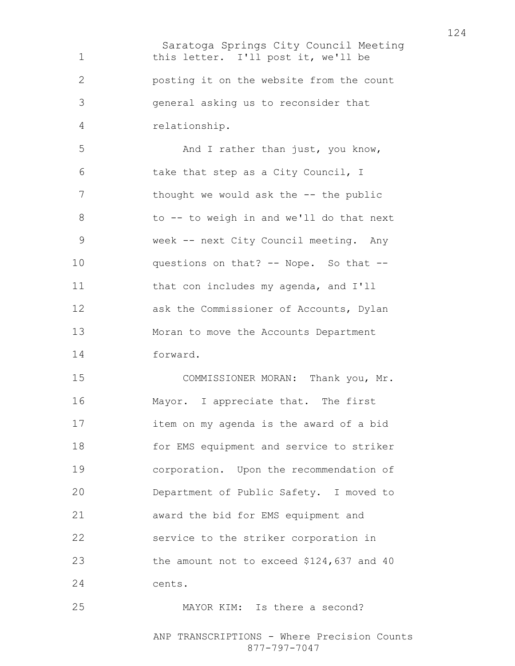Saratoga Springs City Council Meeting 1 this letter. I'll post it, we'll be posting it on the website from the count general asking us to reconsider that relationship.

5 And I rather than just, you know, take that step as a City Council, I 7 thought we would ask the -- the public 8 to -- to weigh in and we'll do that next week -- next City Council meeting. Any questions on that? -- Nope. So that -- 11 that con includes my agenda, and I'll 12 ask the Commissioner of Accounts, Dylan Moran to move the Accounts Department forward.

COMMISSIONER MORAN: Thank you, Mr. Mayor. I appreciate that. The first item on my agenda is the award of a bid for EMS equipment and service to striker corporation. Upon the recommendation of Department of Public Safety. I moved to award the bid for EMS equipment and service to the striker corporation in the amount not to exceed \$124,637 and 40 cents.

MAYOR KIM: Is there a second?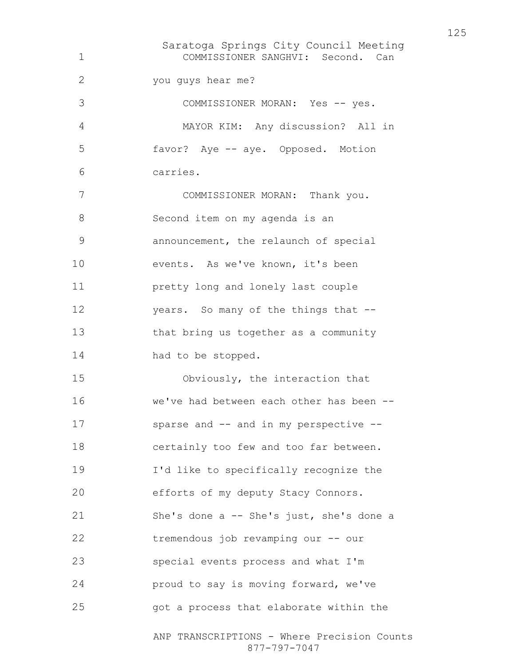Saratoga Springs City Council Meeting ANP TRANSCRIPTIONS - Where Precision Counts COMMISSIONER SANGHVI: Second. Can you guys hear me? COMMISSIONER MORAN: Yes -- yes. MAYOR KIM: Any discussion? All in favor? Aye -- aye. Opposed. Motion carries. COMMISSIONER MORAN: Thank you. Second item on my agenda is an announcement, the relaunch of special 10 events. As we've known, it's been pretty long and lonely last couple years. So many of the things that -- that bring us together as a community 14 had to be stopped. Obviously, the interaction that we've had between each other has been -- sparse and -- and in my perspective -- certainly too few and too far between. I'd like to specifically recognize the efforts of my deputy Stacy Connors. She's done a -- She's just, she's done a tremendous job revamping our -- our special events process and what I'm proud to say is moving forward, we've got a process that elaborate within the

877-797-7047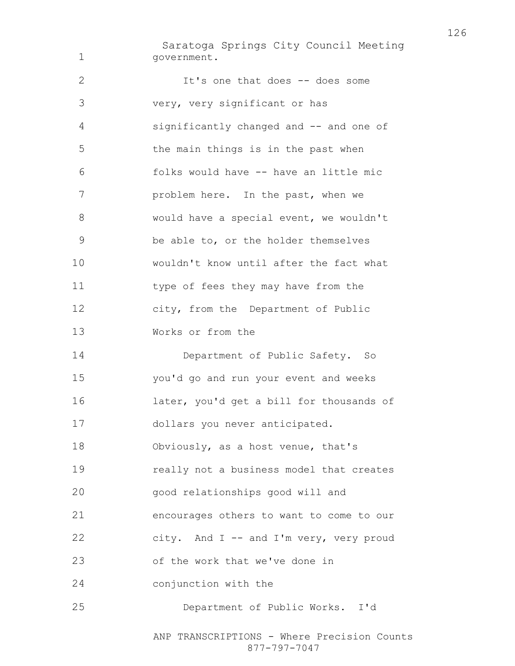Saratoga Springs City Council Meeting government.

It's one that does -- does some very, very significant or has significantly changed and -- and one of the main things is in the past when folks would have -- have an little mic problem here. In the past, when we would have a special event, we wouldn't be able to, or the holder themselves wouldn't know until after the fact what type of fees they may have from the city, from the Department of Public Works or from the Department of Public Safety. So you'd go and run your event and weeks later, you'd get a bill for thousands of dollars you never anticipated. Obviously, as a host venue, that's really not a business model that creates good relationships good will and encourages others to want to come to our city. And I -- and I'm very, very proud of the work that we've done in conjunction with the Department of Public Works. I'd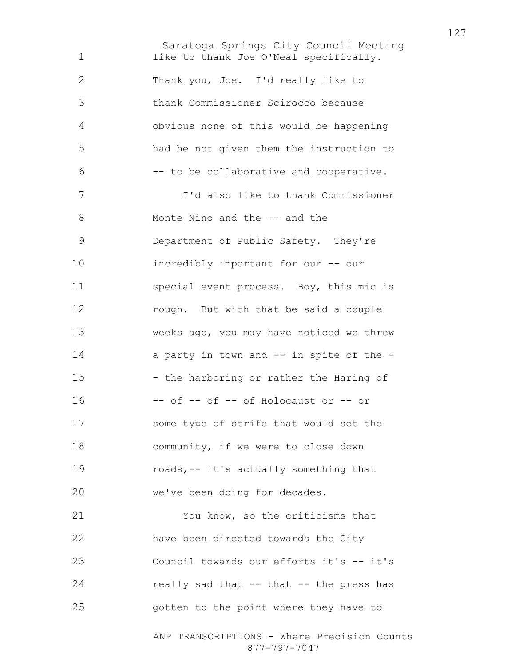Saratoga Springs City Council Meeting 1 like to thank Joe O'Neal specifically. Thank you, Joe. I'd really like to thank Commissioner Scirocco because obvious none of this would be happening had he not given them the instruction to -- to be collaborative and cooperative. I'd also like to thank Commissioner 8 Monte Nino and the -- and the Department of Public Safety. They're incredibly important for our -- our special event process. Boy, this mic is rough. But with that be said a couple weeks ago, you may have noticed we threw 14 a party in town and -- in spite of the -15 - the harboring or rather the Haring of -- of -- of -- of Holocaust or -- or some type of strife that would set the 18 community, if we were to close down roads,-- it's actually something that we've been doing for decades. You know, so the criticisms that have been directed towards the City Council towards our efforts it's -- it's 24 really sad that -- that -- the press has gotten to the point where they have to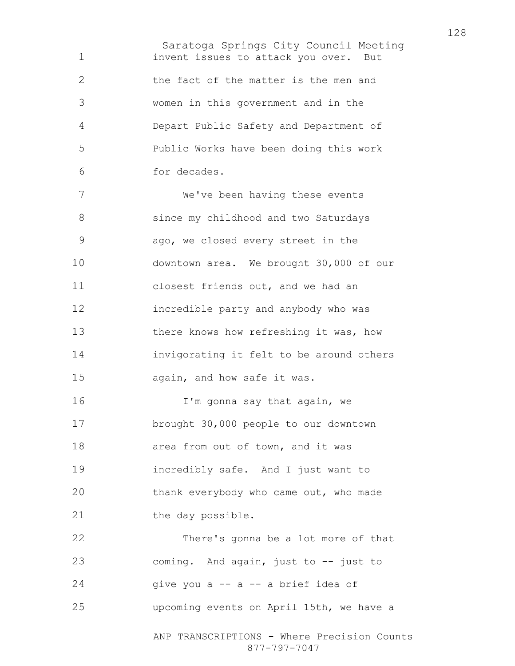Saratoga Springs City Council Meeting invent issues to attack you over. But 2 the fact of the matter is the men and women in this government and in the Depart Public Safety and Department of Public Works have been doing this work for decades. We've been having these events 8 since my childhood and two Saturdays ago, we closed every street in the downtown area. We brought 30,000 of our closest friends out, and we had an incredible party and anybody who was 13 there knows how refreshing it was, how invigorating it felt to be around others again, and how safe it was. **I'm gonna say that again, we** brought 30,000 people to our downtown 18 area from out of town, and it was incredibly safe. And I just want to thank everybody who came out, who made 21 the day possible. There's gonna be a lot more of that coming. And again, just to -- just to give you a  $-$  a  $-$  a brief idea of upcoming events on April 15th, we have a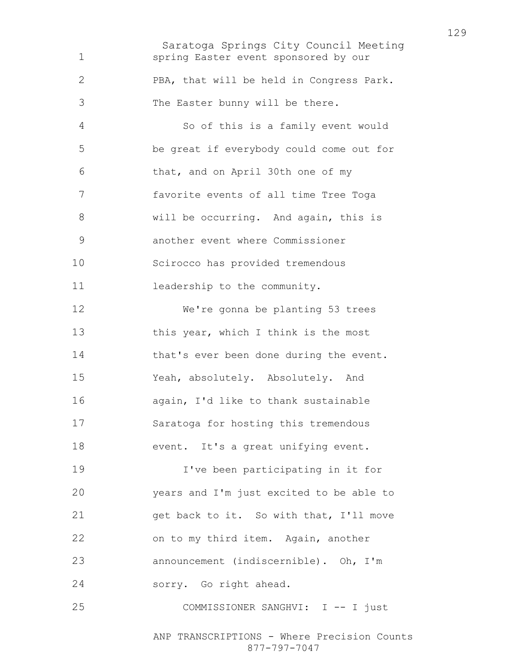Saratoga Springs City Council Meeting ANP TRANSCRIPTIONS - Where Precision Counts spring Easter event sponsored by our PBA, that will be held in Congress Park. The Easter bunny will be there. So of this is a family event would be great if everybody could come out for that, and on April 30th one of my favorite events of all time Tree Toga will be occurring. And again, this is another event where Commissioner Scirocco has provided tremendous 11 leadership to the community. We're gonna be planting 53 trees 13 this year, which I think is the most 14 that's ever been done during the event. Yeah, absolutely. Absolutely. And again, I'd like to thank sustainable Saratoga for hosting this tremendous 18 event. It's a great unifying event. I've been participating in it for years and I'm just excited to be able to get back to it. So with that, I'll move on to my third item. Again, another announcement (indiscernible). Oh, I'm sorry. Go right ahead. 25 COMMISSIONER SANGHVI: I -- I just

877-797-7047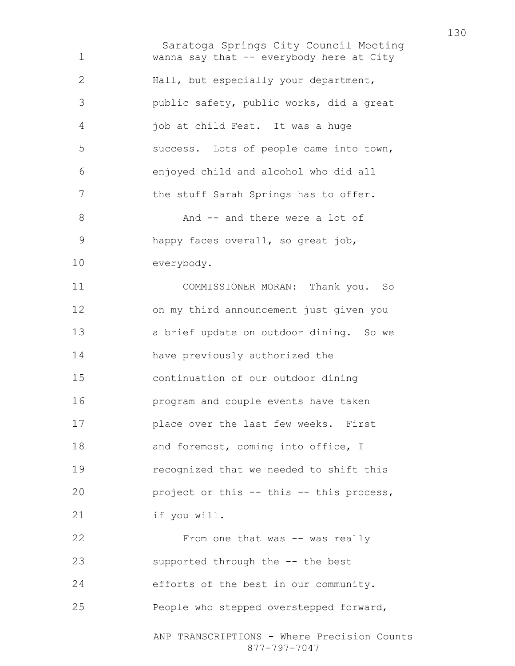Saratoga Springs City Council Meeting ANP TRANSCRIPTIONS - Where Precision Counts wanna say that -- everybody here at City Hall, but especially your department, public safety, public works, did a great job at child Fest. It was a huge success. Lots of people came into town, enjoyed child and alcohol who did all 7 the stuff Sarah Springs has to offer. 8 And -- and there were a lot of happy faces overall, so great job, everybody. COMMISSIONER MORAN: Thank you. So on my third announcement just given you a brief update on outdoor dining. So we have previously authorized the continuation of our outdoor dining program and couple events have taken place over the last few weeks. First 18 and foremost, coming into office, I recognized that we needed to shift this 20 project or this -- this -- this process, if you will. 22 From one that was -- was really supported through the -- the best efforts of the best in our community. People who stepped overstepped forward,

877-797-7047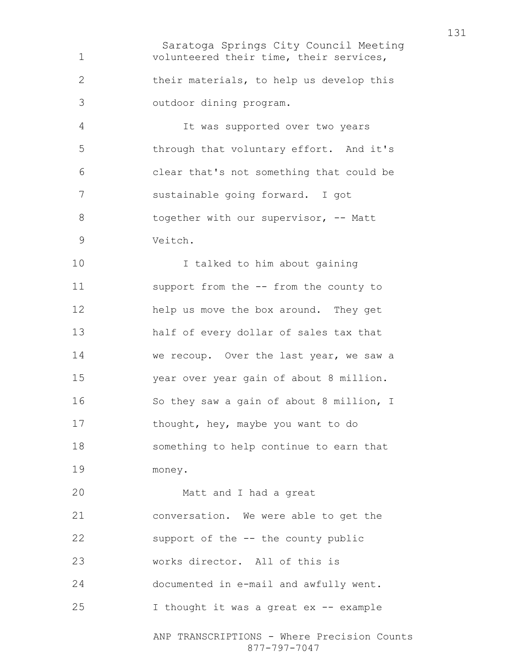Saratoga Springs City Council Meeting volunteered their time, their services, their materials, to help us develop this outdoor dining program. It was supported over two years through that voluntary effort. And it's clear that's not something that could be sustainable going forward. I got 8 together with our supervisor, -- Matt Veitch. I talked to him about gaining support from the -- from the county to help us move the box around. They get half of every dollar of sales tax that we recoup. Over the last year, we saw a year over year gain of about 8 million. So they saw a gain of about 8 million, I 17 thought, hey, maybe you want to do something to help continue to earn that money. Matt and I had a great conversation. We were able to get the support of the -- the county public works director. All of this is documented in e-mail and awfully went. I thought it was a great ex -- example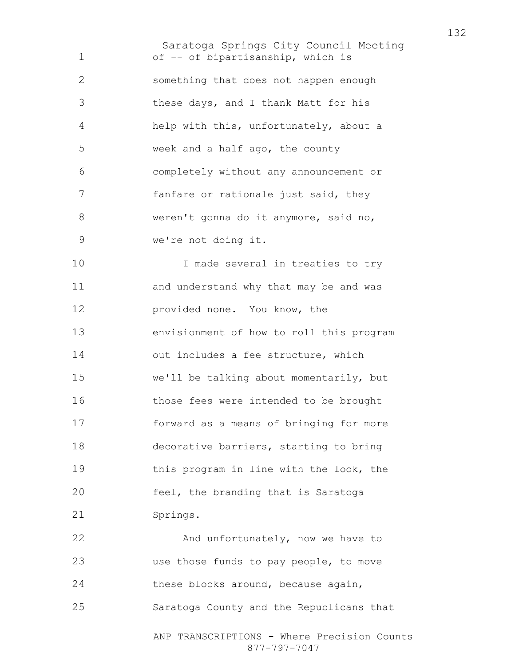Saratoga Springs City Council Meeting of -- of bipartisanship, which is something that does not happen enough these days, and I thank Matt for his help with this, unfortunately, about a week and a half ago, the county completely without any announcement or fanfare or rationale just said, they weren't gonna do it anymore, said no, we're not doing it. 10 10 I made several in treaties to try and understand why that may be and was provided none. You know, the envisionment of how to roll this program out includes a fee structure, which we'll be talking about momentarily, but those fees were intended to be brought forward as a means of bringing for more decorative barriers, starting to bring this program in line with the look, the feel, the branding that is Saratoga Springs.

22 And unfortunately, now we have to use those funds to pay people, to move these blocks around, because again, Saratoga County and the Republicans that

ANP TRANSCRIPTIONS - Where Precision Counts 877-797-7047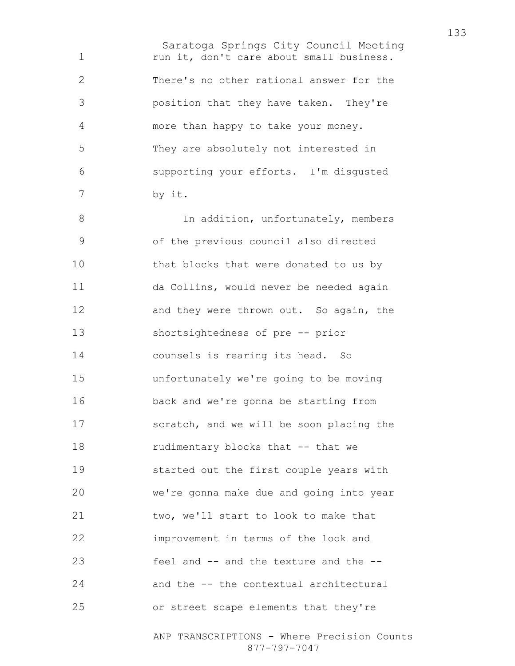Saratoga Springs City Council Meeting 1 run it, don't care about small business. There's no other rational answer for the position that they have taken. They're more than happy to take your money. They are absolutely not interested in supporting your efforts. I'm disgusted by it. 8 1n addition, unfortunately, members of the previous council also directed that blocks that were donated to us by da Collins, would never be needed again 12 and they were thrown out. So again, the shortsightedness of pre -- prior counsels is rearing its head. So unfortunately we're going to be moving back and we're gonna be starting from scratch, and we will be soon placing the 18 rudimentary blocks that -- that we started out the first couple years with we're gonna make due and going into year two, we'll start to look to make that improvement in terms of the look and feel and -- and the texture and the -- and the -- the contextual architectural or street scape elements that they're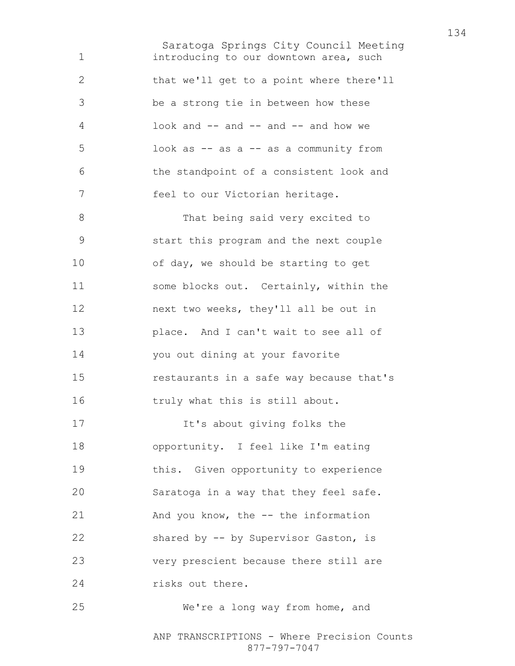Saratoga Springs City Council Meeting introducing to our downtown area, such that we'll get to a point where there'll be a strong tie in between how these look and -- and -- and -- and how we look as -- as a -- as a community from the standpoint of a consistent look and feel to our Victorian heritage. 8 That being said very excited to start this program and the next couple of day, we should be starting to get some blocks out. Certainly, within the next two weeks, they'll all be out in place. And I can't wait to see all of you out dining at your favorite restaurants in a safe way because that's truly what this is still about. It's about giving folks the opportunity. I feel like I'm eating this. Given opportunity to experience Saratoga in a way that they feel safe. And you know, the -- the information shared by -- by Supervisor Gaston, is very prescient because there still are 24 risks out there. We're a long way from home, and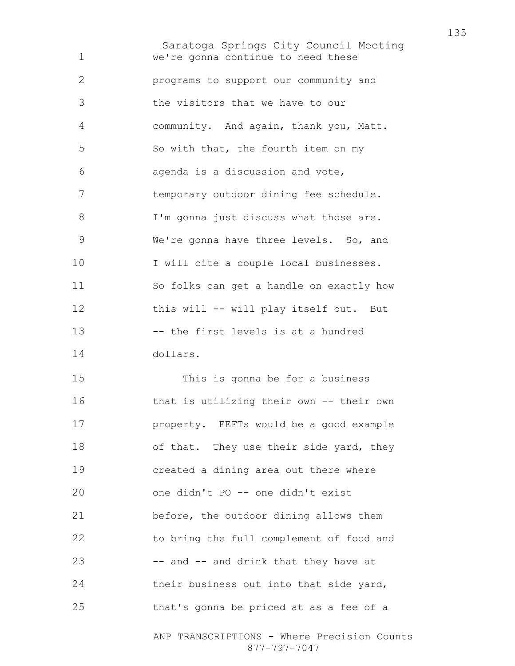Saratoga Springs City Council Meeting we're gonna continue to need these programs to support our community and the visitors that we have to our community. And again, thank you, Matt. So with that, the fourth item on my agenda is a discussion and vote, temporary outdoor dining fee schedule. 8 I'm gonna just discuss what those are. We're gonna have three levels. So, and 10 I will cite a couple local businesses. So folks can get a handle on exactly how this will -- will play itself out. But -- the first levels is at a hundred dollars. This is gonna be for a business that is utilizing their own -- their own property. EEFTs would be a good example 18 of that. They use their side yard, they created a dining area out there where one didn't PO -- one didn't exist before, the outdoor dining allows them to bring the full complement of food and -- and -- and drink that they have at 24 their business out into that side yard, that's gonna be priced at as a fee of a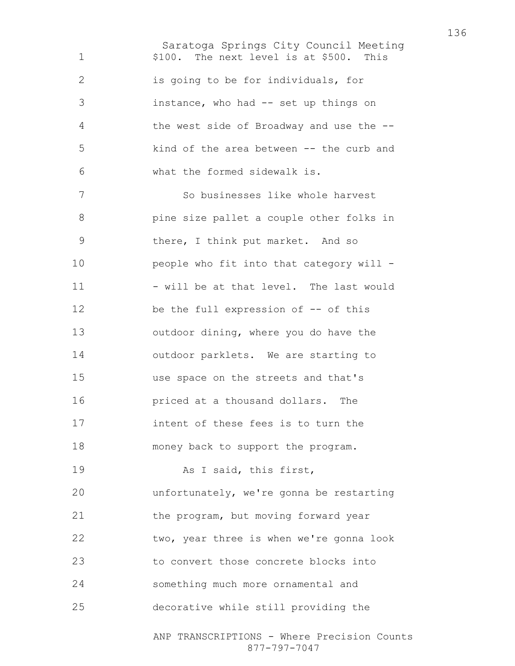Saratoga Springs City Council Meeting ANP TRANSCRIPTIONS - Where Precision Counts 1 \$100. The next level is at \$500. This is going to be for individuals, for instance, who had -- set up things on the west side of Broadway and use the -- kind of the area between -- the curb and what the formed sidewalk is. So businesses like whole harvest pine size pallet a couple other folks in there, I think put market. And so people who fit into that category will - 11 - will be at that level. The last would 12 be the full expression of -- of this outdoor dining, where you do have the outdoor parklets. We are starting to use space on the streets and that's priced at a thousand dollars. The intent of these fees is to turn the money back to support the program. 19 As I said, this first, unfortunately, we're gonna be restarting 21 the program, but moving forward year two, year three is when we're gonna look 23 to convert those concrete blocks into something much more ornamental and decorative while still providing the

877-797-7047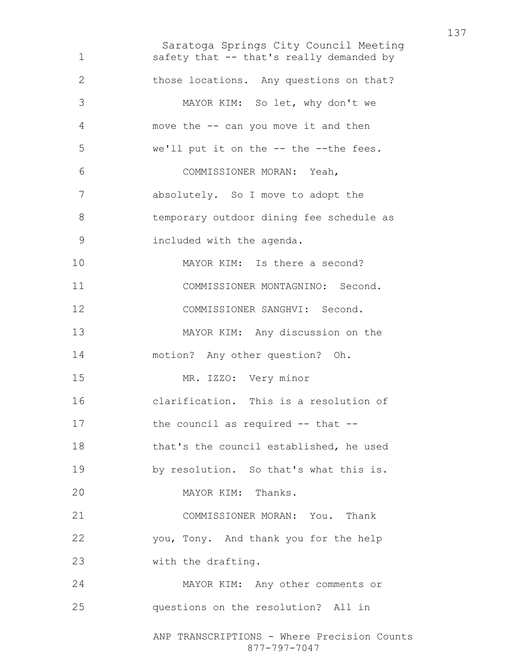Saratoga Springs City Council Meeting ANP TRANSCRIPTIONS - Where Precision Counts 877-797-7047 safety that -- that's really demanded by those locations. Any questions on that? MAYOR KIM: So let, why don't we move the -- can you move it and then we'll put it on the -- the --the fees. COMMISSIONER MORAN: Yeah, absolutely. So I move to adopt the temporary outdoor dining fee schedule as included with the agenda. 10 MAYOR KIM: Is there a second? COMMISSIONER MONTAGNINO: Second. COMMISSIONER SANGHVI: Second. MAYOR KIM: Any discussion on the motion? Any other question? Oh. MR. IZZO: Very minor clarification. This is a resolution of 17 the council as required -- that --that's the council established, he used by resolution. So that's what this is. MAYOR KIM: Thanks. COMMISSIONER MORAN: You. Thank you, Tony. And thank you for the help with the drafting. MAYOR KIM: Any other comments or questions on the resolution? All in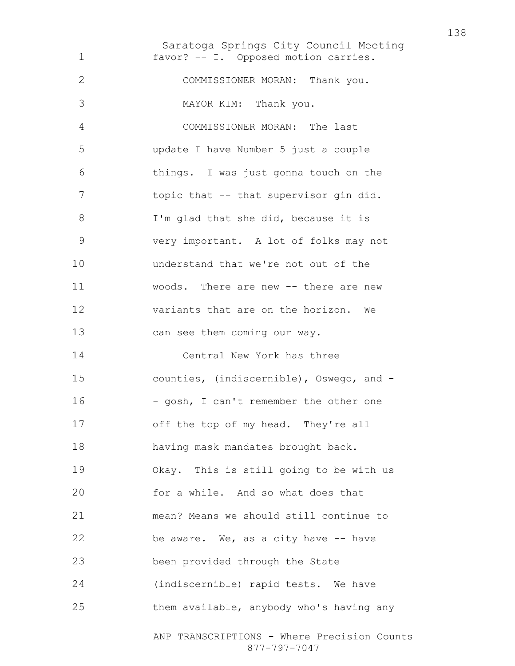Saratoga Springs City Council Meeting ANP TRANSCRIPTIONS - Where Precision Counts favor? -- I. Opposed motion carries. COMMISSIONER MORAN: Thank you. MAYOR KIM: Thank you. COMMISSIONER MORAN: The last update I have Number 5 just a couple things. I was just gonna touch on the 7 topic that -- that supervisor gin did. 8 I'm glad that she did, because it is very important. A lot of folks may not understand that we're not out of the woods. There are new -- there are new variants that are on the horizon. We 13 can see them coming our way. Central New York has three counties, (indiscernible), Oswego, and - 16 - gosh, I can't remember the other one off the top of my head. They're all having mask mandates brought back. Okay. This is still going to be with us for a while. And so what does that mean? Means we should still continue to be aware. We, as a city have -- have been provided through the State (indiscernible) rapid tests. We have them available, anybody who's having any

877-797-7047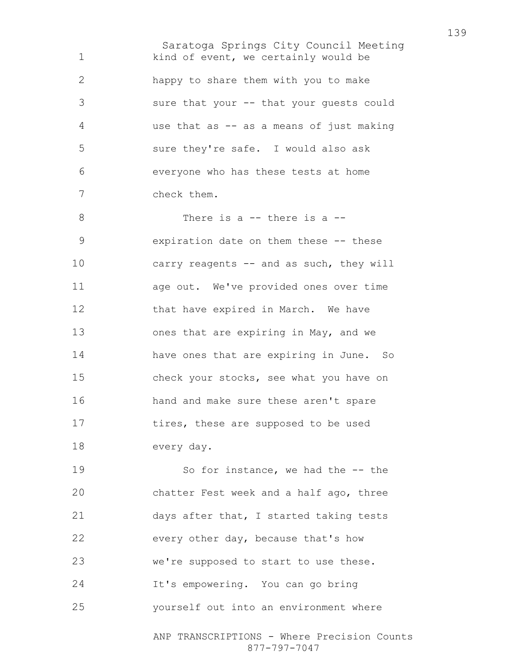Saratoga Springs City Council Meeting kind of event, we certainly would be happy to share them with you to make sure that your -- that your guests could use that as -- as a means of just making sure they're safe. I would also ask everyone who has these tests at home check them. There is a -- there is a -- expiration date on them these -- these 10 carry reagents -- and as such, they will age out. We've provided ones over time 12 that have expired in March. We have ones that are expiring in May, and we have ones that are expiring in June. So check your stocks, see what you have on hand and make sure these aren't spare 17 tires, these are supposed to be used every day. 19 So for instance, we had the  $-$ -the chatter Fest week and a half ago, three 21 days after that, I started taking tests every other day, because that's how we're supposed to start to use these. It's empowering. You can go bring

yourself out into an environment where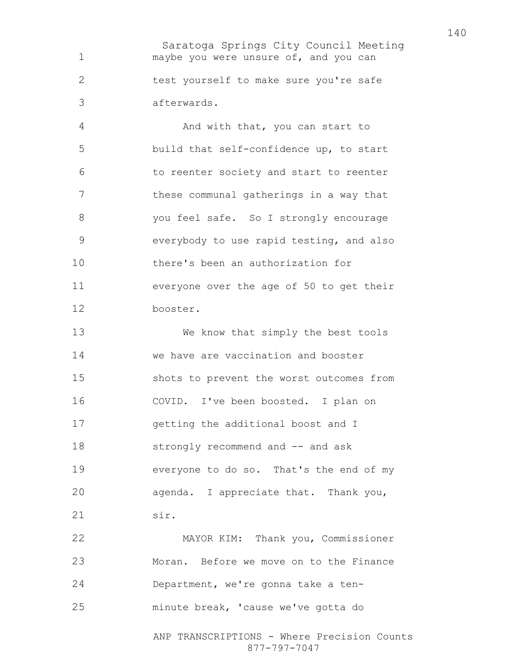Saratoga Springs City Council Meeting maybe you were unsure of, and you can test yourself to make sure you're safe afterwards.

And with that, you can start to build that self-confidence up, to start to reenter society and start to reenter these communal gatherings in a way that you feel safe. So I strongly encourage everybody to use rapid testing, and also there's been an authorization for everyone over the age of 50 to get their booster.

We know that simply the best tools we have are vaccination and booster shots to prevent the worst outcomes from COVID. I've been boosted. I plan on getting the additional boost and I 18 strongly recommend and -- and ask everyone to do so. That's the end of my agenda. I appreciate that. Thank you, sir.

MAYOR KIM: Thank you, Commissioner Moran. Before we move on to the Finance Department, we're gonna take a ten-minute break, 'cause we've gotta do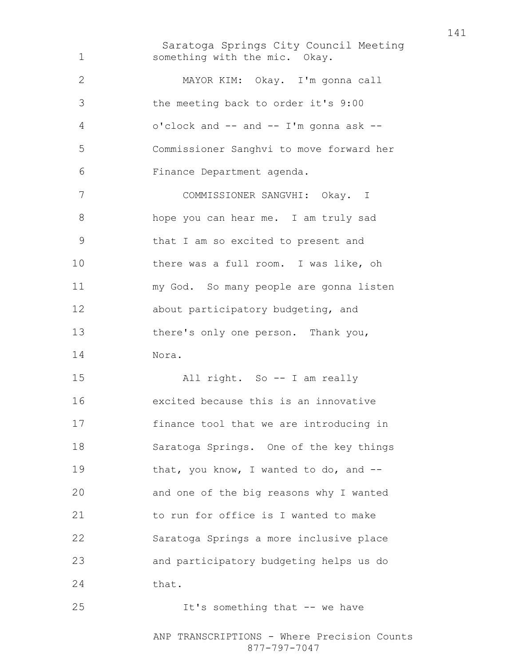Saratoga Springs City Council Meeting something with the mic. Okay. MAYOR KIM: Okay. I'm gonna call the meeting back to order it's 9:00 o'clock and -- and -- I'm gonna ask -- Commissioner Sanghvi to move forward her Finance Department agenda. COMMISSIONER SANGVHI: Okay. I hope you can hear me. I am truly sad that I am so excited to present and there was a full room. I was like, oh my God. So many people are gonna listen about participatory budgeting, and there's only one person. Thank you, Nora. All right. So -- I am really excited because this is an innovative finance tool that we are introducing in Saratoga Springs. One of the key things 19 that, you know, I wanted to do, and --and one of the big reasons why I wanted to run for office is I wanted to make Saratoga Springs a more inclusive place and participatory budgeting helps us do 24 that. 25 It's something that -- we have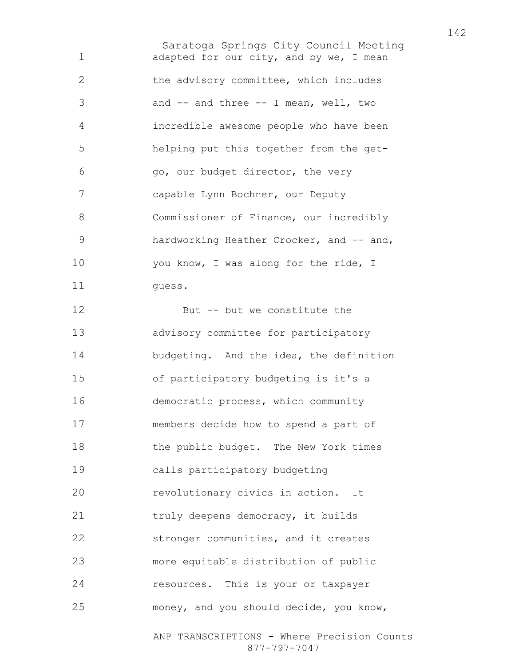Saratoga Springs City Council Meeting 1 adapted for our city, and by we, I mean the advisory committee, which includes and -- and three -- I mean, well, two incredible awesome people who have been helping put this together from the get-go, our budget director, the very capable Lynn Bochner, our Deputy Commissioner of Finance, our incredibly 9 hardworking Heather Crocker, and -- and, 10 you know, I was along for the ride, I 11 quess. But -- but we constitute the advisory committee for participatory budgeting. And the idea, the definition of participatory budgeting is it's a democratic process, which community members decide how to spend a part of 18 the public budget. The New York times calls participatory budgeting **revolutionary civics in action.** It truly deepens democracy, it builds stronger communities, and it creates more equitable distribution of public resources. This is your or taxpayer money, and you should decide, you know,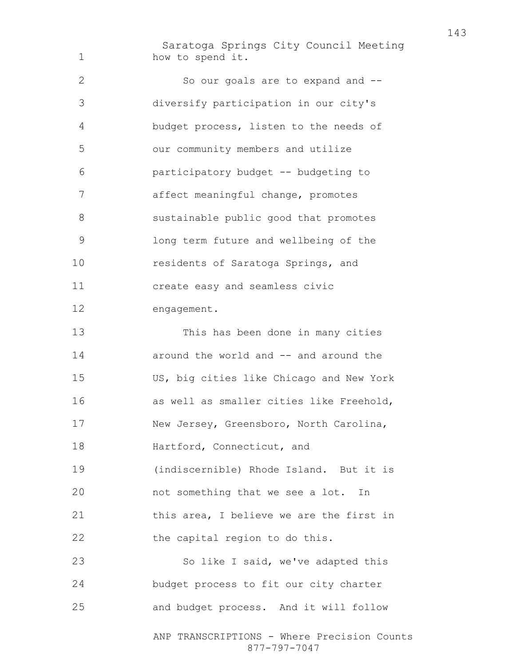Saratoga Springs City Council Meeting how to spend it. So our goals are to expand and -- diversify participation in our city's budget process, listen to the needs of our community members and utilize participatory budget -- budgeting to affect meaningful change, promotes sustainable public good that promotes long term future and wellbeing of the 10 residents of Saratoga Springs, and create easy and seamless civic engagement. This has been done in many cities 14 around the world and -- and around the US, big cities like Chicago and New York as well as smaller cities like Freehold, New Jersey, Greensboro, North Carolina, 18 Hartford, Connecticut, and (indiscernible) Rhode Island. But it is not something that we see a lot. In 21 this area, I believe we are the first in 22 the capital region to do this. 23 So like I said, we've adapted this budget process to fit our city charter and budget process. And it will follow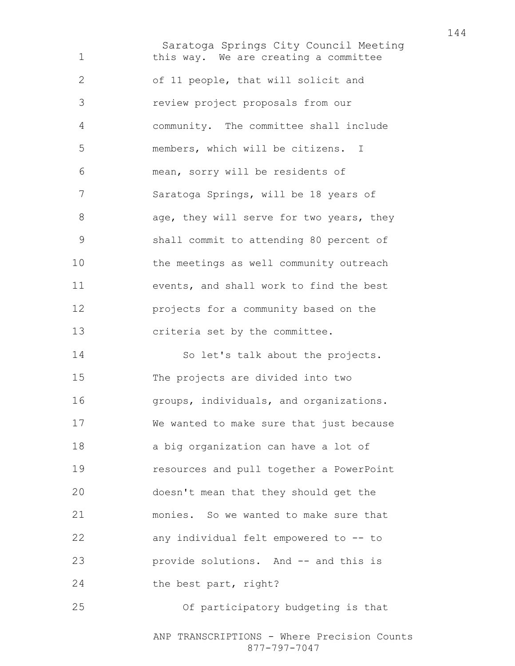Saratoga Springs City Council Meeting this way. We are creating a committee of 11 people, that will solicit and review project proposals from our community. The committee shall include members, which will be citizens. I mean, sorry will be residents of Saratoga Springs, will be 18 years of 8 age, they will serve for two years, they shall commit to attending 80 percent of the meetings as well community outreach events, and shall work to find the best projects for a community based on the criteria set by the committee. So let's talk about the projects. The projects are divided into two groups, individuals, and organizations. We wanted to make sure that just because a big organization can have a lot of resources and pull together a PowerPoint doesn't mean that they should get the monies. So we wanted to make sure that any individual felt empowered to -- to provide solutions. And -- and this is 24 the best part, right? Of participatory budgeting is that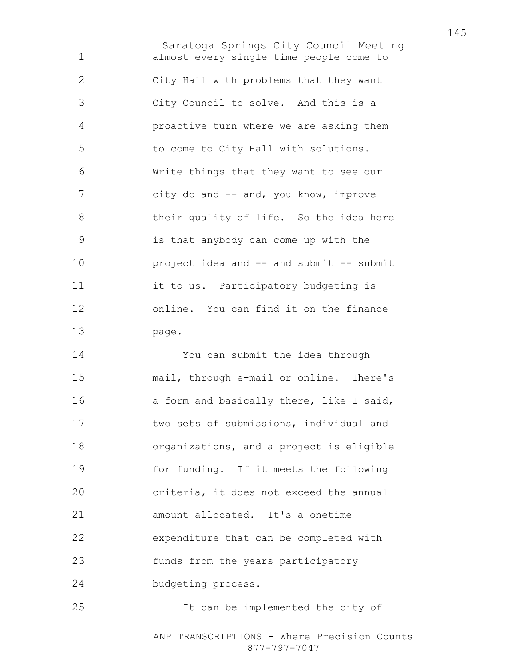Saratoga Springs City Council Meeting almost every single time people come to City Hall with problems that they want City Council to solve. And this is a proactive turn where we are asking them to come to City Hall with solutions. Write things that they want to see our city do and -- and, you know, improve their quality of life. So the idea here is that anybody can come up with the project idea and -- and submit -- submit it to us. Participatory budgeting is online. You can find it on the finance page.

You can submit the idea through mail, through e-mail or online. There's 16 a form and basically there, like I said, two sets of submissions, individual and organizations, and a project is eligible for funding. If it meets the following criteria, it does not exceed the annual amount allocated. It's a onetime expenditure that can be completed with 23 funds from the years participatory budgeting process.

It can be implemented the city of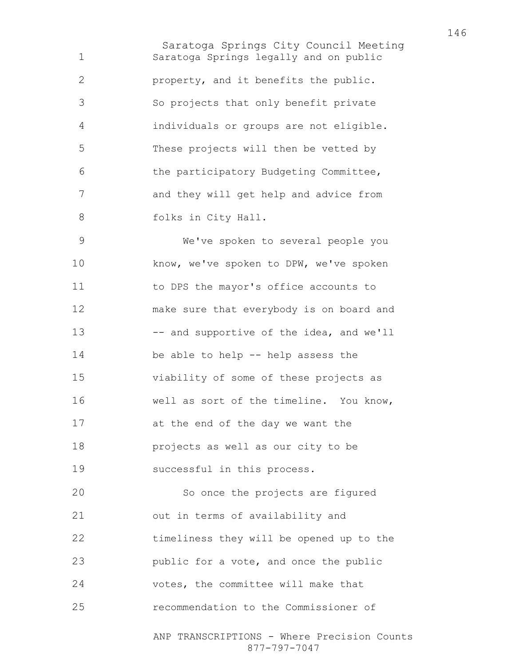Saratoga Springs City Council Meeting Saratoga Springs legally and on public property, and it benefits the public. So projects that only benefit private individuals or groups are not eligible. These projects will then be vetted by the participatory Budgeting Committee, and they will get help and advice from 8 folks in City Hall.

We've spoken to several people you 10 know, we've spoken to DPW, we've spoken 11 to DPS the mayor's office accounts to make sure that everybody is on board and 13 -- and supportive of the idea, and we'll be able to help -- help assess the viability of some of these projects as well as sort of the timeline. You know, at the end of the day we want the projects as well as our city to be successful in this process. So once the projects are figured out in terms of availability and

timeliness they will be opened up to the public for a vote, and once the public votes, the committee will make that

recommendation to the Commissioner of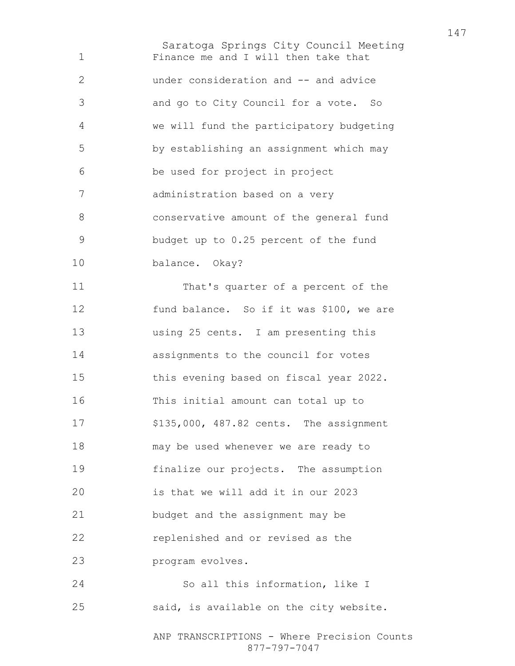Saratoga Springs City Council Meeting ANP TRANSCRIPTIONS - Where Precision Counts 877-797-7047 Finance me and I will then take that under consideration and -- and advice and go to City Council for a vote. So we will fund the participatory budgeting by establishing an assignment which may be used for project in project administration based on a very conservative amount of the general fund budget up to 0.25 percent of the fund balance. Okay? That's quarter of a percent of the fund balance. So if it was \$100, we are using 25 cents. I am presenting this assignments to the council for votes this evening based on fiscal year 2022. This initial amount can total up to \$135,000, 487.82 cents. The assignment may be used whenever we are ready to finalize our projects. The assumption is that we will add it in our 2023 budget and the assignment may be replenished and or revised as the program evolves. So all this information, like I said, is available on the city website.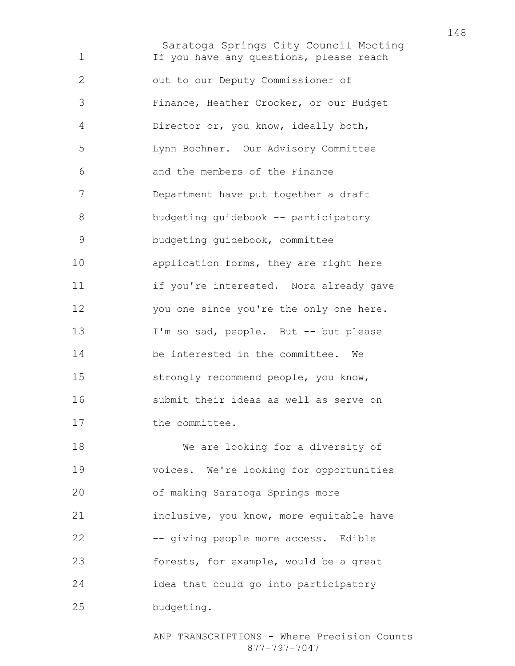Saratoga Springs City Council Meeting If you have any questions, please reach out to our Deputy Commissioner of Finance, Heather Crocker, or our Budget Director or, you know, ideally both, Lynn Bochner. Our Advisory Committee and the members of the Finance Department have put together a draft 8 budgeting guidebook -- participatory budgeting guidebook, committee application forms, they are right here if you're interested. Nora already gave you one since you're the only one here. I'm so sad, people. But -- but please be interested in the committee. We strongly recommend people, you know, submit their ideas as well as serve on 17 the committee. We are looking for a diversity of voices. We're looking for opportunities of making Saratoga Springs more inclusive, you know, more equitable have -- giving people more access. Edible forests, for example, would be a great idea that could go into participatory budgeting.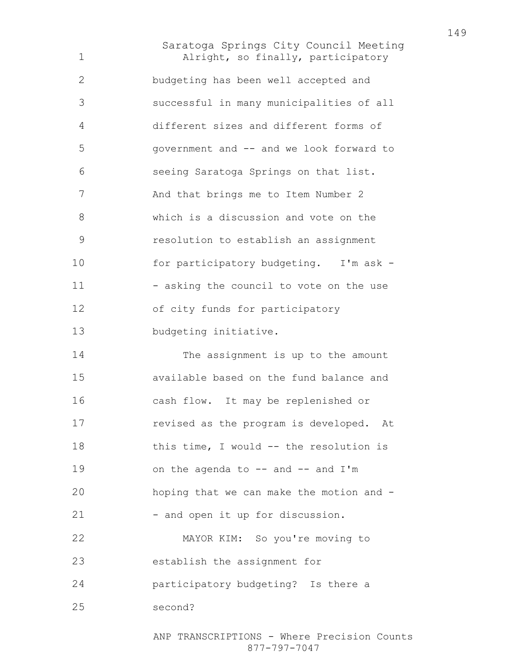Saratoga Springs City Council Meeting Alright, so finally, participatory budgeting has been well accepted and successful in many municipalities of all different sizes and different forms of government and -- and we look forward to seeing Saratoga Springs on that list. 7 And that brings me to Item Number 2 which is a discussion and vote on the resolution to establish an assignment 10 for participatory budgeting. I'm ask -11 - asking the council to vote on the use of city funds for participatory budgeting initiative. The assignment is up to the amount available based on the fund balance and cash flow. It may be replenished or revised as the program is developed. At 18 this time, I would -- the resolution is 19 on the agenda to -- and -- and I'm hoping that we can make the motion and - 21 - and open it up for discussion. MAYOR KIM: So you're moving to establish the assignment for participatory budgeting? Is there a second?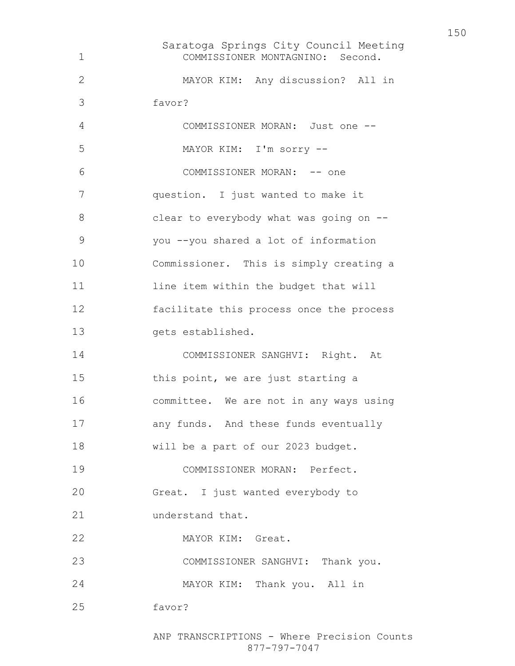Saratoga Springs City Council Meeting COMMISSIONER MONTAGNINO: Second. MAYOR KIM: Any discussion? All in favor? COMMISSIONER MORAN: Just one -- MAYOR KIM: I'm sorry -- COMMISSIONER MORAN: -- one question. I just wanted to make it 8 clear to everybody what was going on --you --you shared a lot of information Commissioner. This is simply creating a 11 line item within the budget that will facilitate this process once the process gets established. COMMISSIONER SANGHVI: Right. At 15 this point, we are just starting a committee. We are not in any ways using any funds. And these funds eventually will be a part of our 2023 budget. COMMISSIONER MORAN: Perfect. Great. I just wanted everybody to 21 understand that. MAYOR KIM: Great. COMMISSIONER SANGHVI: Thank you. MAYOR KIM: Thank you. All in favor?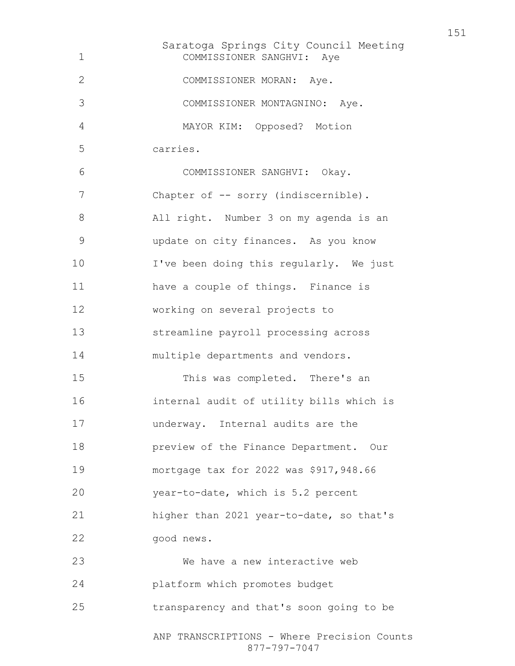Saratoga Springs City Council Meeting ANP TRANSCRIPTIONS - Where Precision Counts 877-797-7047 COMMISSIONER SANGHVI: Aye COMMISSIONER MORAN: Aye. COMMISSIONER MONTAGNINO: Aye. MAYOR KIM: Opposed? Motion carries. COMMISSIONER SANGHVI: Okay. 7 Chapter of -- sorry (indiscernible). All right. Number 3 on my agenda is an update on city finances. As you know 10 I've been doing this regularly. We just have a couple of things. Finance is working on several projects to streamline payroll processing across multiple departments and vendors. This was completed. There's an internal audit of utility bills which is underway. Internal audits are the preview of the Finance Department. Our mortgage tax for 2022 was \$917,948.66 year-to-date, which is 5.2 percent higher than 2021 year-to-date, so that's good news. We have a new interactive web platform which promotes budget transparency and that's soon going to be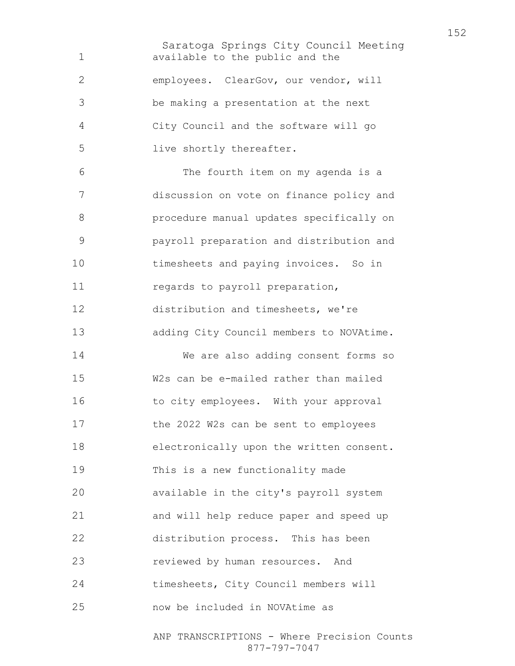Saratoga Springs City Council Meeting available to the public and the employees. ClearGov, our vendor, will be making a presentation at the next City Council and the software will go live shortly thereafter. The fourth item on my agenda is a discussion on vote on finance policy and procedure manual updates specifically on payroll preparation and distribution and timesheets and paying invoices. So in 11 regards to payroll preparation, distribution and timesheets, we're adding City Council members to NOVAtime. We are also adding consent forms so W2s can be e-mailed rather than mailed 16 to city employees. With your approval the 2022 W2s can be sent to employees electronically upon the written consent. This is a new functionality made available in the city's payroll system and will help reduce paper and speed up distribution process. This has been reviewed by human resources. And timesheets, City Council members will now be included in NOVAtime as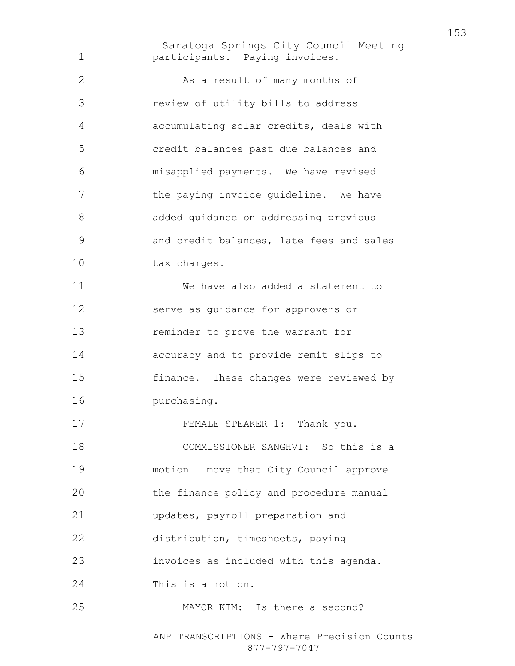Saratoga Springs City Council Meeting participants. Paying invoices. As a result of many months of review of utility bills to address accumulating solar credits, deals with credit balances past due balances and misapplied payments. We have revised 7 the paying invoice quideline. We have added guidance on addressing previous and credit balances, late fees and sales 10 tax charges. We have also added a statement to serve as guidance for approvers or reminder to prove the warrant for accuracy and to provide remit slips to finance. These changes were reviewed by purchasing. 17 FEMALE SPEAKER 1: Thank you. COMMISSIONER SANGHVI: So this is a motion I move that City Council approve the finance policy and procedure manual updates, payroll preparation and distribution, timesheets, paying invoices as included with this agenda. This is a motion. MAYOR KIM: Is there a second?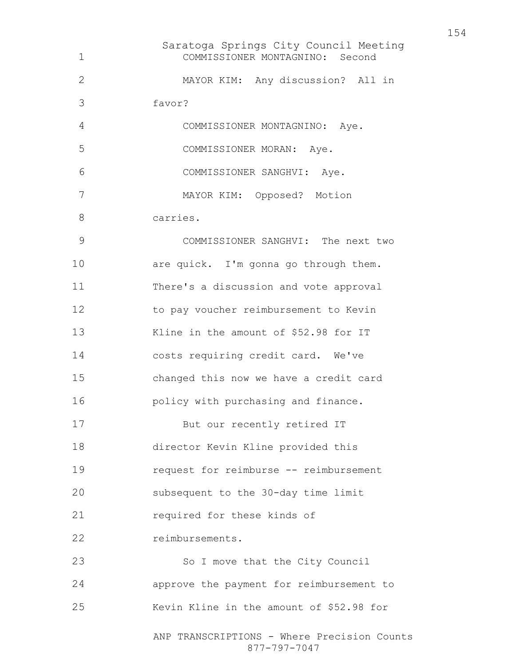Saratoga Springs City Council Meeting ANP TRANSCRIPTIONS - Where Precision Counts COMMISSIONER MONTAGNINO: Second MAYOR KIM: Any discussion? All in favor? COMMISSIONER MONTAGNINO: Aye. COMMISSIONER MORAN: Aye. COMMISSIONER SANGHVI: Aye. MAYOR KIM: Opposed? Motion carries. COMMISSIONER SANGHVI: The next two 10 are quick. I'm gonna go through them. There's a discussion and vote approval to pay voucher reimbursement to Kevin Kline in the amount of \$52.98 for IT costs requiring credit card. We've changed this now we have a credit card **policy with purchasing and finance.** 17 But our recently retired IT director Kevin Kline provided this request for reimburse -- reimbursement subsequent to the 30-day time limit required for these kinds of 22 reimbursements. 23 So I move that the City Council approve the payment for reimbursement to Kevin Kline in the amount of \$52.98 for

877-797-7047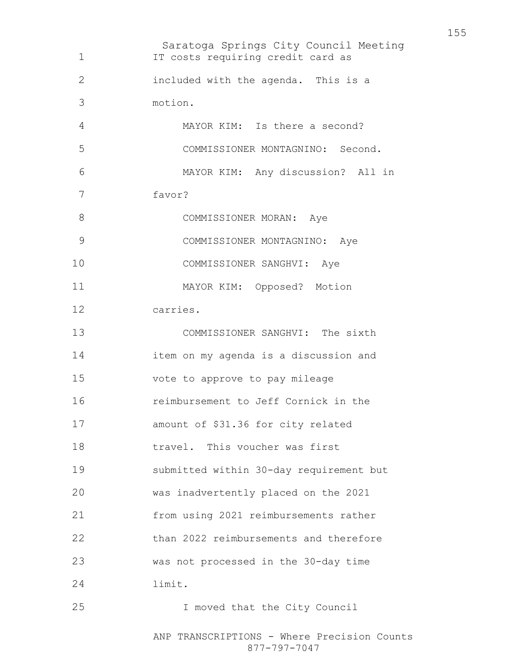Saratoga Springs City Council Meeting ANP TRANSCRIPTIONS - Where Precision Counts IT costs requiring credit card as included with the agenda. This is a motion. MAYOR KIM: Is there a second? COMMISSIONER MONTAGNINO: Second. MAYOR KIM: Any discussion? All in favor? 8 COMMISSIONER MORAN: Aye COMMISSIONER MONTAGNINO: Aye COMMISSIONER SANGHVI: Aye MAYOR KIM: Opposed? Motion carries. COMMISSIONER SANGHVI: The sixth item on my agenda is a discussion and vote to approve to pay mileage reimbursement to Jeff Cornick in the amount of \$31.36 for city related travel. This voucher was first submitted within 30-day requirement but was inadvertently placed on the 2021 from using 2021 reimbursements rather than 2022 reimbursements and therefore was not processed in the 30-day time limit. I moved that the City Council

877-797-7047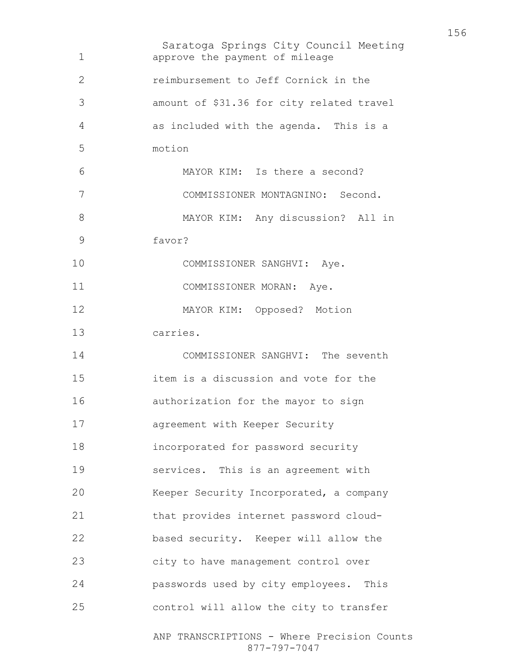Saratoga Springs City Council Meeting ANP TRANSCRIPTIONS - Where Precision Counts 877-797-7047 approve the payment of mileage reimbursement to Jeff Cornick in the amount of \$31.36 for city related travel as included with the agenda. This is a motion MAYOR KIM: Is there a second? COMMISSIONER MONTAGNINO: Second. MAYOR KIM: Any discussion? All in favor? 10 COMMISSIONER SANGHVI: Aye. 11 COMMISSIONER MORAN: Aye. MAYOR KIM: Opposed? Motion carries. COMMISSIONER SANGHVI: The seventh item is a discussion and vote for the authorization for the mayor to sign agreement with Keeper Security incorporated for password security services. This is an agreement with Keeper Security Incorporated, a company that provides internet password cloud-based security. Keeper will allow the city to have management control over passwords used by city employees. This control will allow the city to transfer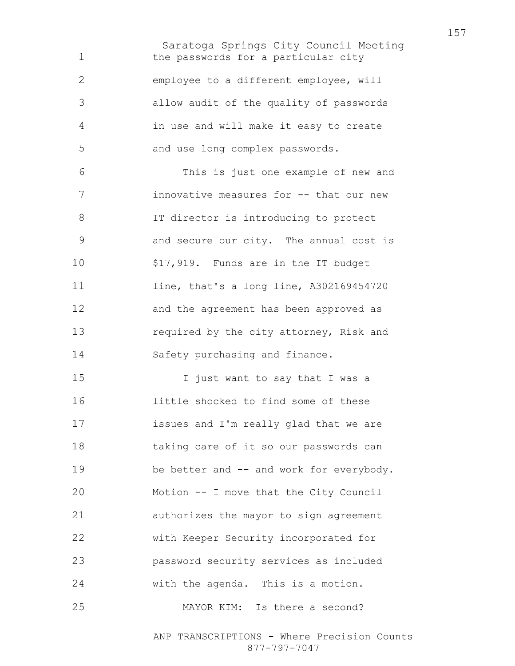Saratoga Springs City Council Meeting 1 the passwords for a particular city employee to a different employee, will allow audit of the quality of passwords in use and will make it easy to create and use long complex passwords. This is just one example of new and innovative measures for -- that our new IT director is introducing to protect and secure our city. The annual cost is \$17,919. Funds are in the IT budget line, that's a long line, A302169454720 and the agreement has been approved as 13 required by the city attorney, Risk and Safety purchasing and finance. I just want to say that I was a little shocked to find some of these issues and I'm really glad that we are taking care of it so our passwords can 19 be better and -- and work for everybody. Motion -- I move that the City Council authorizes the mayor to sign agreement with Keeper Security incorporated for password security services as included with the agenda. This is a motion. MAYOR KIM: Is there a second?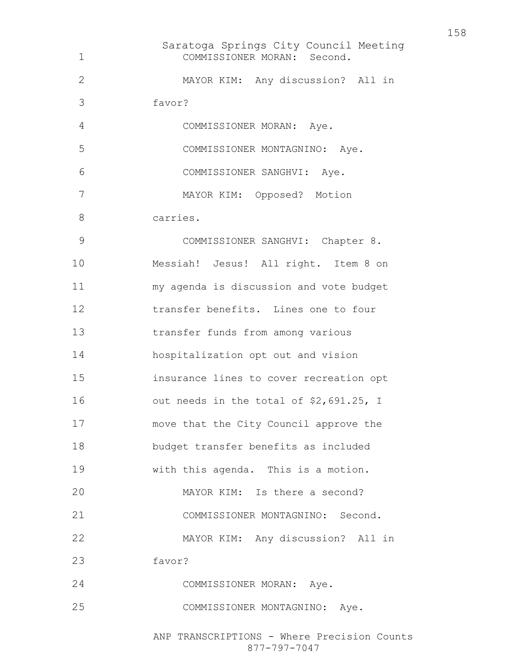Saratoga Springs City Council Meeting COMMISSIONER MORAN: Second. MAYOR KIM: Any discussion? All in favor? COMMISSIONER MORAN: Aye. COMMISSIONER MONTAGNINO: Aye. COMMISSIONER SANGHVI: Aye. MAYOR KIM: Opposed? Motion carries. COMMISSIONER SANGHVI: Chapter 8. Messiah! Jesus! All right. Item 8 on my agenda is discussion and vote budget transfer benefits. Lines one to four transfer funds from among various hospitalization opt out and vision insurance lines to cover recreation opt out needs in the total of \$2,691.25, I move that the City Council approve the budget transfer benefits as included with this agenda. This is a motion. MAYOR KIM: Is there a second? COMMISSIONER MONTAGNINO: Second. MAYOR KIM: Any discussion? All in favor? COMMISSIONER MORAN: Aye. COMMISSIONER MONTAGNINO: Aye.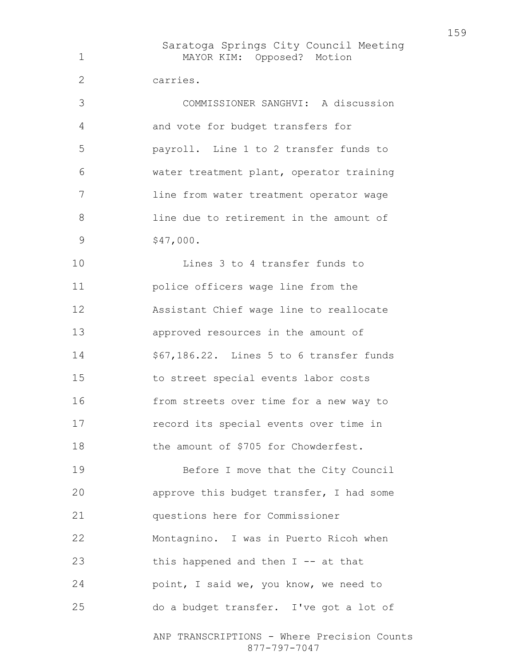Saratoga Springs City Council Meeting ANP TRANSCRIPTIONS - Where Precision Counts MAYOR KIM: Opposed? Motion carries. COMMISSIONER SANGHVI: A discussion and vote for budget transfers for payroll. Line 1 to 2 transfer funds to water treatment plant, operator training line from water treatment operator wage line due to retirement in the amount of 9 \$47,000. Lines 3 to 4 transfer funds to police officers wage line from the Assistant Chief wage line to reallocate approved resources in the amount of \$67,186.22. Lines 5 to 6 transfer funds to street special events labor costs from streets over time for a new way to record its special events over time in 18 the amount of \$705 for Chowderfest. Before I move that the City Council approve this budget transfer, I had some questions here for Commissioner Montagnino. I was in Puerto Ricoh when 23 this happened and then I -- at that point, I said we, you know, we need to do a budget transfer. I've got a lot of

877-797-7047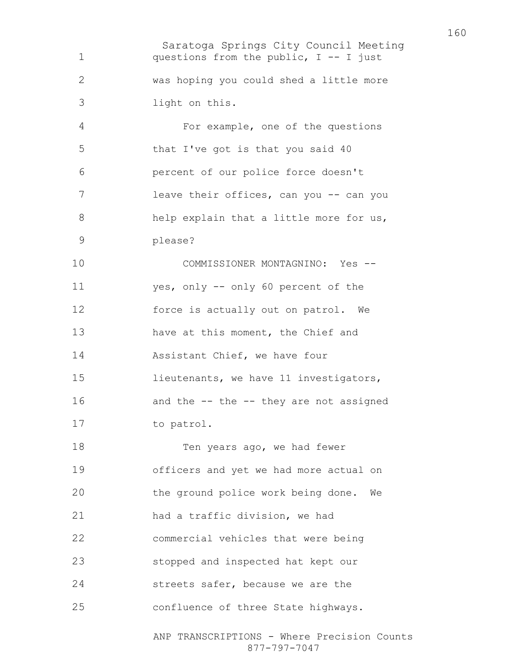Saratoga Springs City Council Meeting ANP TRANSCRIPTIONS - Where Precision Counts questions from the public, I -- I just was hoping you could shed a little more light on this. For example, one of the questions that I've got is that you said 40 percent of our police force doesn't 7 leave their offices, can you -- can you 8 help explain that a little more for us, please? COMMISSIONER MONTAGNINO: Yes -- yes, only -- only 60 percent of the force is actually out on patrol. We have at this moment, the Chief and Assistant Chief, we have four lieutenants, we have 11 investigators, 16 and the -- the -- they are not assigned to patrol. 18 Ten years ago, we had fewer officers and yet we had more actual on the ground police work being done. We had a traffic division, we had commercial vehicles that were being stopped and inspected hat kept our streets safer, because we are the confluence of three State highways.

877-797-7047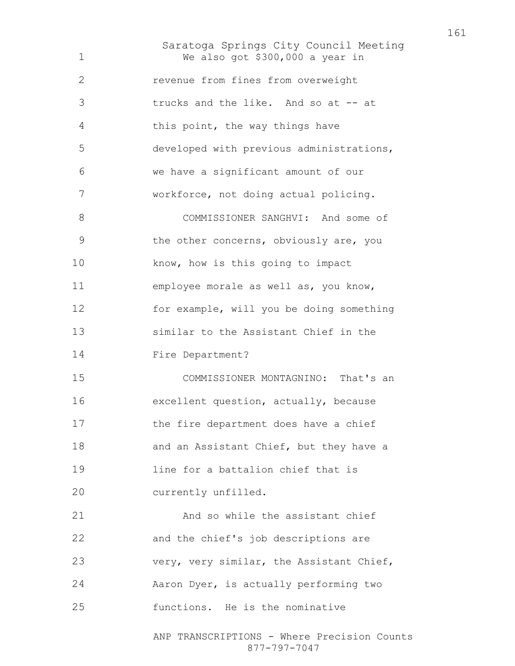Saratoga Springs City Council Meeting We also got \$300,000 a year in revenue from fines from overweight trucks and the like. And so at -- at this point, the way things have developed with previous administrations, we have a significant amount of our workforce, not doing actual policing. COMMISSIONER SANGHVI: And some of the other concerns, obviously are, you 10 know, how is this going to impact employee morale as well as, you know, for example, will you be doing something similar to the Assistant Chief in the Fire Department? COMMISSIONER MONTAGNINO: That's an excellent question, actually, because 17 the fire department does have a chief 18 and an Assistant Chief, but they have a line for a battalion chief that is currently unfilled. And so while the assistant chief and the chief's job descriptions are very, very similar, the Assistant Chief, Aaron Dyer, is actually performing two functions. He is the nominative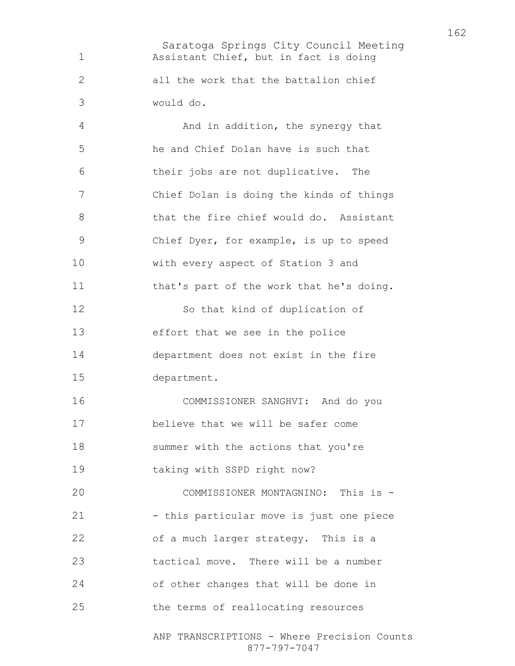Saratoga Springs City Council Meeting Assistant Chief, but in fact is doing all the work that the battalion chief would do.

And in addition, the synergy that he and Chief Dolan have is such that their jobs are not duplicative. The Chief Dolan is doing the kinds of things 8 that the fire chief would do. Assistant Chief Dyer, for example, is up to speed with every aspect of Station 3 and that's part of the work that he's doing. So that kind of duplication of effort that we see in the police department does not exist in the fire department. COMMISSIONER SANGHVI: And do you believe that we will be safer come summer with the actions that you're taking with SSPD right now? COMMISSIONER MONTAGNINO: This is - 21 - this particular move is just one piece of a much larger strategy. This is a tactical move. There will be a number of other changes that will be done in

the terms of reallocating resources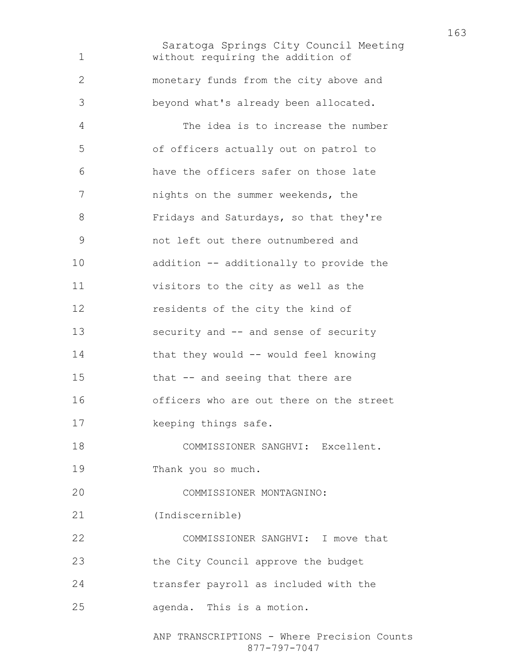Saratoga Springs City Council Meeting without requiring the addition of monetary funds from the city above and beyond what's already been allocated. The idea is to increase the number of officers actually out on patrol to have the officers safer on those late nights on the summer weekends, the Fridays and Saturdays, so that they're not left out there outnumbered and addition -- additionally to provide the visitors to the city as well as the residents of the city the kind of security and -- and sense of security that they would -- would feel knowing that -- and seeing that there are officers who are out there on the street keeping things safe. COMMISSIONER SANGHVI: Excellent. Thank you so much. COMMISSIONER MONTAGNINO: (Indiscernible) COMMISSIONER SANGHVI: I move that the City Council approve the budget transfer payroll as included with the agenda. This is a motion.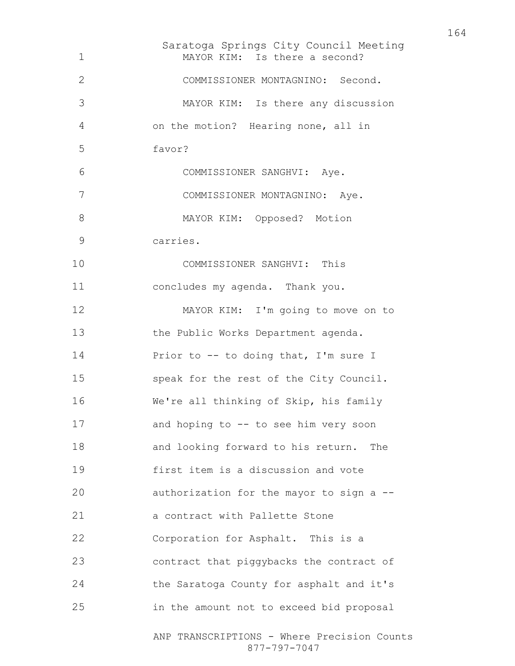Saratoga Springs City Council Meeting ANP TRANSCRIPTIONS - Where Precision Counts MAYOR KIM: Is there a second? COMMISSIONER MONTAGNINO: Second. MAYOR KIM: Is there any discussion on the motion? Hearing none, all in favor? COMMISSIONER SANGHVI: Aye. COMMISSIONER MONTAGNINO: Aye. 8 MAYOR KIM: Opposed? Motion carries. COMMISSIONER SANGHVI: This concludes my agenda. Thank you. MAYOR KIM: I'm going to move on to 13 the Public Works Department agenda. 14 Prior to -- to doing that, I'm sure I speak for the rest of the City Council. We're all thinking of Skip, his family and hoping to -- to see him very soon and looking forward to his return. The first item is a discussion and vote authorization for the mayor to sign a -- a contract with Pallette Stone Corporation for Asphalt. This is a contract that piggybacks the contract of the Saratoga County for asphalt and it's in the amount not to exceed bid proposal

877-797-7047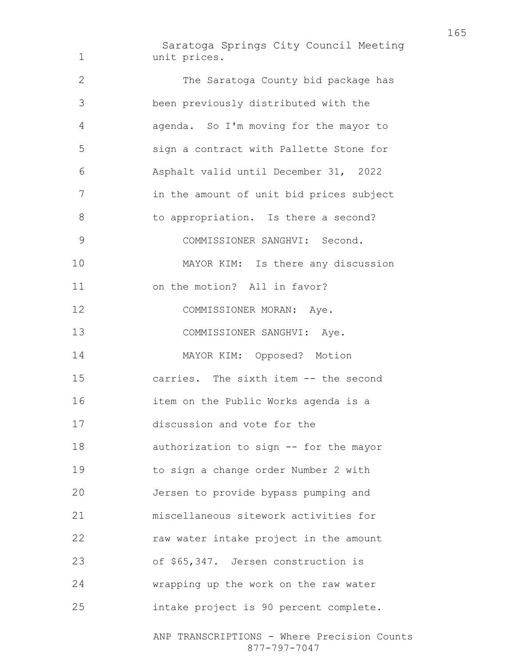Saratoga Springs City Council Meeting unit prices. The Saratoga County bid package has been previously distributed with the agenda. So I'm moving for the mayor to sign a contract with Pallette Stone for Asphalt valid until December 31, 2022 in the amount of unit bid prices subject 8 to appropriation. Is there a second? COMMISSIONER SANGHVI: Second. MAYOR KIM: Is there any discussion on the motion? All in favor? 12 COMMISSIONER MORAN: Aye. 13 COMMISSIONER SANGHVI: Aye. MAYOR KIM: Opposed? Motion carries. The sixth item -- the second item on the Public Works agenda is a discussion and vote for the authorization to sign -- for the mayor to sign a change order Number 2 with Jersen to provide bypass pumping and miscellaneous sitework activities for raw water intake project in the amount of \$65,347. Jersen construction is wrapping up the work on the raw water intake project is 90 percent complete.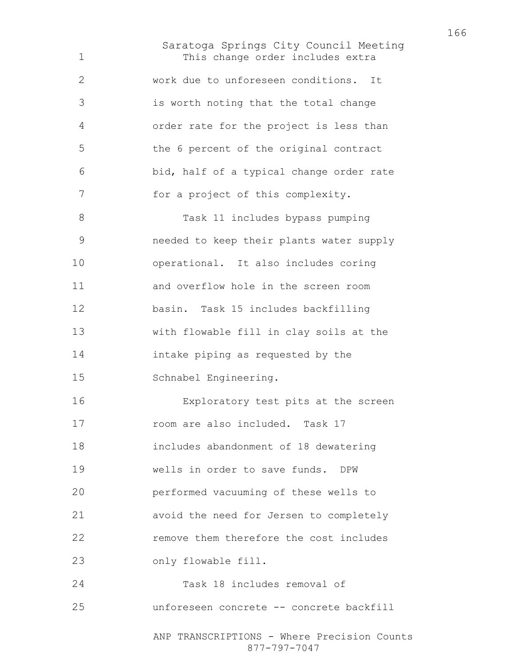Saratoga Springs City Council Meeting This change order includes extra work due to unforeseen conditions. It is worth noting that the total change order rate for the project is less than the 6 percent of the original contract bid, half of a typical change order rate for a project of this complexity. Task 11 includes bypass pumping needed to keep their plants water supply operational. It also includes coring and overflow hole in the screen room basin. Task 15 includes backfilling with flowable fill in clay soils at the intake piping as requested by the Schnabel Engineering. Exploratory test pits at the screen room are also included. Task 17 includes abandonment of 18 dewatering wells in order to save funds. DPW performed vacuuming of these wells to avoid the need for Jersen to completely remove them therefore the cost includes only flowable fill. Task 18 includes removal of unforeseen concrete -- concrete backfill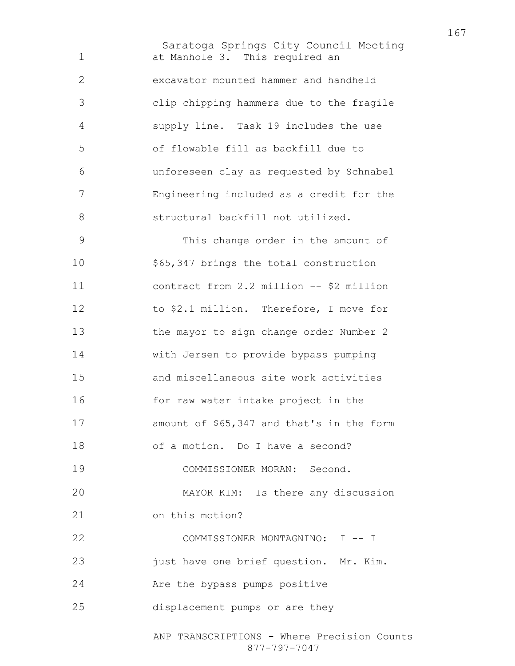Saratoga Springs City Council Meeting ANP TRANSCRIPTIONS - Where Precision Counts at Manhole 3. This required an excavator mounted hammer and handheld clip chipping hammers due to the fragile supply line. Task 19 includes the use of flowable fill as backfill due to unforeseen clay as requested by Schnabel Engineering included as a credit for the structural backfill not utilized. This change order in the amount of \$65,347 brings the total construction contract from 2.2 million -- \$2 million to \$2.1 million. Therefore, I move for the mayor to sign change order Number 2 with Jersen to provide bypass pumping and miscellaneous site work activities for raw water intake project in the 17 amount of \$65,347 and that's in the form of a motion. Do I have a second? COMMISSIONER MORAN: Second. MAYOR KIM: Is there any discussion on this motion? COMMISSIONER MONTAGNINO: I -- I 23 just have one brief question. Mr. Kim. Are the bypass pumps positive displacement pumps or are they

877-797-7047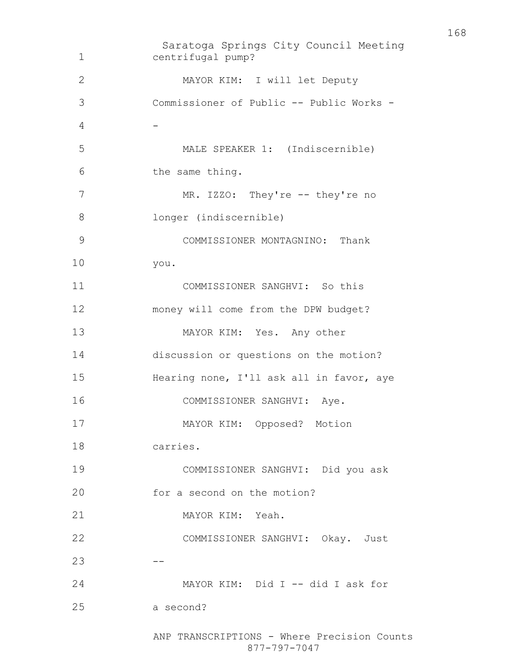Saratoga Springs City Council Meeting centrifugal pump? MAYOR KIM: I will let Deputy Commissioner of Public -- Public Works - 4 -MALE SPEAKER 1: (Indiscernible) the same thing. 7 MR. IZZO: They're -- they're no longer (indiscernible) COMMISSIONER MONTAGNINO: Thank you. COMMISSIONER SANGHVI: So this money will come from the DPW budget? MAYOR KIM: Yes. Any other discussion or questions on the motion? Hearing none, I'll ask all in favor, aye COMMISSIONER SANGHVI: Aye. MAYOR KIM: Opposed? Motion carries. COMMISSIONER SANGHVI: Did you ask 20 for a second on the motion? MAYOR KIM: Yeah. COMMISSIONER SANGHVI: Okay. Just  $23 - - -$ 24 MAYOR KIM: Did I -- did I ask for a second?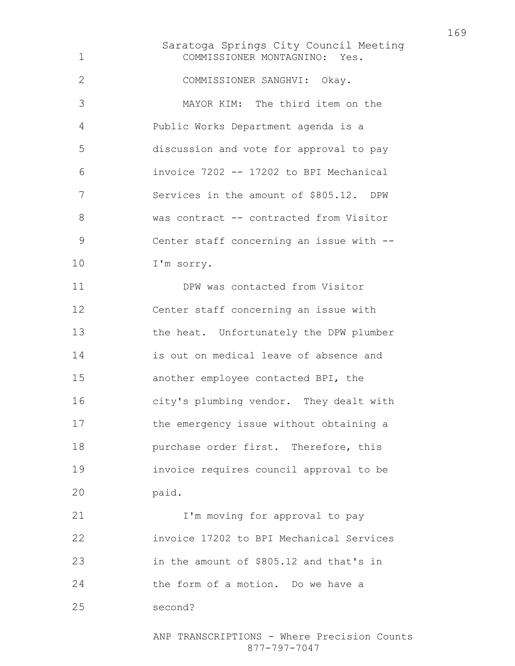Saratoga Springs City Council Meeting COMMISSIONER MONTAGNINO: Yes. COMMISSIONER SANGHVI: Okay. MAYOR KIM: The third item on the Public Works Department agenda is a discussion and vote for approval to pay invoice 7202 -- 17202 to BPI Mechanical Services in the amount of \$805.12. DPW 8 was contract -- contracted from Visitor Center staff concerning an issue with -- I'm sorry. DPW was contacted from Visitor Center staff concerning an issue with the heat. Unfortunately the DPW plumber is out on medical leave of absence and another employee contacted BPI, the city's plumbing vendor. They dealt with the emergency issue without obtaining a **purchase order first.** Therefore, this invoice requires council approval to be paid. **I'm moving for approval to pay** invoice 17202 to BPI Mechanical Services in the amount of \$805.12 and that's in the form of a motion. Do we have a

second?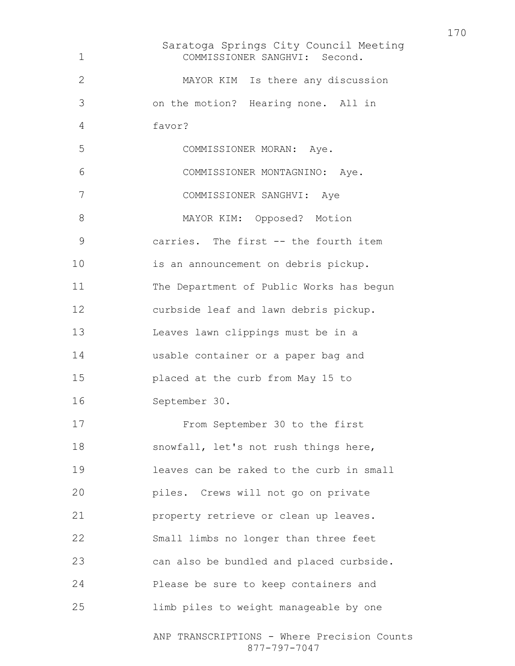Saratoga Springs City Council Meeting ANP TRANSCRIPTIONS - Where Precision Counts 877-797-7047 COMMISSIONER SANGHVI: Second. MAYOR KIM Is there any discussion on the motion? Hearing none. All in favor? COMMISSIONER MORAN: Aye. COMMISSIONER MONTAGNINO: Aye. COMMISSIONER SANGHVI: Aye 8 MAYOR KIM: Opposed? Motion carries. The first -- the fourth item is an announcement on debris pickup. The Department of Public Works has begun curbside leaf and lawn debris pickup. Leaves lawn clippings must be in a usable container or a paper bag and placed at the curb from May 15 to September 30. From September 30 to the first snowfall, let's not rush things here, leaves can be raked to the curb in small piles. Crews will not go on private property retrieve or clean up leaves. Small limbs no longer than three feet can also be bundled and placed curbside. Please be sure to keep containers and limb piles to weight manageable by one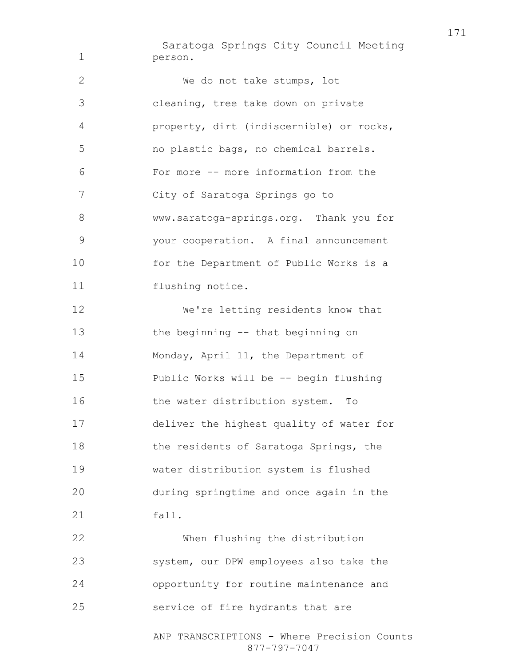Saratoga Springs City Council Meeting person. We do not take stumps, lot cleaning, tree take down on private property, dirt (indiscernible) or rocks, no plastic bags, no chemical barrels. For more -- more information from the City of Saratoga Springs go to www.saratoga-springs.org. Thank you for your cooperation. A final announcement for the Department of Public Works is a 11 flushing notice. We're letting residents know that the beginning -- that beginning on 14 Monday, April 11, the Department of Public Works will be -- begin flushing 16 the water distribution system. To deliver the highest quality of water for the residents of Saratoga Springs, the water distribution system is flushed during springtime and once again in the fall. When flushing the distribution system, our DPW employees also take the opportunity for routine maintenance and

service of fire hydrants that are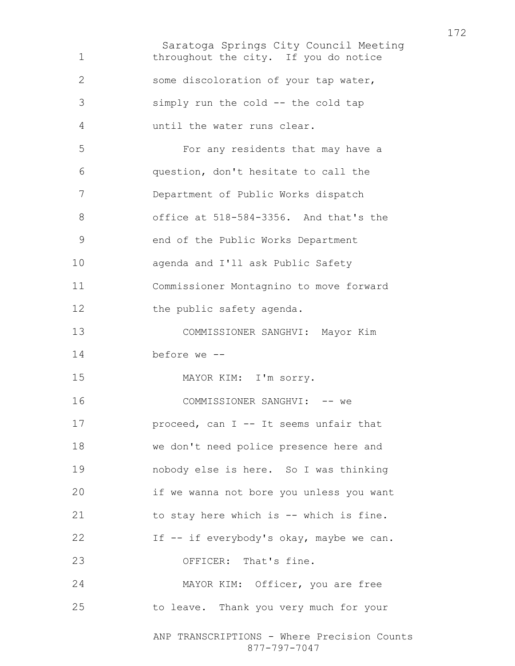Saratoga Springs City Council Meeting ANP TRANSCRIPTIONS - Where Precision Counts 877-797-7047 throughout the city. If you do notice some discoloration of your tap water, simply run the cold -- the cold tap until the water runs clear. For any residents that may have a question, don't hesitate to call the Department of Public Works dispatch office at 518-584-3356. And that's the end of the Public Works Department agenda and I'll ask Public Safety Commissioner Montagnino to move forward 12 the public safety agenda. COMMISSIONER SANGHVI: Mayor Kim before we -- MAYOR KIM: I'm sorry. 16 COMMISSIONER SANGHVI: -- we **proceed, can I -- It seems unfair that** we don't need police presence here and nobody else is here. So I was thinking if we wanna not bore you unless you want to stay here which is -- which is fine. 22 If -- if everybody's okay, maybe we can. 23 OFFICER: That's fine. MAYOR KIM: Officer, you are free to leave. Thank you very much for your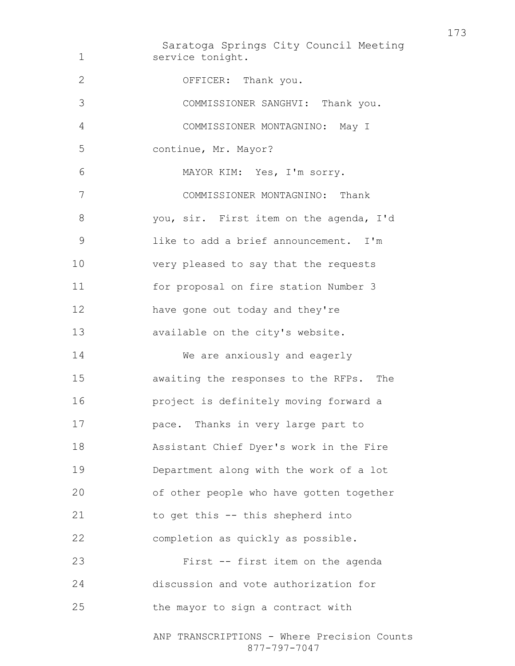Saratoga Springs City Council Meeting service tonight. OFFICER: Thank you. COMMISSIONER SANGHVI: Thank you. COMMISSIONER MONTAGNINO: May I continue, Mr. Mayor? MAYOR KIM: Yes, I'm sorry. COMMISSIONER MONTAGNINO: Thank you, sir. First item on the agenda, I'd like to add a brief announcement. I'm very pleased to say that the requests for proposal on fire station Number 3 have gone out today and they're available on the city's website. We are anxiously and eagerly awaiting the responses to the RFPs. The project is definitely moving forward a pace. Thanks in very large part to Assistant Chief Dyer's work in the Fire Department along with the work of a lot of other people who have gotten together to get this -- this shepherd into completion as quickly as possible. First -- first item on the agenda discussion and vote authorization for the mayor to sign a contract with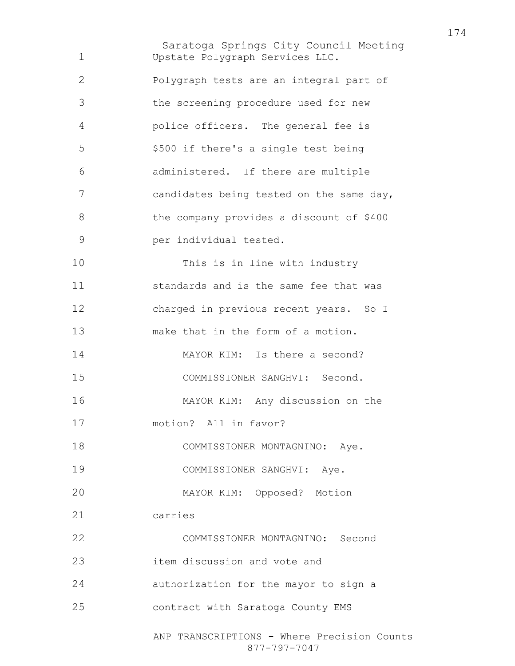Saratoga Springs City Council Meeting ANP TRANSCRIPTIONS - Where Precision Counts Upstate Polygraph Services LLC. Polygraph tests are an integral part of the screening procedure used for new police officers. The general fee is \$500 if there's a single test being administered. If there are multiple candidates being tested on the same day, the company provides a discount of \$400 per individual tested. This is in line with industry standards and is the same fee that was charged in previous recent years. So I make that in the form of a motion. MAYOR KIM: Is there a second? COMMISSIONER SANGHVI: Second. MAYOR KIM: Any discussion on the motion? All in favor? 18 COMMISSIONER MONTAGNINO: Aye. COMMISSIONER SANGHVI: Aye. MAYOR KIM: Opposed? Motion carries COMMISSIONER MONTAGNINO: Second item discussion and vote and authorization for the mayor to sign a contract with Saratoga County EMS

877-797-7047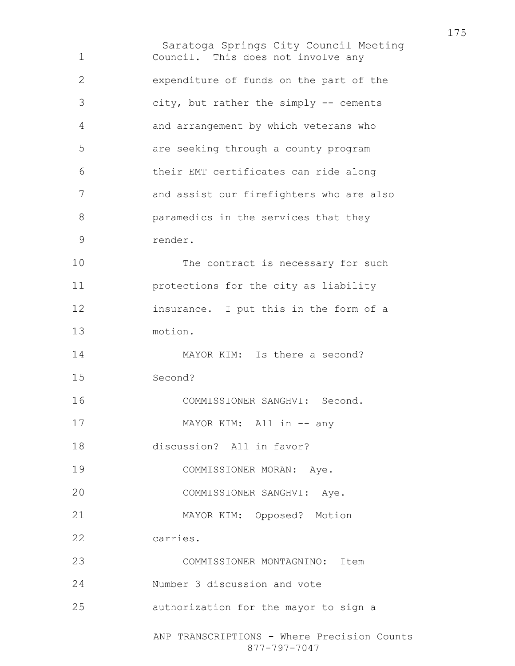Saratoga Springs City Council Meeting ANP TRANSCRIPTIONS - Where Precision Counts Council. This does not involve any expenditure of funds on the part of the city, but rather the simply -- cements and arrangement by which veterans who are seeking through a county program their EMT certificates can ride along and assist our firefighters who are also paramedics in the services that they render. 10 The contract is necessary for such protections for the city as liability insurance. I put this in the form of a motion. 14 MAYOR KIM: Is there a second? Second? COMMISSIONER SANGHVI: Second. 17 MAYOR KIM: All in -- any discussion? All in favor? COMMISSIONER MORAN: Aye. COMMISSIONER SANGHVI: Aye. MAYOR KIM: Opposed? Motion carries. COMMISSIONER MONTAGNINO: Item Number 3 discussion and vote authorization for the mayor to sign a

877-797-7047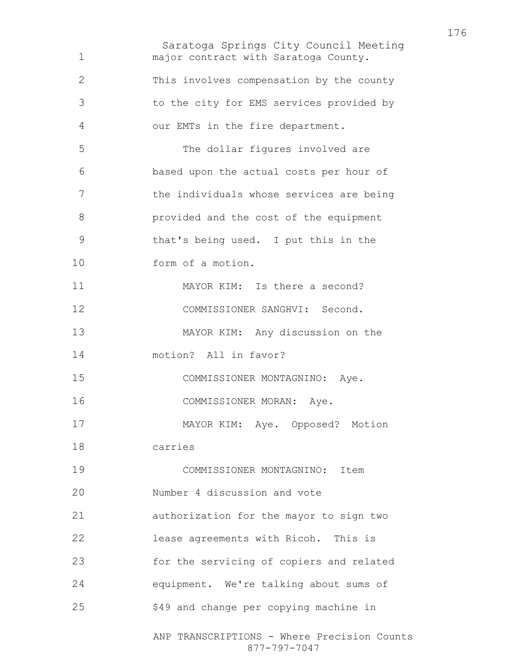Saratoga Springs City Council Meeting ANP TRANSCRIPTIONS - Where Precision Counts major contract with Saratoga County. This involves compensation by the county to the city for EMS services provided by our EMTs in the fire department. The dollar figures involved are based upon the actual costs per hour of 7 the individuals whose services are being provided and the cost of the equipment that's being used. I put this in the form of a motion. 11 MAYOR KIM: Is there a second? COMMISSIONER SANGHVI: Second. MAYOR KIM: Any discussion on the motion? All in favor? COMMISSIONER MONTAGNINO: Aye. COMMISSIONER MORAN: Aye. MAYOR KIM: Aye. Opposed? Motion carries COMMISSIONER MONTAGNINO: Item Number 4 discussion and vote authorization for the mayor to sign two lease agreements with Ricoh. This is for the servicing of copiers and related equipment. We're talking about sums of \$49 and change per copying machine in

877-797-7047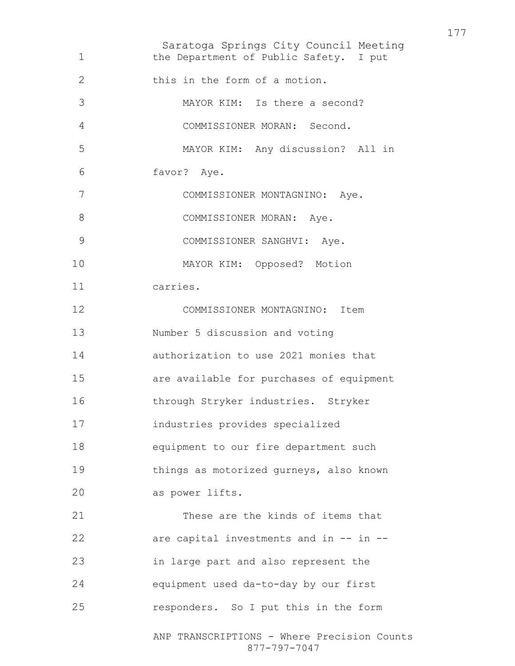Saratoga Springs City Council Meeting ANP TRANSCRIPTIONS - Where Precision Counts 877-797-7047 1 the Department of Public Safety. I put 2 this in the form of a motion. MAYOR KIM: Is there a second? COMMISSIONER MORAN: Second. MAYOR KIM: Any discussion? All in favor? Aye. COMMISSIONER MONTAGNINO: Aye. 8 COMMISSIONER MORAN: Aye. COMMISSIONER SANGHVI: Aye. MAYOR KIM: Opposed? Motion carries. COMMISSIONER MONTAGNINO: Item Number 5 discussion and voting authorization to use 2021 monies that are available for purchases of equipment through Stryker industries. Stryker industries provides specialized equipment to our fire department such things as motorized gurneys, also known as power lifts. These are the kinds of items that are capital investments and in -- in -- in large part and also represent the equipment used da-to-day by our first responders. So I put this in the form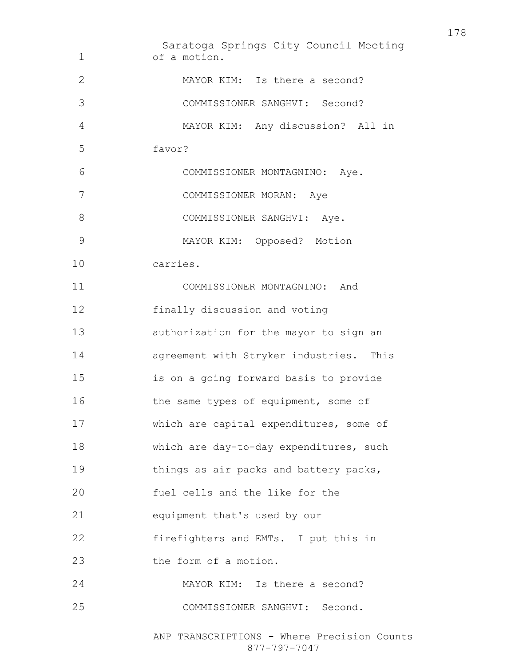Saratoga Springs City Council Meeting of a motion. MAYOR KIM: Is there a second? COMMISSIONER SANGHVI: Second? MAYOR KIM: Any discussion? All in favor? COMMISSIONER MONTAGNINO: Aye. COMMISSIONER MORAN: Aye 8 COMMISSIONER SANGHVI: Aye. MAYOR KIM: Opposed? Motion carries. COMMISSIONER MONTAGNINO: And finally discussion and voting authorization for the mayor to sign an agreement with Stryker industries. This is on a going forward basis to provide 16 the same types of equipment, some of which are capital expenditures, some of which are day-to-day expenditures, such things as air packs and battery packs, fuel cells and the like for the equipment that's used by our firefighters and EMTs. I put this in 23 the form of a motion. MAYOR KIM: Is there a second? COMMISSIONER SANGHVI: Second.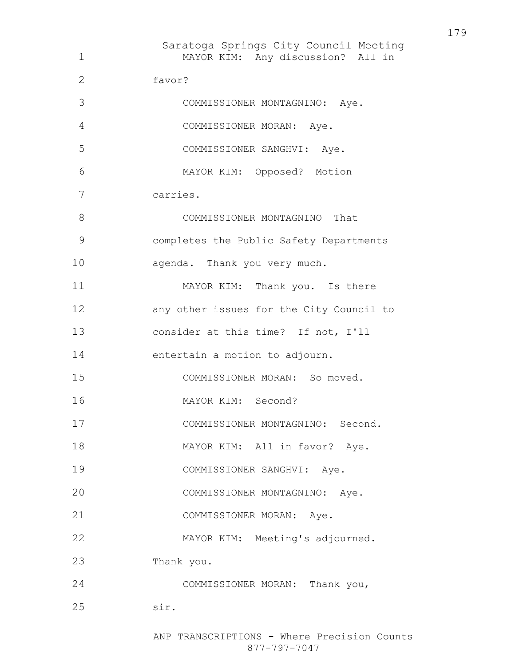Saratoga Springs City Council Meeting MAYOR KIM: Any discussion? All in favor? COMMISSIONER MONTAGNINO: Aye. COMMISSIONER MORAN: Aye. COMMISSIONER SANGHVI: Aye. MAYOR KIM: Opposed? Motion carries. COMMISSIONER MONTAGNINO That completes the Public Safety Departments agenda. Thank you very much. 11 MAYOR KIM: Thank you. Is there any other issues for the City Council to consider at this time? If not, I'll entertain a motion to adjourn. COMMISSIONER MORAN: So moved. MAYOR KIM: Second? COMMISSIONER MONTAGNINO: Second. 18 MAYOR KIM: All in favor? Aye. COMMISSIONER SANGHVI: Aye. COMMISSIONER MONTAGNINO: Aye. COMMISSIONER MORAN: Aye. MAYOR KIM: Meeting's adjourned. Thank you. COMMISSIONER MORAN: Thank you, sir.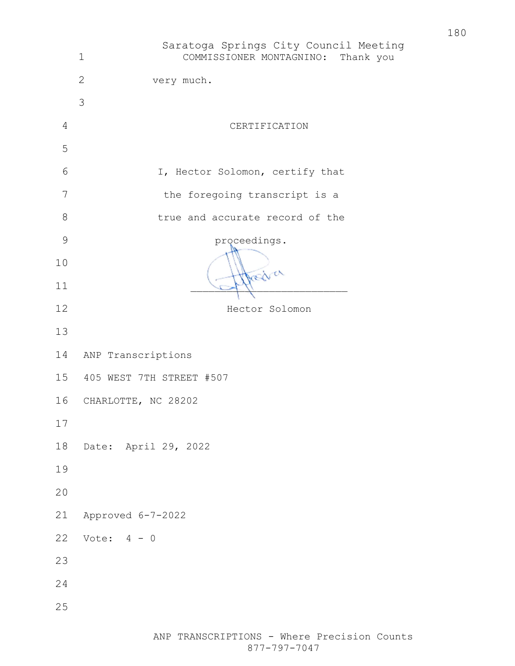|               | Saratoga Springs City Council Meeting<br>$\mathbf 1$<br>COMMISSIONER MONTAGNINO: Thank you |
|---------------|--------------------------------------------------------------------------------------------|
|               | $\overline{2}$<br>very much.                                                               |
|               | 3                                                                                          |
| 4             | CERTIFICATION                                                                              |
| 5             |                                                                                            |
| 6             | I, Hector Solomon, certify that                                                            |
| 7             | the foregoing transcript is a                                                              |
| $8\,$         | true and accurate record of the                                                            |
| $\mathcal{G}$ | proceedings.                                                                               |
| 10            | redich                                                                                     |
| 11            |                                                                                            |
| 12            | Hector Solomon                                                                             |
| 13            |                                                                                            |
| 14            | ANP Transcriptions                                                                         |
|               | 15 405 WEST 7TH STREET #507                                                                |
| 16            | CHARLOTTE, NC 28202                                                                        |
| 17            |                                                                                            |
| 18            | Date: April 29, 2022                                                                       |
| 19            |                                                                                            |
| 20            |                                                                                            |
| 21            | Approved 6-7-2022                                                                          |
| 22            | Vote: $4 - 0$                                                                              |
| 23            |                                                                                            |
| 24            |                                                                                            |
| 25            |                                                                                            |